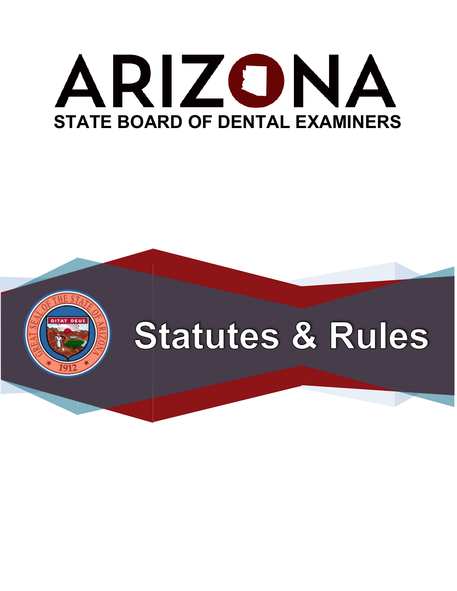# ARIZONA **STATE BOARD OF DENTAL EXAMINERS**



# **Statutes & Rules**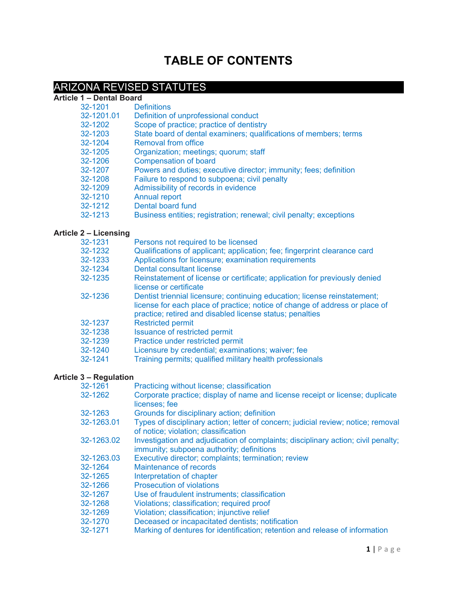# **TABLE OF CONTENTS**

## ARIZONA REVISED STATUTES

#### **Article 1 – Dental Board**

| 32-1201                                                                                                  | <b>Definitions</b> |
|----------------------------------------------------------------------------------------------------------|--------------------|
| $\begin{array}{c} \n\bullet \bullet \bullet \bullet \bullet \bullet \bullet \bullet \bullet \end{array}$ |                    |

- 32-1201.01 Definition of unprofessional conduct<br>32-1202 Scope of practice: practice of dentist 32-1202 Scope of practice; practice of dentistry<br>32-1203 State board of dental examiners: qualifi
- 32-1203 State board of dental examiners; qualifications of members; terms
- 32-1204 Removal from office<br>32-1205 Organization: meetin
- 32-1205 Organization; meetings; quorum; staff<br>32-1206 Compensation of board
- 32-1206 Compensation of board<br>32-1207 Powers and duties: exer
- Powers and duties; executive director; immunity; fees; definition
- 32-1208 Failure to respond to subpoena; civil penalty
- 32-1209 Admissibility of records in evidence
- 32-1210 Annual report
- 32-1212 Dental board fund<br>32-1213 Business entities:
- Business entities; registration; renewal; civil penalty; exceptions

#### **Article 2 – Licensing**

| 32-1231 | Persons not required to be licensed                                                                                                                                                                                  |
|---------|----------------------------------------------------------------------------------------------------------------------------------------------------------------------------------------------------------------------|
| 32-1232 | Qualifications of applicant; application; fee; fingerprint clearance card                                                                                                                                            |
| 32-1233 | Applications for licensure; examination requirements                                                                                                                                                                 |
| 32-1234 | Dental consultant license                                                                                                                                                                                            |
| 32-1235 | Reinstatement of license or certificate; application for previously denied<br>license or certificate                                                                                                                 |
| 32-1236 | Dentist triennial licensure; continuing education; license reinstatement;<br>license for each place of practice; notice of change of address or place of<br>practice; retired and disabled license status; penalties |
| 32-1237 | <b>Restricted permit</b>                                                                                                                                                                                             |
| 32-1238 | <b>Issuance of restricted permit</b>                                                                                                                                                                                 |
| 32-1239 | Practice under restricted permit                                                                                                                                                                                     |
| 32-1240 | Licensure by credential; examinations; waiver; fee                                                                                                                                                                   |
| 32-1241 | Training permits; qualified military health professionals                                                                                                                                                            |

#### **Article 3 – Regulation**

| Practicing without license; classification                                                                                     |
|--------------------------------------------------------------------------------------------------------------------------------|
| Corporate practice; display of name and license receipt or license; duplicate<br>licenses; fee                                 |
| Grounds for disciplinary action; definition                                                                                    |
| Types of disciplinary action; letter of concern; judicial review; notice; removal<br>of notice; violation; classification      |
| Investigation and adjudication of complaints; disciplinary action; civil penalty;<br>immunity; subpoena authority; definitions |
| Executive director; complaints; termination; review                                                                            |
| Maintenance of records                                                                                                         |
| Interpretation of chapter                                                                                                      |
| <b>Prosecution of violations</b>                                                                                               |
| Use of fraudulent instruments; classification                                                                                  |
| Violations; classification; required proof                                                                                     |
| Violation; classification; injunctive relief                                                                                   |
| Deceased or incapacitated dentists; notification                                                                               |
| Marking of dentures for identification; retention and release of information                                                   |
|                                                                                                                                |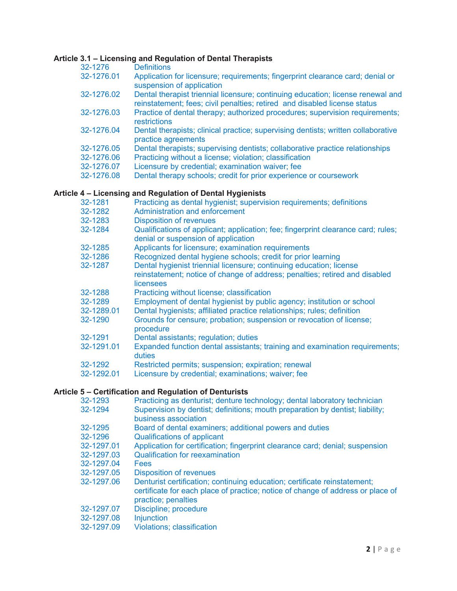# **Article 3.1 – Licensing and Regulation of Dental Therapists**

| 32-1276    | Article 3.1 – Licensing and Regulation of Dental Therapists<br><b>Definitions</b>                                                                            |
|------------|--------------------------------------------------------------------------------------------------------------------------------------------------------------|
| 32-1276.01 | Application for licensure; requirements; fingerprint clearance card; denial or                                                                               |
|            | suspension of application                                                                                                                                    |
| 32-1276.02 | Dental therapist triennial licensure; continuing education; license renewal and<br>reinstatement; fees; civil penalties; retired and disabled license status |
| 32-1276.03 | Practice of dental therapy; authorized procedures; supervision requirements;<br>restrictions                                                                 |
| 32-1276.04 | Dental therapists; clinical practice; supervising dentists; written collaborative<br>practice agreements                                                     |
| 32-1276.05 | Dental therapists; supervising dentists; collaborative practice relationships                                                                                |
| 32-1276.06 | Practicing without a license; violation; classification                                                                                                      |
| 32-1276.07 | Licensure by credential; examination waiver; fee                                                                                                             |
| 32-1276.08 | Dental therapy schools; credit for prior experience or coursework                                                                                            |
|            | Article 4 – Licensing and Regulation of Dental Hygienists                                                                                                    |
| 32-1281    | Practicing as dental hygienist; supervision requirements; definitions                                                                                        |
| 32-1282    | <b>Administration and enforcement</b>                                                                                                                        |
| 32-1283    | <b>Disposition of revenues</b>                                                                                                                               |
| 32-1284    | Qualifications of applicant; application; fee; fingerprint clearance card; rules;<br>denial or suspension of application                                     |
| 32-1285    | Applicants for licensure; examination requirements                                                                                                           |
| 32-1286    | Recognized dental hygiene schools; credit for prior learning                                                                                                 |
| 32-1287    | Dental hygienist triennial licensure; continuing education; license                                                                                          |
|            | reinstatement; notice of change of address; penalties; retired and disabled<br>licensees                                                                     |
| 32-1288    | Practicing without license; classification                                                                                                                   |
| 32-1289    | Employment of dental hygienist by public agency; institution or school                                                                                       |
| 32-1289.01 | Dental hygienists; affiliated practice relationships; rules; definition                                                                                      |
| 32-1290    | Grounds for censure; probation; suspension or revocation of license;<br>procedure                                                                            |
| 32-1291    | Dental assistants; regulation; duties                                                                                                                        |
| 32-1291.01 | Expanded function dental assistants; training and examination requirements;<br>duties                                                                        |
| 32-1292    | Restricted permits; suspension; expiration; renewal                                                                                                          |
| 32-1292.01 | Licensure by credential; examinations; waiver; fee                                                                                                           |

## **Article 5 – Certification and Regulation of Denturists**

| 32-1293    | Practicing as denturist; denture technology; dental laboratory technician                                                                                                           |
|------------|-------------------------------------------------------------------------------------------------------------------------------------------------------------------------------------|
| 32-1294    | Supervision by dentist; definitions; mouth preparation by dentist; liability;                                                                                                       |
|            | business association                                                                                                                                                                |
| 32-1295    | Board of dental examiners; additional powers and duties                                                                                                                             |
| 32-1296    | <b>Qualifications of applicant</b>                                                                                                                                                  |
| 32-1297.01 | Application for certification; fingerprint clearance card; denial; suspension                                                                                                       |
| 32-1297.03 | <b>Qualification for reexamination</b>                                                                                                                                              |
| 32-1297.04 | Fees                                                                                                                                                                                |
| 32-1297.05 | <b>Disposition of revenues</b>                                                                                                                                                      |
| 32-1297.06 | Denturist certification; continuing education; certificate reinstatement;<br>certificate for each place of practice; notice of change of address or place of<br>practice; penalties |
| 32-1297.07 | Discipline; procedure                                                                                                                                                               |
| 32-1297.08 | <b>Injunction</b>                                                                                                                                                                   |
| 32-1297.09 | <b>Violations; classification</b>                                                                                                                                                   |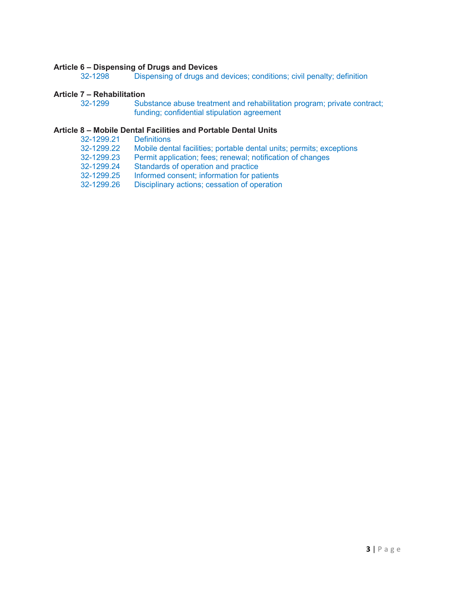# **Article 6 – Dispensing of Drugs and Devices**

Dispensing of drugs and devices; conditions; civil penalty; definition

# **Article 7 – Rehabilitation**

Substance abuse treatment and rehabilitation program; private contract; funding; confidential stipulation agreement

# **Article 8 – Mobile Dental Facilities and Portable Dental Units**

- 32-1299.21<br>32-1299.22
- 32-1299.22 Mobile dental facilities; portable dental units; permits; exceptions<br>32-1299.23 Permit application: fees: renewal: notification of changes
- 32-1299.23 Permit application; fees; renewal; notification of changes<br>32-1299.24 Standards of operation and practice
- Standards of operation and practice
- 32-1299.25 Informed consent; information for patients<br>32-1299.26 Disciplinary actions; cessation of operation
- Disciplinary actions; cessation of operation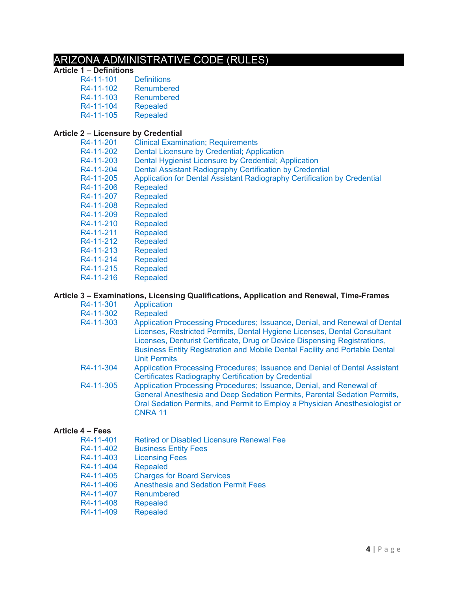# ARIZONA ADMINISTRATIVE CODE (RULES)

# **Article 1 – Definitions**

R4-11-101<br>R4-11-102 R4-11-102 Renumbered<br>R4-11-103 Renumbered Renumbered<br>Repealed R4-11-104 Repealed<br>R4-11-105 Repealed R4-11-105

## **Article 2 – Licensure by Credential**

| R4-11-201 | <b>Clinical Examination; Requirements</b>                                |
|-----------|--------------------------------------------------------------------------|
| R4-11-202 | Dental Licensure by Credential; Application                              |
| R4-11-203 | Dental Hygienist Licensure by Credential; Application                    |
| R4-11-204 | Dental Assistant Radiography Certification by Credential                 |
| R4-11-205 | Application for Dental Assistant Radiography Certification by Credential |
| R4-11-206 | <b>Repealed</b>                                                          |
| R4-11-207 | <b>Repealed</b>                                                          |
| R4-11-208 | <b>Repealed</b>                                                          |
| R4-11-209 | <b>Repealed</b>                                                          |
| R4-11-210 | <b>Repealed</b>                                                          |
| R4-11-211 | <b>Repealed</b>                                                          |
| R4-11-212 | <b>Repealed</b>                                                          |
| R4-11-213 | <b>Repealed</b>                                                          |
| R4-11-214 | <b>Repealed</b>                                                          |
| R4-11-215 | <b>Repealed</b>                                                          |
| R4-11-216 | <b>Repealed</b>                                                          |

## **Article 3 – Examinations, Licensing Qualifications, Application and Renewal, Time-Frames**

| R4-11-301 | Application                                                                                                                                                                                                                                                                                                                               |
|-----------|-------------------------------------------------------------------------------------------------------------------------------------------------------------------------------------------------------------------------------------------------------------------------------------------------------------------------------------------|
| R4-11-302 | <b>Repealed</b>                                                                                                                                                                                                                                                                                                                           |
| R4-11-303 | Application Processing Procedures; Issuance, Denial, and Renewal of Dental<br>Licenses, Restricted Permits, Dental Hygiene Licenses, Dental Consultant<br>Licenses, Denturist Certificate, Drug or Device Dispensing Registrations,<br>Business Entity Registration and Mobile Dental Facility and Portable Dental<br><b>Unit Permits</b> |
| R4-11-304 | Application Processing Procedures; Issuance and Denial of Dental Assistant<br><b>Certificates Radiography Certification by Credential</b>                                                                                                                                                                                                 |
| R4-11-305 | Application Processing Procedures; Issuance, Denial, and Renewal of<br>General Anesthesia and Deep Sedation Permits, Parental Sedation Permits,<br>Oral Sedation Permits, and Permit to Employ a Physician Anesthesiologist or<br><b>CNRA 11</b>                                                                                          |

### **Article 4 – Fees**

| R4-11-401 | <b>Retired or Disabled Licensure Renewal Fee</b> |
|-----------|--------------------------------------------------|
| R4-11-402 | <b>Business Entity Fees</b>                      |
| R4-11-403 | <b>Licensing Fees</b>                            |
| R4-11-404 | <b>Repealed</b>                                  |
| R4-11-405 | <b>Charges for Board Services</b>                |
|           |                                                  |

- R4-11-406 Anesthesia and Sedation Permit Fees
- R4-11-407 Renumbered<br>R4-11-408 Repealed
- 
- R4-11-408 Repealed<br>R4-11-409 Repealed R4-11-409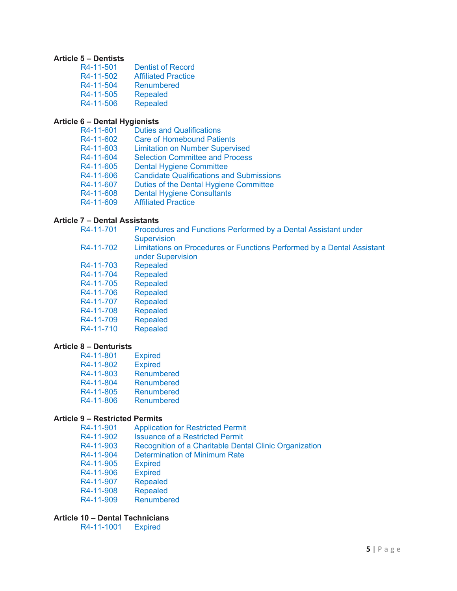#### **Article 5 – Dentists**

| R4-11-501 | <b>Dentist of Record</b>   |
|-----------|----------------------------|
| R4-11-502 | <b>Affiliated Practice</b> |
| R4-11-504 | Renumbered                 |
| R4-11-505 | <b>Repealed</b>            |
| R4-11-506 | <b>Repealed</b>            |

#### **Article 6 – Dental Hygienists**

| <b>Duties and Qualifications</b>                |
|-------------------------------------------------|
| <b>Care of Homebound Patients</b>               |
| <b>Limitation on Number Supervised</b>          |
| <b>Selection Committee and Process</b>          |
| <b>Dental Hygiene Committee</b>                 |
| <b>Candidate Qualifications and Submissions</b> |
| Duties of the Dental Hygiene Committee          |
| <b>Dental Hygiene Consultants</b>               |
| <b>Affiliated Practice</b>                      |
|                                                 |

#### **Article 7 – Dental Assistants**

| R4-11-701 | Procedures and Functions Performed by a Dental Assistant under<br><b>Supervision</b>        |
|-----------|---------------------------------------------------------------------------------------------|
| R4-11-702 | Limitations on Procedures or Functions Performed by a Dental Assistant<br>under Supervision |
| R4-11-703 | Repealed                                                                                    |
| R4-11-704 | <b>Repealed</b>                                                                             |
| R4-11-705 | <b>Repealed</b>                                                                             |
| R4-11-706 | <b>Repealed</b>                                                                             |
| R4-11-707 | <b>Repealed</b>                                                                             |
| R4-11-708 | <b>Repealed</b>                                                                             |
| R4-11-709 | <b>Repealed</b>                                                                             |
| R4-11-710 | <b>Repealed</b>                                                                             |

#### **Article 8 – Denturists**

| R4-11-801 | <b>Expired</b>    |
|-----------|-------------------|
| R4-11-802 | <b>Expired</b>    |
| R4-11-803 | <b>Renumbered</b> |
| R4-11-804 | Renumbered        |
| R4-11-805 | Renumbered        |
| R4-11-806 | <b>Renumbered</b> |

#### **Article 9 – Restricted Permits**

| <b>Application for Restricted Permit</b>               |
|--------------------------------------------------------|
| <b>Issuance of a Restricted Permit</b>                 |
| Recognition of a Charitable Dental Clinic Organization |
| <b>Determination of Minimum Rate</b>                   |
| <b>Expired</b>                                         |
| <b>Expired</b>                                         |
| <b>Repealed</b>                                        |
| <b>Repealed</b>                                        |
| Renumbered                                             |
|                                                        |

#### **Article 10 – Dental Technicians**

R4-11-1001 Expired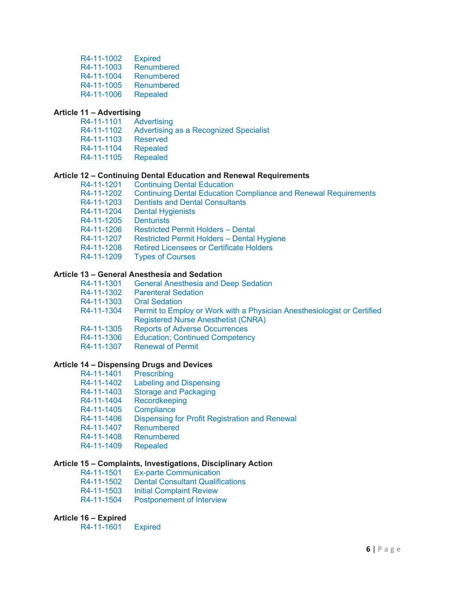| R4-11-1002 | <b>Expired</b>    |
|------------|-------------------|
| R4-11-1003 | <b>Renumbered</b> |
| R4-11-1004 | Renumbered        |
| R4-11-1005 | <b>Renumbered</b> |
| R4-11-1006 | <b>Repealed</b>   |

#### **Article 11 – Advertising**

R4-11-1101 Advertising R4-11-1102 Advertising as a Recognized Specialist R4-11-1103 Reserved<br>R4-11-1104 Repealed R4-11-1104 Repealed<br>R4-11-1105 Repealed R4-11-1105

#### **Article 12 – Continuing Dental Education and Renewal Requirements**

| R4-11-1201 | <b>Continuing Dental Education</b>                                     |
|------------|------------------------------------------------------------------------|
| R4-11-1202 | <b>Continuing Dental Education Compliance and Renewal Requirements</b> |
| R4-11-1203 | <b>Dentists and Dental Consultants</b>                                 |
| R4-11-1204 | <b>Dental Hygienists</b>                                               |
| R4-11-1205 | <b>Denturists</b>                                                      |
| R4-11-1206 | <b>Restricted Permit Holders - Dental</b>                              |
| R4-11-1207 | Restricted Permit Holders - Dental Hygiene                             |
| R4-11-1208 | <b>Retired Licensees or Certificate Holders</b>                        |
| R4-11-1209 | <b>Types of Courses</b>                                                |
|            |                                                                        |

#### **Article 13 – General Anesthesia and Sedation**

| R4-11-1301 | <b>General Anesthesia and Deep Sedation</b> |
|------------|---------------------------------------------|
|            | R4-11-1302 Parenteral Sedation              |

- 
- R4-11-1303 Oral Sedation<br>R4-11-1304 Permit to Emp Permit to Employ or Work with a Physician Anesthesiologist or Certified Registered Nurse Anesthetist (CNRA)
- R4-11-1305 Reports of Adverse Occurrences
- R4-11-1306 Education; Continued Competency
- R4-11-1307 Renewal of Permit

#### **Article 14 – Dispensing Drugs and Devices**

- R4-11-1401 Prescribing R4-11-1402 Labeling and Dispensing R4-11-1403 Storage and Packaging R4-11-1404 Recordkeeping R4-11-1405 Compliance<br>R4-11-1406 Dispensing fo
- Dispensing for Profit Registration and Renewal<br>Renumbered
- R4-11-1407<br>R4-11-1408
- Renumbered
- R4-11-1409 Repealed

#### **Article 15 – Complaints, Investigations, Disciplinary Action**

- R4-11-1501 Ex-parte Communication
- R4-11-1502 Dental Consultant Qualifications
- R4-11-1503 Initial Complaint Review
- R4-11-1504 Postponement of Interview

#### **Article 16 – Expired**

R4-11-1601 Expired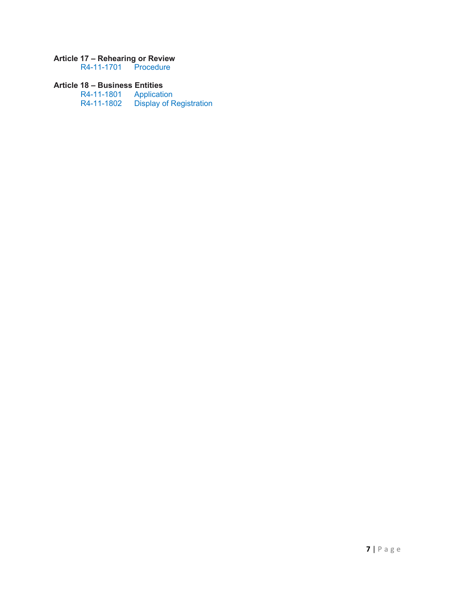#### **Article 17 – Rehearing or Review**

R4-11-1701 Procedure

#### **Article 18 – Business Entities**

R4-11-1801 Application R4-11-1802 Display of Registration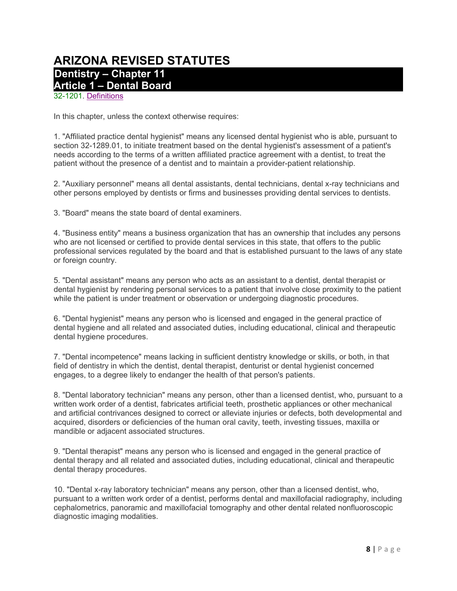## **ARIZONA REVISED STATUTES Dentistry – Chapter 11 Article 1 – Dental Board**

32-1201. Definitions

In this chapter, unless the context otherwise requires:

1. "Affiliated practice dental hygienist" means any licensed dental hygienist who is able, pursuant to section 32-1289.01, to initiate treatment based on the dental hygienist's assessment of a patient's needs according to the terms of a written affiliated practice agreement with a dentist, to treat the patient without the presence of a dentist and to maintain a provider-patient relationship.

2. "Auxiliary personnel" means all dental assistants, dental technicians, dental x-ray technicians and other persons employed by dentists or firms and businesses providing dental services to dentists.

3. "Board" means the state board of dental examiners.

4. "Business entity" means a business organization that has an ownership that includes any persons who are not licensed or certified to provide dental services in this state, that offers to the public professional services regulated by the board and that is established pursuant to the laws of any state or foreign country.

5. "Dental assistant" means any person who acts as an assistant to a dentist, dental therapist or dental hygienist by rendering personal services to a patient that involve close proximity to the patient while the patient is under treatment or observation or undergoing diagnostic procedures.

6. "Dental hygienist" means any person who is licensed and engaged in the general practice of dental hygiene and all related and associated duties, including educational, clinical and therapeutic dental hygiene procedures.

7. "Dental incompetence" means lacking in sufficient dentistry knowledge or skills, or both, in that field of dentistry in which the dentist, dental therapist, denturist or dental hygienist concerned engages, to a degree likely to endanger the health of that person's patients.

8. "Dental laboratory technician" means any person, other than a licensed dentist, who, pursuant to a written work order of a dentist, fabricates artificial teeth, prosthetic appliances or other mechanical and artificial contrivances designed to correct or alleviate injuries or defects, both developmental and acquired, disorders or deficiencies of the human oral cavity, teeth, investing tissues, maxilla or mandible or adjacent associated structures.

9. "Dental therapist" means any person who is licensed and engaged in the general practice of dental therapy and all related and associated duties, including educational, clinical and therapeutic dental therapy procedures.

10. "Dental x-ray laboratory technician" means any person, other than a licensed dentist, who, pursuant to a written work order of a dentist, performs dental and maxillofacial radiography, including cephalometrics, panoramic and maxillofacial tomography and other dental related nonfluoroscopic diagnostic imaging modalities.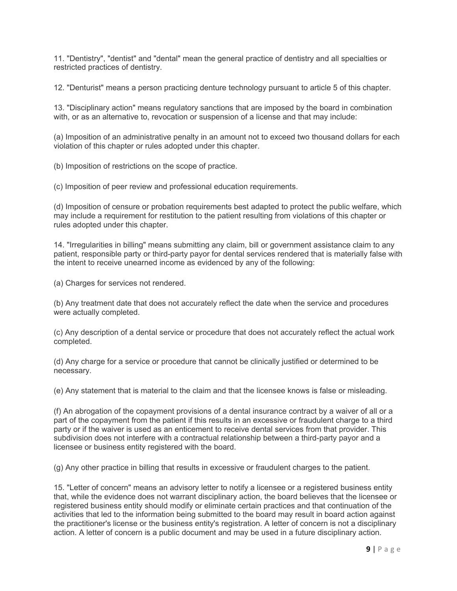11. "Dentistry", "dentist" and "dental" mean the general practice of dentistry and all specialties or restricted practices of dentistry.

12. "Denturist" means a person practicing denture technology pursuant to article 5 of this chapter.

13. "Disciplinary action" means regulatory sanctions that are imposed by the board in combination with, or as an alternative to, revocation or suspension of a license and that may include:

(a) Imposition of an administrative penalty in an amount not to exceed two thousand dollars for each violation of this chapter or rules adopted under this chapter.

(b) Imposition of restrictions on the scope of practice.

(c) Imposition of peer review and professional education requirements.

(d) Imposition of censure or probation requirements best adapted to protect the public welfare, which may include a requirement for restitution to the patient resulting from violations of this chapter or rules adopted under this chapter.

14. "Irregularities in billing" means submitting any claim, bill or government assistance claim to any patient, responsible party or third-party payor for dental services rendered that is materially false with the intent to receive unearned income as evidenced by any of the following:

(a) Charges for services not rendered.

(b) Any treatment date that does not accurately reflect the date when the service and procedures were actually completed.

(c) Any description of a dental service or procedure that does not accurately reflect the actual work completed.

(d) Any charge for a service or procedure that cannot be clinically justified or determined to be necessary.

(e) Any statement that is material to the claim and that the licensee knows is false or misleading.

(f) An abrogation of the copayment provisions of a dental insurance contract by a waiver of all or a part of the copayment from the patient if this results in an excessive or fraudulent charge to a third party or if the waiver is used as an enticement to receive dental services from that provider. This subdivision does not interfere with a contractual relationship between a third-party payor and a licensee or business entity registered with the board.

(g) Any other practice in billing that results in excessive or fraudulent charges to the patient.

15. "Letter of concern" means an advisory letter to notify a licensee or a registered business entity that, while the evidence does not warrant disciplinary action, the board believes that the licensee or registered business entity should modify or eliminate certain practices and that continuation of the activities that led to the information being submitted to the board may result in board action against the practitioner's license or the business entity's registration. A letter of concern is not a disciplinary action. A letter of concern is a public document and may be used in a future disciplinary action.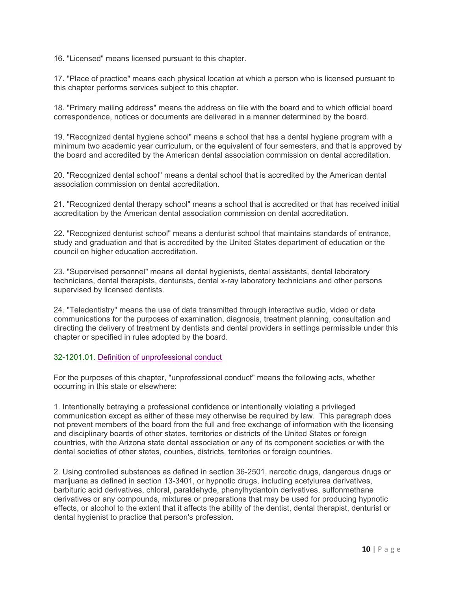16. "Licensed" means licensed pursuant to this chapter.

17. "Place of practice" means each physical location at which a person who is licensed pursuant to this chapter performs services subject to this chapter.

18. "Primary mailing address" means the address on file with the board and to which official board correspondence, notices or documents are delivered in a manner determined by the board.

19. "Recognized dental hygiene school" means a school that has a dental hygiene program with a minimum two academic year curriculum, or the equivalent of four semesters, and that is approved by the board and accredited by the American dental association commission on dental accreditation.

20. "Recognized dental school" means a dental school that is accredited by the American dental association commission on dental accreditation.

21. "Recognized dental therapy school" means a school that is accredited or that has received initial accreditation by the American dental association commission on dental accreditation.

22. "Recognized denturist school" means a denturist school that maintains standards of entrance, study and graduation and that is accredited by the United States department of education or the council on higher education accreditation.

23. "Supervised personnel" means all dental hygienists, dental assistants, dental laboratory technicians, dental therapists, denturists, dental x-ray laboratory technicians and other persons supervised by licensed dentists.

24. "Teledentistry" means the use of data transmitted through interactive audio, video or data communications for the purposes of examination, diagnosis, treatment planning, consultation and directing the delivery of treatment by dentists and dental providers in settings permissible under this chapter or specified in rules adopted by the board.

#### 32-1201.01. Definition of unprofessional conduct

For the purposes of this chapter, "unprofessional conduct" means the following acts, whether occurring in this state or elsewhere:

1. Intentionally betraying a professional confidence or intentionally violating a privileged communication except as either of these may otherwise be required by law. This paragraph does not prevent members of the board from the full and free exchange of information with the licensing and disciplinary boards of other states, territories or districts of the United States or foreign countries, with the Arizona state dental association or any of its component societies or with the dental societies of other states, counties, districts, territories or foreign countries.

2. Using controlled substances as defined in section 36-2501, narcotic drugs, dangerous drugs or marijuana as defined in section 13-3401, or hypnotic drugs, including acetylurea derivatives, barbituric acid derivatives, chloral, paraldehyde, phenylhydantoin derivatives, sulfonmethane derivatives or any compounds, mixtures or preparations that may be used for producing hypnotic effects, or alcohol to the extent that it affects the ability of the dentist, dental therapist, denturist or dental hygienist to practice that person's profession.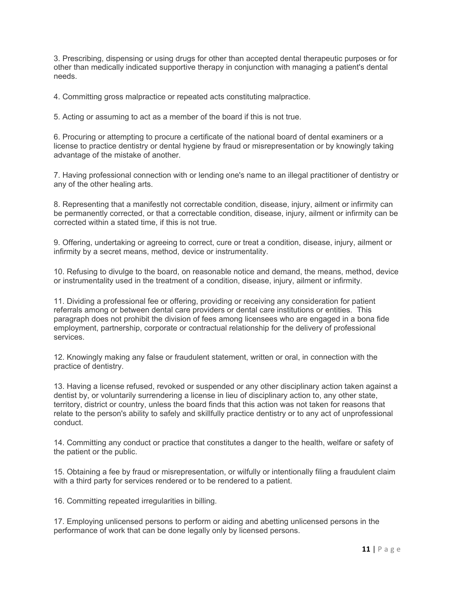3. Prescribing, dispensing or using drugs for other than accepted dental therapeutic purposes or for other than medically indicated supportive therapy in conjunction with managing a patient's dental needs.

4. Committing gross malpractice or repeated acts constituting malpractice.

5. Acting or assuming to act as a member of the board if this is not true.

6. Procuring or attempting to procure a certificate of the national board of dental examiners or a license to practice dentistry or dental hygiene by fraud or misrepresentation or by knowingly taking advantage of the mistake of another.

7. Having professional connection with or lending one's name to an illegal practitioner of dentistry or any of the other healing arts.

8. Representing that a manifestly not correctable condition, disease, injury, ailment or infirmity can be permanently corrected, or that a correctable condition, disease, injury, ailment or infirmity can be corrected within a stated time, if this is not true.

9. Offering, undertaking or agreeing to correct, cure or treat a condition, disease, injury, ailment or infirmity by a secret means, method, device or instrumentality.

10. Refusing to divulge to the board, on reasonable notice and demand, the means, method, device or instrumentality used in the treatment of a condition, disease, injury, ailment or infirmity.

11. Dividing a professional fee or offering, providing or receiving any consideration for patient referrals among or between dental care providers or dental care institutions or entities. This paragraph does not prohibit the division of fees among licensees who are engaged in a bona fide employment, partnership, corporate or contractual relationship for the delivery of professional services.

12. Knowingly making any false or fraudulent statement, written or oral, in connection with the practice of dentistry.

13. Having a license refused, revoked or suspended or any other disciplinary action taken against a dentist by, or voluntarily surrendering a license in lieu of disciplinary action to, any other state, territory, district or country, unless the board finds that this action was not taken for reasons that relate to the person's ability to safely and skillfully practice dentistry or to any act of unprofessional conduct.

14. Committing any conduct or practice that constitutes a danger to the health, welfare or safety of the patient or the public.

15. Obtaining a fee by fraud or misrepresentation, or wilfully or intentionally filing a fraudulent claim with a third party for services rendered or to be rendered to a patient.

16. Committing repeated irregularities in billing.

17. Employing unlicensed persons to perform or aiding and abetting unlicensed persons in the performance of work that can be done legally only by licensed persons.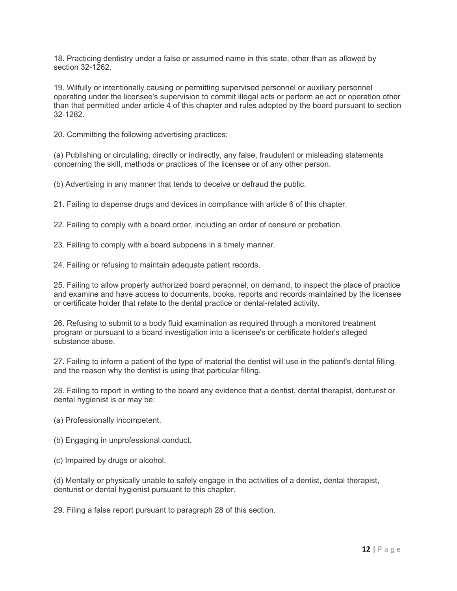18. Practicing dentistry under a false or assumed name in this state, other than as allowed by section 32-1262.

19. Wilfully or intentionally causing or permitting supervised personnel or auxiliary personnel operating under the licensee's supervision to commit illegal acts or perform an act or operation other than that permitted under article 4 of this chapter and rules adopted by the board pursuant to section 32-1282.

20. Committing the following advertising practices:

(a) Publishing or circulating, directly or indirectly, any false, fraudulent or misleading statements concerning the skill, methods or practices of the licensee or of any other person.

(b) Advertising in any manner that tends to deceive or defraud the public.

21. Failing to dispense drugs and devices in compliance with article 6 of this chapter.

22. Failing to comply with a board order, including an order of censure or probation.

23. Failing to comply with a board subpoena in a timely manner.

24. Failing or refusing to maintain adequate patient records.

25. Failing to allow properly authorized board personnel, on demand, to inspect the place of practice and examine and have access to documents, books, reports and records maintained by the licensee or certificate holder that relate to the dental practice or dental-related activity.

26. Refusing to submit to a body fluid examination as required through a monitored treatment program or pursuant to a board investigation into a licensee's or certificate holder's alleged substance abuse.

27. Failing to inform a patient of the type of material the dentist will use in the patient's dental filling and the reason why the dentist is using that particular filling.

28. Failing to report in writing to the board any evidence that a dentist, dental therapist, denturist or dental hygienist is or may be:

(a) Professionally incompetent.

(b) Engaging in unprofessional conduct.

(c) Impaired by drugs or alcohol.

(d) Mentally or physically unable to safely engage in the activities of a dentist, dental therapist, denturist or dental hygienist pursuant to this chapter.

29. Filing a false report pursuant to paragraph 28 of this section.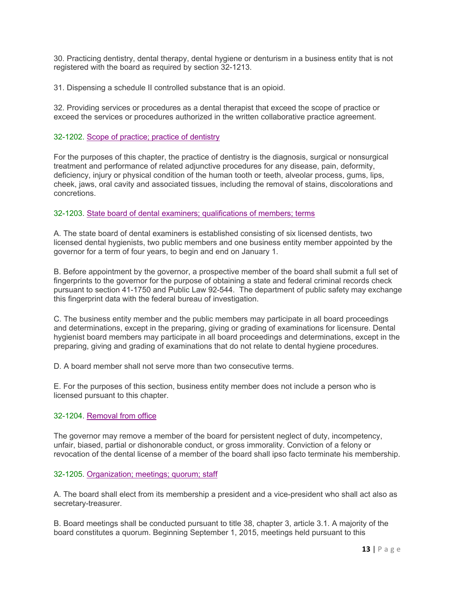30. Practicing dentistry, dental therapy, dental hygiene or denturism in a business entity that is not registered with the board as required by section 32-1213.

31. Dispensing a schedule II controlled substance that is an opioid.

32. Providing services or procedures as a dental therapist that exceed the scope of practice or exceed the services or procedures authorized in the written collaborative practice agreement.

#### 32-1202. Scope of practice; practice of dentistry

For the purposes of this chapter, the practice of dentistry is the diagnosis, surgical or nonsurgical treatment and performance of related adjunctive procedures for any disease, pain, deformity, deficiency, injury or physical condition of the human tooth or teeth, alveolar process, gums, lips, cheek, jaws, oral cavity and associated tissues, including the removal of stains, discolorations and concretions.

#### 32-1203. State board of dental examiners; qualifications of members; terms

A. The state board of dental examiners is established consisting of six licensed dentists, two licensed dental hygienists, two public members and one business entity member appointed by the governor for a term of four years, to begin and end on January 1.

B. Before appointment by the governor, a prospective member of the board shall submit a full set of fingerprints to the governor for the purpose of obtaining a state and federal criminal records check pursuant to section 41-1750 and Public Law 92-544. The department of public safety may exchange this fingerprint data with the federal bureau of investigation.

C. The business entity member and the public members may participate in all board proceedings and determinations, except in the preparing, giving or grading of examinations for licensure. Dental hygienist board members may participate in all board proceedings and determinations, except in the preparing, giving and grading of examinations that do not relate to dental hygiene procedures.

D. A board member shall not serve more than two consecutive terms.

E. For the purposes of this section, business entity member does not include a person who is licensed pursuant to this chapter.

#### 32-1204. Removal from office

The governor may remove a member of the board for persistent neglect of duty, incompetency, unfair, biased, partial or dishonorable conduct, or gross immorality. Conviction of a felony or revocation of the dental license of a member of the board shall ipso facto terminate his membership.

#### 32-1205. Organization; meetings; quorum; staff

A. The board shall elect from its membership a president and a vice-president who shall act also as secretary-treasurer.

B. Board meetings shall be conducted pursuant to title 38, chapter 3, article 3.1. A majority of the board constitutes a quorum. Beginning September 1, 2015, meetings held pursuant to this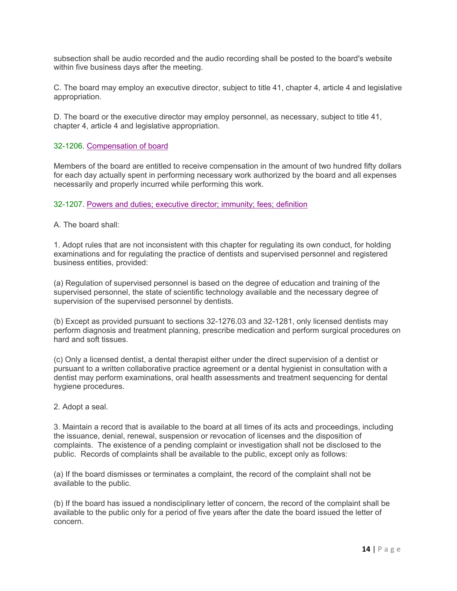subsection shall be audio recorded and the audio recording shall be posted to the board's website within five business days after the meeting.

C. The board may employ an executive director, subject to title 41, chapter 4, article 4 and legislative appropriation.

D. The board or the executive director may employ personnel, as necessary, subject to title 41, chapter 4, article 4 and legislative appropriation.

#### 32-1206. Compensation of board

Members of the board are entitled to receive compensation in the amount of two hundred fifty dollars for each day actually spent in performing necessary work authorized by the board and all expenses necessarily and properly incurred while performing this work.

32-1207. Powers and duties; executive director; immunity; fees; definition

#### A. The board shall:

1. Adopt rules that are not inconsistent with this chapter for regulating its own conduct, for holding examinations and for regulating the practice of dentists and supervised personnel and registered business entities, provided:

(a) Regulation of supervised personnel is based on the degree of education and training of the supervised personnel, the state of scientific technology available and the necessary degree of supervision of the supervised personnel by dentists.

(b) Except as provided pursuant to sections 32-1276.03 and 32-1281, only licensed dentists may perform diagnosis and treatment planning, prescribe medication and perform surgical procedures on hard and soft tissues.

(c) Only a licensed dentist, a dental therapist either under the direct supervision of a dentist or pursuant to a written collaborative practice agreement or a dental hygienist in consultation with a dentist may perform examinations, oral health assessments and treatment sequencing for dental hygiene procedures.

#### 2. Adopt a seal.

3. Maintain a record that is available to the board at all times of its acts and proceedings, including the issuance, denial, renewal, suspension or revocation of licenses and the disposition of complaints. The existence of a pending complaint or investigation shall not be disclosed to the public. Records of complaints shall be available to the public, except only as follows:

(a) If the board dismisses or terminates a complaint, the record of the complaint shall not be available to the public.

(b) If the board has issued a nondisciplinary letter of concern, the record of the complaint shall be available to the public only for a period of five years after the date the board issued the letter of concern.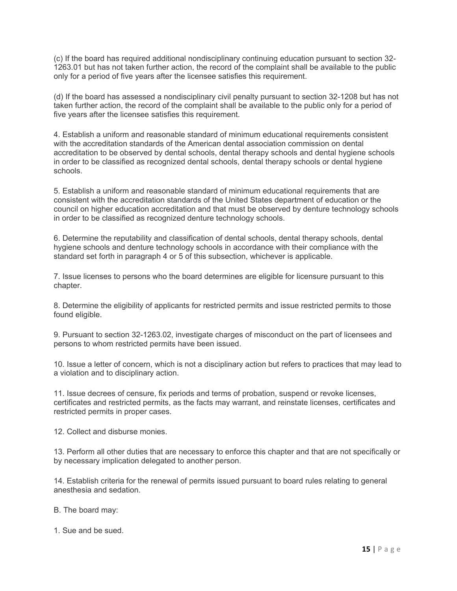(c) If the board has required additional nondisciplinary continuing education pursuant to section 32- 1263.01 but has not taken further action, the record of the complaint shall be available to the public only for a period of five years after the licensee satisfies this requirement.

(d) If the board has assessed a nondisciplinary civil penalty pursuant to section 32-1208 but has not taken further action, the record of the complaint shall be available to the public only for a period of five years after the licensee satisfies this requirement.

4. Establish a uniform and reasonable standard of minimum educational requirements consistent with the accreditation standards of the American dental association commission on dental accreditation to be observed by dental schools, dental therapy schools and dental hygiene schools in order to be classified as recognized dental schools, dental therapy schools or dental hygiene schools.

5. Establish a uniform and reasonable standard of minimum educational requirements that are consistent with the accreditation standards of the United States department of education or the council on higher education accreditation and that must be observed by denture technology schools in order to be classified as recognized denture technology schools.

6. Determine the reputability and classification of dental schools, dental therapy schools, dental hygiene schools and denture technology schools in accordance with their compliance with the standard set forth in paragraph 4 or 5 of this subsection, whichever is applicable.

7. Issue licenses to persons who the board determines are eligible for licensure pursuant to this chapter.

8. Determine the eligibility of applicants for restricted permits and issue restricted permits to those found eligible.

9. Pursuant to section 32-1263.02, investigate charges of misconduct on the part of licensees and persons to whom restricted permits have been issued.

10. Issue a letter of concern, which is not a disciplinary action but refers to practices that may lead to a violation and to disciplinary action.

11. Issue decrees of censure, fix periods and terms of probation, suspend or revoke licenses, certificates and restricted permits, as the facts may warrant, and reinstate licenses, certificates and restricted permits in proper cases.

12. Collect and disburse monies.

13. Perform all other duties that are necessary to enforce this chapter and that are not specifically or by necessary implication delegated to another person.

14. Establish criteria for the renewal of permits issued pursuant to board rules relating to general anesthesia and sedation.

- B. The board may:
- 1. Sue and be sued.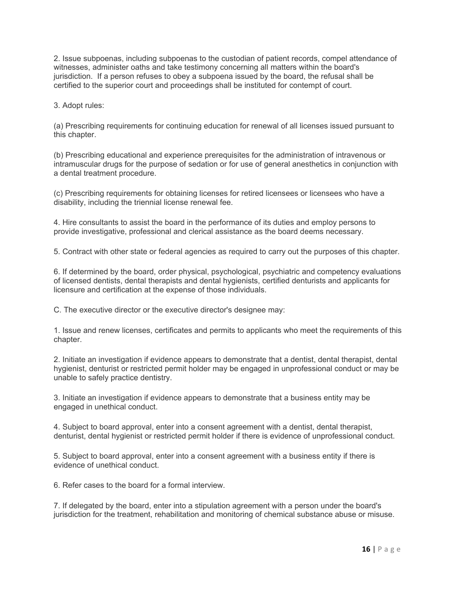2. Issue subpoenas, including subpoenas to the custodian of patient records, compel attendance of witnesses, administer oaths and take testimony concerning all matters within the board's jurisdiction. If a person refuses to obey a subpoena issued by the board, the refusal shall be certified to the superior court and proceedings shall be instituted for contempt of court.

3. Adopt rules:

(a) Prescribing requirements for continuing education for renewal of all licenses issued pursuant to this chapter.

(b) Prescribing educational and experience prerequisites for the administration of intravenous or intramuscular drugs for the purpose of sedation or for use of general anesthetics in conjunction with a dental treatment procedure.

(c) Prescribing requirements for obtaining licenses for retired licensees or licensees who have a disability, including the triennial license renewal fee.

4. Hire consultants to assist the board in the performance of its duties and employ persons to provide investigative, professional and clerical assistance as the board deems necessary.

5. Contract with other state or federal agencies as required to carry out the purposes of this chapter.

6. If determined by the board, order physical, psychological, psychiatric and competency evaluations of licensed dentists, dental therapists and dental hygienists, certified denturists and applicants for licensure and certification at the expense of those individuals.

C. The executive director or the executive director's designee may:

1. Issue and renew licenses, certificates and permits to applicants who meet the requirements of this chapter.

2. Initiate an investigation if evidence appears to demonstrate that a dentist, dental therapist, dental hygienist, denturist or restricted permit holder may be engaged in unprofessional conduct or may be unable to safely practice dentistry.

3. Initiate an investigation if evidence appears to demonstrate that a business entity may be engaged in unethical conduct.

4. Subject to board approval, enter into a consent agreement with a dentist, dental therapist, denturist, dental hygienist or restricted permit holder if there is evidence of unprofessional conduct.

5. Subject to board approval, enter into a consent agreement with a business entity if there is evidence of unethical conduct.

6. Refer cases to the board for a formal interview.

7. If delegated by the board, enter into a stipulation agreement with a person under the board's jurisdiction for the treatment, rehabilitation and monitoring of chemical substance abuse or misuse.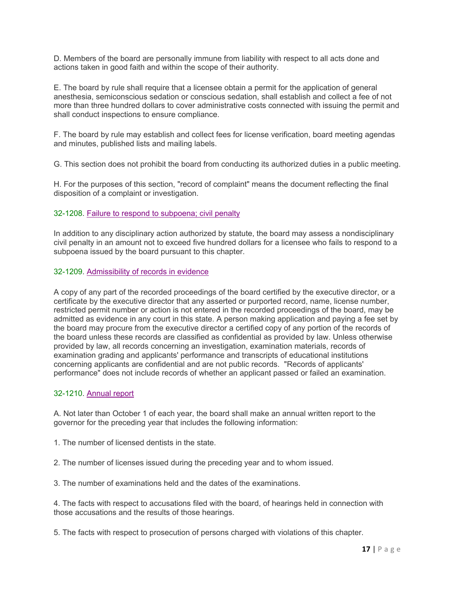D. Members of the board are personally immune from liability with respect to all acts done and actions taken in good faith and within the scope of their authority.

E. The board by rule shall require that a licensee obtain a permit for the application of general anesthesia, semiconscious sedation or conscious sedation, shall establish and collect a fee of not more than three hundred dollars to cover administrative costs connected with issuing the permit and shall conduct inspections to ensure compliance.

F. The board by rule may establish and collect fees for license verification, board meeting agendas and minutes, published lists and mailing labels.

G. This section does not prohibit the board from conducting its authorized duties in a public meeting.

H. For the purposes of this section, "record of complaint" means the document reflecting the final disposition of a complaint or investigation.

#### 32-1208. Failure to respond to subpoena; civil penalty

In addition to any disciplinary action authorized by statute, the board may assess a nondisciplinary civil penalty in an amount not to exceed five hundred dollars for a licensee who fails to respond to a subpoena issued by the board pursuant to this chapter.

#### 32-1209. Admissibility of records in evidence

A copy of any part of the recorded proceedings of the board certified by the executive director, or a certificate by the executive director that any asserted or purported record, name, license number, restricted permit number or action is not entered in the recorded proceedings of the board, may be admitted as evidence in any court in this state. A person making application and paying a fee set by the board may procure from the executive director a certified copy of any portion of the records of the board unless these records are classified as confidential as provided by law. Unless otherwise provided by law, all records concerning an investigation, examination materials, records of examination grading and applicants' performance and transcripts of educational institutions concerning applicants are confidential and are not public records. "Records of applicants' performance" does not include records of whether an applicant passed or failed an examination.

#### 32-1210. Annual report

A. Not later than October 1 of each year, the board shall make an annual written report to the governor for the preceding year that includes the following information:

1. The number of licensed dentists in the state.

2. The number of licenses issued during the preceding year and to whom issued.

3. The number of examinations held and the dates of the examinations.

4. The facts with respect to accusations filed with the board, of hearings held in connection with those accusations and the results of those hearings.

5. The facts with respect to prosecution of persons charged with violations of this chapter.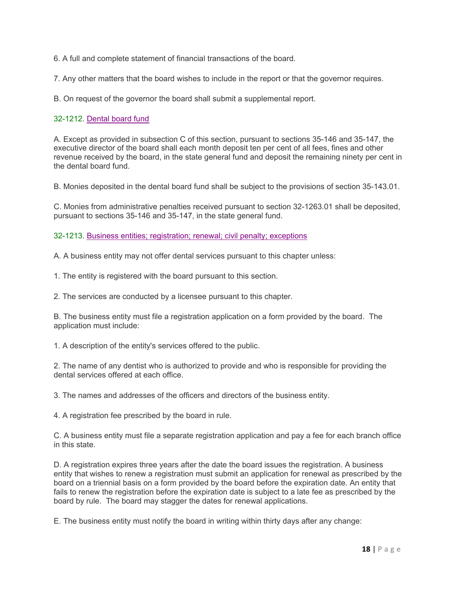6. A full and complete statement of financial transactions of the board.

7. Any other matters that the board wishes to include in the report or that the governor requires.

B. On request of the governor the board shall submit a supplemental report.

#### 32-1212. Dental board fund

A. Except as provided in subsection C of this section, pursuant to sections 35-146 and 35-147, the executive director of the board shall each month deposit ten per cent of all fees, fines and other revenue received by the board, in the state general fund and deposit the remaining ninety per cent in the dental board fund.

B. Monies deposited in the dental board fund shall be subject to the provisions of section 35-143.01.

C. Monies from administrative penalties received pursuant to section 32-1263.01 shall be deposited, pursuant to sections 35-146 and 35-147, in the state general fund.

32-1213. Business entities; registration; renewal; civil penalty; exceptions

A. A business entity may not offer dental services pursuant to this chapter unless:

1. The entity is registered with the board pursuant to this section.

2. The services are conducted by a licensee pursuant to this chapter.

B. The business entity must file a registration application on a form provided by the board. The application must include:

1. A description of the entity's services offered to the public.

2. The name of any dentist who is authorized to provide and who is responsible for providing the dental services offered at each office.

3. The names and addresses of the officers and directors of the business entity.

4. A registration fee prescribed by the board in rule.

C. A business entity must file a separate registration application and pay a fee for each branch office in this state.

D. A registration expires three years after the date the board issues the registration. A business entity that wishes to renew a registration must submit an application for renewal as prescribed by the board on a triennial basis on a form provided by the board before the expiration date. An entity that fails to renew the registration before the expiration date is subject to a late fee as prescribed by the board by rule. The board may stagger the dates for renewal applications.

E. The business entity must notify the board in writing within thirty days after any change: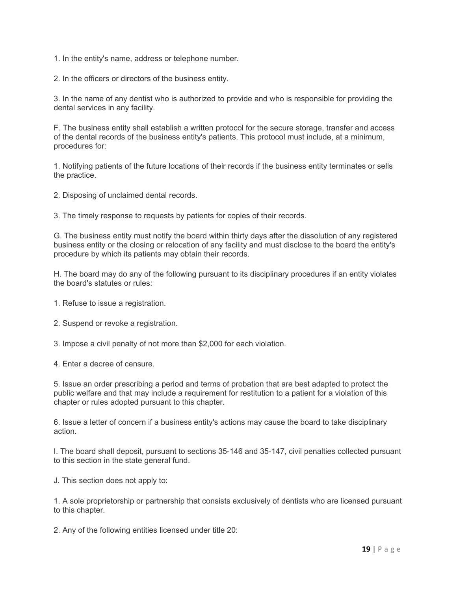1. In the entity's name, address or telephone number.

2. In the officers or directors of the business entity.

3. In the name of any dentist who is authorized to provide and who is responsible for providing the dental services in any facility.

F. The business entity shall establish a written protocol for the secure storage, transfer and access of the dental records of the business entity's patients. This protocol must include, at a minimum, procedures for:

1. Notifying patients of the future locations of their records if the business entity terminates or sells the practice.

2. Disposing of unclaimed dental records.

3. The timely response to requests by patients for copies of their records.

G. The business entity must notify the board within thirty days after the dissolution of any registered business entity or the closing or relocation of any facility and must disclose to the board the entity's procedure by which its patients may obtain their records.

H. The board may do any of the following pursuant to its disciplinary procedures if an entity violates the board's statutes or rules:

1. Refuse to issue a registration.

2. Suspend or revoke a registration.

3. Impose a civil penalty of not more than \$2,000 for each violation.

4. Enter a decree of censure.

5. Issue an order prescribing a period and terms of probation that are best adapted to protect the public welfare and that may include a requirement for restitution to a patient for a violation of this chapter or rules adopted pursuant to this chapter.

6. Issue a letter of concern if a business entity's actions may cause the board to take disciplinary action.

I. The board shall deposit, pursuant to sections 35-146 and 35-147, civil penalties collected pursuant to this section in the state general fund.

J. This section does not apply to:

1. A sole proprietorship or partnership that consists exclusively of dentists who are licensed pursuant to this chapter.

2. Any of the following entities licensed under title 20: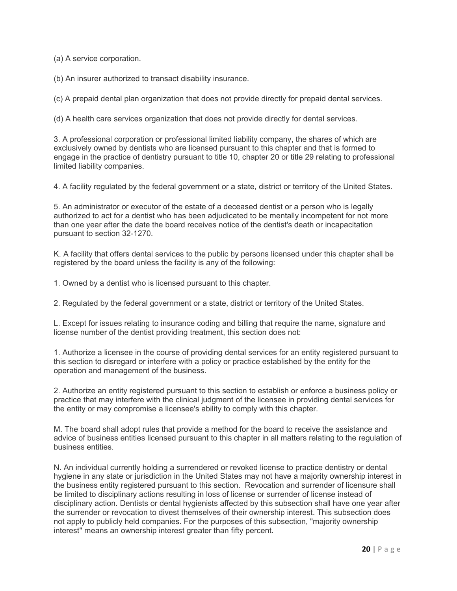(a) A service corporation.

(b) An insurer authorized to transact disability insurance.

(c) A prepaid dental plan organization that does not provide directly for prepaid dental services.

(d) A health care services organization that does not provide directly for dental services.

3. A professional corporation or professional limited liability company, the shares of which are exclusively owned by dentists who are licensed pursuant to this chapter and that is formed to engage in the practice of dentistry pursuant to title 10, chapter 20 or title 29 relating to professional limited liability companies.

4. A facility regulated by the federal government or a state, district or territory of the United States.

5. An administrator or executor of the estate of a deceased dentist or a person who is legally authorized to act for a dentist who has been adjudicated to be mentally incompetent for not more than one year after the date the board receives notice of the dentist's death or incapacitation pursuant to section 32-1270.

K. A facility that offers dental services to the public by persons licensed under this chapter shall be registered by the board unless the facility is any of the following:

1. Owned by a dentist who is licensed pursuant to this chapter.

2. Regulated by the federal government or a state, district or territory of the United States.

L. Except for issues relating to insurance coding and billing that require the name, signature and license number of the dentist providing treatment, this section does not:

1. Authorize a licensee in the course of providing dental services for an entity registered pursuant to this section to disregard or interfere with a policy or practice established by the entity for the operation and management of the business.

2. Authorize an entity registered pursuant to this section to establish or enforce a business policy or practice that may interfere with the clinical judgment of the licensee in providing dental services for the entity or may compromise a licensee's ability to comply with this chapter.

M. The board shall adopt rules that provide a method for the board to receive the assistance and advice of business entities licensed pursuant to this chapter in all matters relating to the regulation of business entities.

N. An individual currently holding a surrendered or revoked license to practice dentistry or dental hygiene in any state or jurisdiction in the United States may not have a majority ownership interest in the business entity registered pursuant to this section. Revocation and surrender of licensure shall be limited to disciplinary actions resulting in loss of license or surrender of license instead of disciplinary action. Dentists or dental hygienists affected by this subsection shall have one year after the surrender or revocation to divest themselves of their ownership interest. This subsection does not apply to publicly held companies. For the purposes of this subsection, "majority ownership interest" means an ownership interest greater than fifty percent.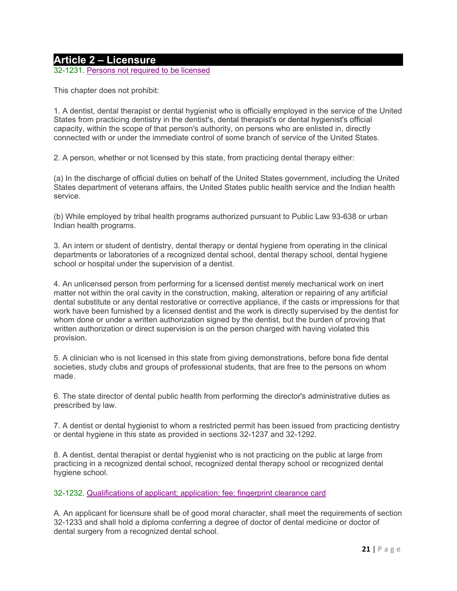## **Article 2 – Licensure**

32-1231. Persons not required to be licensed

This chapter does not prohibit:

1. A dentist, dental therapist or dental hygienist who is officially employed in the service of the United States from practicing dentistry in the dentist's, dental therapist's or dental hygienist's official capacity, within the scope of that person's authority, on persons who are enlisted in, directly connected with or under the immediate control of some branch of service of the United States.

2. A person, whether or not licensed by this state, from practicing dental therapy either:

(a) In the discharge of official duties on behalf of the United States government, including the United States department of veterans affairs, the United States public health service and the Indian health service.

(b) While employed by tribal health programs authorized pursuant to Public Law 93-638 or urban Indian health programs.

3. An intern or student of dentistry, dental therapy or dental hygiene from operating in the clinical departments or laboratories of a recognized dental school, dental therapy school, dental hygiene school or hospital under the supervision of a dentist.

4. An unlicensed person from performing for a licensed dentist merely mechanical work on inert matter not within the oral cavity in the construction, making, alteration or repairing of any artificial dental substitute or any dental restorative or corrective appliance, if the casts or impressions for that work have been furnished by a licensed dentist and the work is directly supervised by the dentist for whom done or under a written authorization signed by the dentist, but the burden of proving that written authorization or direct supervision is on the person charged with having violated this provision.

5. A clinician who is not licensed in this state from giving demonstrations, before bona fide dental societies, study clubs and groups of professional students, that are free to the persons on whom made.

6. The state director of dental public health from performing the director's administrative duties as prescribed by law.

7. A dentist or dental hygienist to whom a restricted permit has been issued from practicing dentistry or dental hygiene in this state as provided in sections 32-1237 and 32-1292.

8. A dentist, dental therapist or dental hygienist who is not practicing on the public at large from practicing in a recognized dental school, recognized dental therapy school or recognized dental hygiene school.

#### 32-1232. Qualifications of applicant; application; fee; fingerprint clearance card

A. An applicant for licensure shall be of good moral character, shall meet the requirements of section 32-1233 and shall hold a diploma conferring a degree of doctor of dental medicine or doctor of dental surgery from a recognized dental school.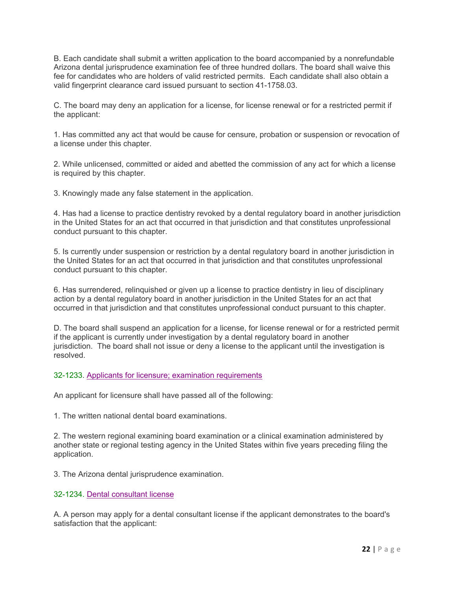B. Each candidate shall submit a written application to the board accompanied by a nonrefundable Arizona dental jurisprudence examination fee of three hundred dollars. The board shall waive this fee for candidates who are holders of valid restricted permits. Each candidate shall also obtain a valid fingerprint clearance card issued pursuant to section 41-1758.03.

C. The board may deny an application for a license, for license renewal or for a restricted permit if the applicant:

1. Has committed any act that would be cause for censure, probation or suspension or revocation of a license under this chapter.

2. While unlicensed, committed or aided and abetted the commission of any act for which a license is required by this chapter.

3. Knowingly made any false statement in the application.

4. Has had a license to practice dentistry revoked by a dental regulatory board in another jurisdiction in the United States for an act that occurred in that jurisdiction and that constitutes unprofessional conduct pursuant to this chapter.

5. Is currently under suspension or restriction by a dental regulatory board in another jurisdiction in the United States for an act that occurred in that jurisdiction and that constitutes unprofessional conduct pursuant to this chapter.

6. Has surrendered, relinquished or given up a license to practice dentistry in lieu of disciplinary action by a dental regulatory board in another jurisdiction in the United States for an act that occurred in that jurisdiction and that constitutes unprofessional conduct pursuant to this chapter.

D. The board shall suspend an application for a license, for license renewal or for a restricted permit if the applicant is currently under investigation by a dental regulatory board in another jurisdiction. The board shall not issue or deny a license to the applicant until the investigation is resolved.

32-1233. Applicants for licensure; examination requirements

An applicant for licensure shall have passed all of the following:

1. The written national dental board examinations.

2. The western regional examining board examination or a clinical examination administered by another state or regional testing agency in the United States within five years preceding filing the application.

3. The Arizona dental jurisprudence examination.

32-1234. Dental consultant license

A. A person may apply for a dental consultant license if the applicant demonstrates to the board's satisfaction that the applicant: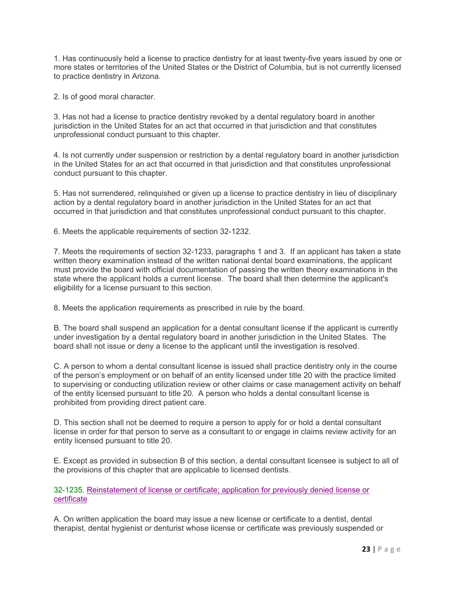1. Has continuously held a license to practice dentistry for at least twenty-five years issued by one or more states or territories of the United States or the District of Columbia, but is not currently licensed to practice dentistry in Arizona.

2. Is of good moral character.

3. Has not had a license to practice dentistry revoked by a dental regulatory board in another jurisdiction in the United States for an act that occurred in that jurisdiction and that constitutes unprofessional conduct pursuant to this chapter.

4. Is not currently under suspension or restriction by a dental regulatory board in another jurisdiction in the United States for an act that occurred in that jurisdiction and that constitutes unprofessional conduct pursuant to this chapter.

5. Has not surrendered, relinquished or given up a license to practice dentistry in lieu of disciplinary action by a dental regulatory board in another jurisdiction in the United States for an act that occurred in that jurisdiction and that constitutes unprofessional conduct pursuant to this chapter.

6. Meets the applicable requirements of section 32-1232.

7. Meets the requirements of section 32-1233, paragraphs 1 and 3. If an applicant has taken a state written theory examination instead of the written national dental board examinations, the applicant must provide the board with official documentation of passing the written theory examinations in the state where the applicant holds a current license. The board shall then determine the applicant's eligibility for a license pursuant to this section.

8. Meets the application requirements as prescribed in rule by the board.

B. The board shall suspend an application for a dental consultant license if the applicant is currently under investigation by a dental regulatory board in another jurisdiction in the United States. The board shall not issue or deny a license to the applicant until the investigation is resolved.

C. A person to whom a dental consultant license is issued shall practice dentistry only in the course of the person's employment or on behalf of an entity licensed under title 20 with the practice limited to supervising or conducting utilization review or other claims or case management activity on behalf of the entity licensed pursuant to title 20. A person who holds a dental consultant license is prohibited from providing direct patient care.

D. This section shall not be deemed to require a person to apply for or hold a dental consultant license in order for that person to serve as a consultant to or engage in claims review activity for an entity licensed pursuant to title 20.

E. Except as provided in subsection B of this section, a dental consultant licensee is subject to all of the provisions of this chapter that are applicable to licensed dentists.

32-1235. Reinstatement of license or certificate; application for previously denied license or certificate

A. On written application the board may issue a new license or certificate to a dentist, dental therapist, dental hygienist or denturist whose license or certificate was previously suspended or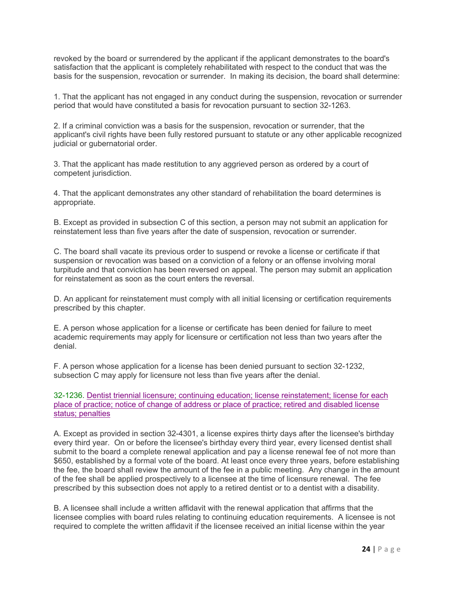revoked by the board or surrendered by the applicant if the applicant demonstrates to the board's satisfaction that the applicant is completely rehabilitated with respect to the conduct that was the basis for the suspension, revocation or surrender. In making its decision, the board shall determine:

1. That the applicant has not engaged in any conduct during the suspension, revocation or surrender period that would have constituted a basis for revocation pursuant to section 32-1263.

2. If a criminal conviction was a basis for the suspension, revocation or surrender, that the applicant's civil rights have been fully restored pursuant to statute or any other applicable recognized judicial or gubernatorial order.

3. That the applicant has made restitution to any aggrieved person as ordered by a court of competent jurisdiction.

4. That the applicant demonstrates any other standard of rehabilitation the board determines is appropriate.

B. Except as provided in subsection C of this section, a person may not submit an application for reinstatement less than five years after the date of suspension, revocation or surrender.

C. The board shall vacate its previous order to suspend or revoke a license or certificate if that suspension or revocation was based on a conviction of a felony or an offense involving moral turpitude and that conviction has been reversed on appeal. The person may submit an application for reinstatement as soon as the court enters the reversal.

D. An applicant for reinstatement must comply with all initial licensing or certification requirements prescribed by this chapter.

E. A person whose application for a license or certificate has been denied for failure to meet academic requirements may apply for licensure or certification not less than two years after the denial.

F. A person whose application for a license has been denied pursuant to section 32-1232, subsection C may apply for licensure not less than five years after the denial.

32-1236. Dentist triennial licensure; continuing education; license reinstatement; license for each place of practice; notice of change of address or place of practice; retired and disabled license status; penalties

A. Except as provided in section 32-4301, a license expires thirty days after the licensee's birthday every third year. On or before the licensee's birthday every third year, every licensed dentist shall submit to the board a complete renewal application and pay a license renewal fee of not more than \$650, established by a formal vote of the board. At least once every three years, before establishing the fee, the board shall review the amount of the fee in a public meeting. Any change in the amount of the fee shall be applied prospectively to a licensee at the time of licensure renewal. The fee prescribed by this subsection does not apply to a retired dentist or to a dentist with a disability.

B. A licensee shall include a written affidavit with the renewal application that affirms that the licensee complies with board rules relating to continuing education requirements. A licensee is not required to complete the written affidavit if the licensee received an initial license within the year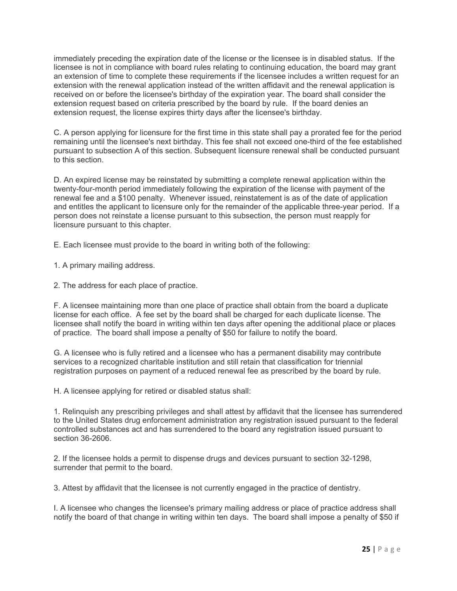immediately preceding the expiration date of the license or the licensee is in disabled status. If the licensee is not in compliance with board rules relating to continuing education, the board may grant an extension of time to complete these requirements if the licensee includes a written request for an extension with the renewal application instead of the written affidavit and the renewal application is received on or before the licensee's birthday of the expiration year. The board shall consider the extension request based on criteria prescribed by the board by rule. If the board denies an extension request, the license expires thirty days after the licensee's birthday.

C. A person applying for licensure for the first time in this state shall pay a prorated fee for the period remaining until the licensee's next birthday. This fee shall not exceed one-third of the fee established pursuant to subsection A of this section. Subsequent licensure renewal shall be conducted pursuant to this section.

D. An expired license may be reinstated by submitting a complete renewal application within the twenty-four-month period immediately following the expiration of the license with payment of the renewal fee and a \$100 penalty. Whenever issued, reinstatement is as of the date of application and entitles the applicant to licensure only for the remainder of the applicable three-year period. If a person does not reinstate a license pursuant to this subsection, the person must reapply for licensure pursuant to this chapter.

E. Each licensee must provide to the board in writing both of the following:

1. A primary mailing address.

2. The address for each place of practice.

F. A licensee maintaining more than one place of practice shall obtain from the board a duplicate license for each office. A fee set by the board shall be charged for each duplicate license. The licensee shall notify the board in writing within ten days after opening the additional place or places of practice. The board shall impose a penalty of \$50 for failure to notify the board.

G. A licensee who is fully retired and a licensee who has a permanent disability may contribute services to a recognized charitable institution and still retain that classification for triennial registration purposes on payment of a reduced renewal fee as prescribed by the board by rule.

H. A licensee applying for retired or disabled status shall:

1. Relinquish any prescribing privileges and shall attest by affidavit that the licensee has surrendered to the United States drug enforcement administration any registration issued pursuant to the federal controlled substances act and has surrendered to the board any registration issued pursuant to section 36-2606.

2. If the licensee holds a permit to dispense drugs and devices pursuant to section 32-1298, surrender that permit to the board.

3. Attest by affidavit that the licensee is not currently engaged in the practice of dentistry.

I. A licensee who changes the licensee's primary mailing address or place of practice address shall notify the board of that change in writing within ten days. The board shall impose a penalty of \$50 if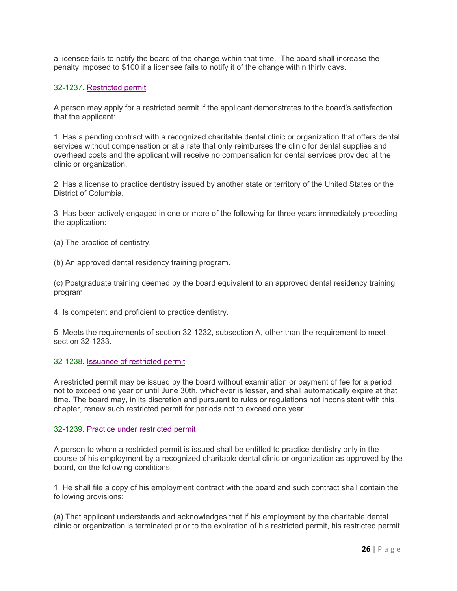a licensee fails to notify the board of the change within that time. The board shall increase the penalty imposed to \$100 if a licensee fails to notify it of the change within thirty days.

#### 32-1237. Restricted permit

A person may apply for a restricted permit if the applicant demonstrates to the board's satisfaction that the applicant:

1. Has a pending contract with a recognized charitable dental clinic or organization that offers dental services without compensation or at a rate that only reimburses the clinic for dental supplies and overhead costs and the applicant will receive no compensation for dental services provided at the clinic or organization.

2. Has a license to practice dentistry issued by another state or territory of the United States or the District of Columbia.

3. Has been actively engaged in one or more of the following for three years immediately preceding the application:

(a) The practice of dentistry.

(b) An approved dental residency training program.

(c) Postgraduate training deemed by the board equivalent to an approved dental residency training program.

4. Is competent and proficient to practice dentistry.

5. Meets the requirements of section 32-1232, subsection A, other than the requirement to meet section 32-1233.

#### 32-1238. Issuance of restricted permit

A restricted permit may be issued by the board without examination or payment of fee for a period not to exceed one year or until June 30th, whichever is lesser, and shall automatically expire at that time. The board may, in its discretion and pursuant to rules or regulations not inconsistent with this chapter, renew such restricted permit for periods not to exceed one year.

#### 32-1239. Practice under restricted permit

A person to whom a restricted permit is issued shall be entitled to practice dentistry only in the course of his employment by a recognized charitable dental clinic or organization as approved by the board, on the following conditions:

1. He shall file a copy of his employment contract with the board and such contract shall contain the following provisions:

(a) That applicant understands and acknowledges that if his employment by the charitable dental clinic or organization is terminated prior to the expiration of his restricted permit, his restricted permit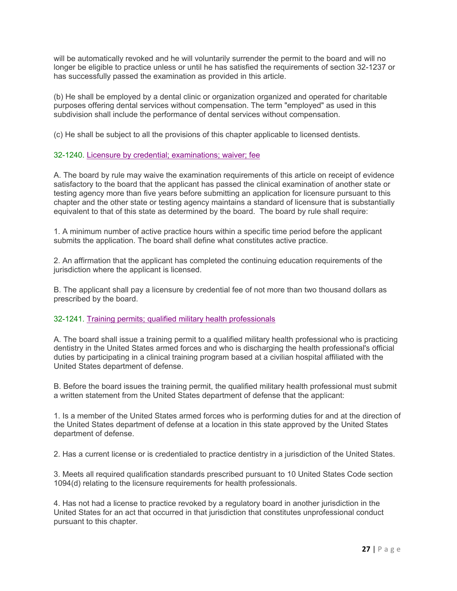will be automatically revoked and he will voluntarily surrender the permit to the board and will no longer be eligible to practice unless or until he has satisfied the requirements of section 32-1237 or has successfully passed the examination as provided in this article.

(b) He shall be employed by a dental clinic or organization organized and operated for charitable purposes offering dental services without compensation. The term "employed" as used in this subdivision shall include the performance of dental services without compensation.

(c) He shall be subject to all the provisions of this chapter applicable to licensed dentists.

#### 32-1240. Licensure by credential; examinations; waiver; fee

A. The board by rule may waive the examination requirements of this article on receipt of evidence satisfactory to the board that the applicant has passed the clinical examination of another state or testing agency more than five years before submitting an application for licensure pursuant to this chapter and the other state or testing agency maintains a standard of licensure that is substantially equivalent to that of this state as determined by the board. The board by rule shall require:

1. A minimum number of active practice hours within a specific time period before the applicant submits the application. The board shall define what constitutes active practice.

2. An affirmation that the applicant has completed the continuing education requirements of the jurisdiction where the applicant is licensed.

B. The applicant shall pay a licensure by credential fee of not more than two thousand dollars as prescribed by the board.

#### 32-1241. Training permits; qualified military health professionals

A. The board shall issue a training permit to a qualified military health professional who is practicing dentistry in the United States armed forces and who is discharging the health professional's official duties by participating in a clinical training program based at a civilian hospital affiliated with the United States department of defense.

B. Before the board issues the training permit, the qualified military health professional must submit a written statement from the United States department of defense that the applicant:

1. Is a member of the United States armed forces who is performing duties for and at the direction of the United States department of defense at a location in this state approved by the United States department of defense.

2. Has a current license or is credentialed to practice dentistry in a jurisdiction of the United States.

3. Meets all required qualification standards prescribed pursuant to 10 United States Code section 1094(d) relating to the licensure requirements for health professionals.

4. Has not had a license to practice revoked by a regulatory board in another jurisdiction in the United States for an act that occurred in that jurisdiction that constitutes unprofessional conduct pursuant to this chapter.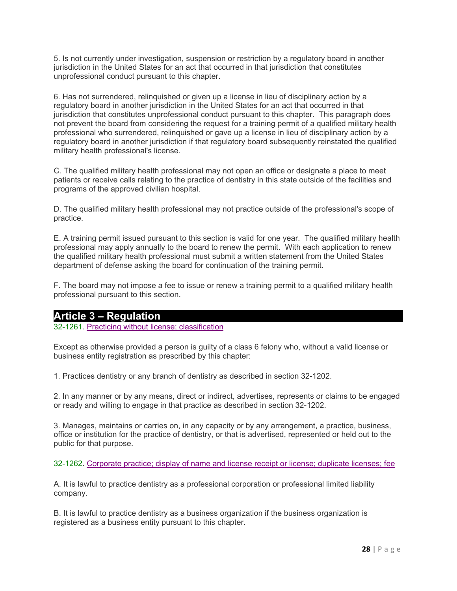5. Is not currently under investigation, suspension or restriction by a regulatory board in another jurisdiction in the United States for an act that occurred in that jurisdiction that constitutes unprofessional conduct pursuant to this chapter.

6. Has not surrendered, relinquished or given up a license in lieu of disciplinary action by a regulatory board in another jurisdiction in the United States for an act that occurred in that jurisdiction that constitutes unprofessional conduct pursuant to this chapter. This paragraph does not prevent the board from considering the request for a training permit of a qualified military health professional who surrendered, relinquished or gave up a license in lieu of disciplinary action by a regulatory board in another jurisdiction if that regulatory board subsequently reinstated the qualified military health professional's license.

C. The qualified military health professional may not open an office or designate a place to meet patients or receive calls relating to the practice of dentistry in this state outside of the facilities and programs of the approved civilian hospital.

D. The qualified military health professional may not practice outside of the professional's scope of practice.

E. A training permit issued pursuant to this section is valid for one year. The qualified military health professional may apply annually to the board to renew the permit. With each application to renew the qualified military health professional must submit a written statement from the United States department of defense asking the board for continuation of the training permit.

F. The board may not impose a fee to issue or renew a training permit to a qualified military health professional pursuant to this section.

## **Article 3 – Regulation**

32-1261. Practicing without license; classification

Except as otherwise provided a person is guilty of a class 6 felony who, without a valid license or business entity registration as prescribed by this chapter:

1. Practices dentistry or any branch of dentistry as described in section 32-1202.

2. In any manner or by any means, direct or indirect, advertises, represents or claims to be engaged or ready and willing to engage in that practice as described in section 32-1202.

3. Manages, maintains or carries on, in any capacity or by any arrangement, a practice, business, office or institution for the practice of dentistry, or that is advertised, represented or held out to the public for that purpose.

32-1262. Corporate practice; display of name and license receipt or license; duplicate licenses; fee

A. It is lawful to practice dentistry as a professional corporation or professional limited liability company.

B. It is lawful to practice dentistry as a business organization if the business organization is registered as a business entity pursuant to this chapter.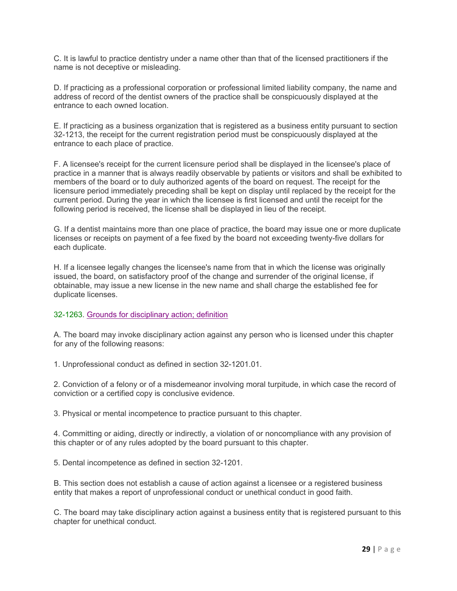C. It is lawful to practice dentistry under a name other than that of the licensed practitioners if the name is not deceptive or misleading.

D. If practicing as a professional corporation or professional limited liability company, the name and address of record of the dentist owners of the practice shall be conspicuously displayed at the entrance to each owned location.

E. If practicing as a business organization that is registered as a business entity pursuant to section 32-1213, the receipt for the current registration period must be conspicuously displayed at the entrance to each place of practice.

F. A licensee's receipt for the current licensure period shall be displayed in the licensee's place of practice in a manner that is always readily observable by patients or visitors and shall be exhibited to members of the board or to duly authorized agents of the board on request. The receipt for the licensure period immediately preceding shall be kept on display until replaced by the receipt for the current period. During the year in which the licensee is first licensed and until the receipt for the following period is received, the license shall be displayed in lieu of the receipt.

G. If a dentist maintains more than one place of practice, the board may issue one or more duplicate licenses or receipts on payment of a fee fixed by the board not exceeding twenty-five dollars for each duplicate.

H. If a licensee legally changes the licensee's name from that in which the license was originally issued, the board, on satisfactory proof of the change and surrender of the original license, if obtainable, may issue a new license in the new name and shall charge the established fee for duplicate licenses.

#### 32-1263. Grounds for disciplinary action; definition

A. The board may invoke disciplinary action against any person who is licensed under this chapter for any of the following reasons:

1. Unprofessional conduct as defined in section 32-1201.01.

2. Conviction of a felony or of a misdemeanor involving moral turpitude, in which case the record of conviction or a certified copy is conclusive evidence.

3. Physical or mental incompetence to practice pursuant to this chapter.

4. Committing or aiding, directly or indirectly, a violation of or noncompliance with any provision of this chapter or of any rules adopted by the board pursuant to this chapter.

5. Dental incompetence as defined in section 32-1201.

B. This section does not establish a cause of action against a licensee or a registered business entity that makes a report of unprofessional conduct or unethical conduct in good faith.

C. The board may take disciplinary action against a business entity that is registered pursuant to this chapter for unethical conduct.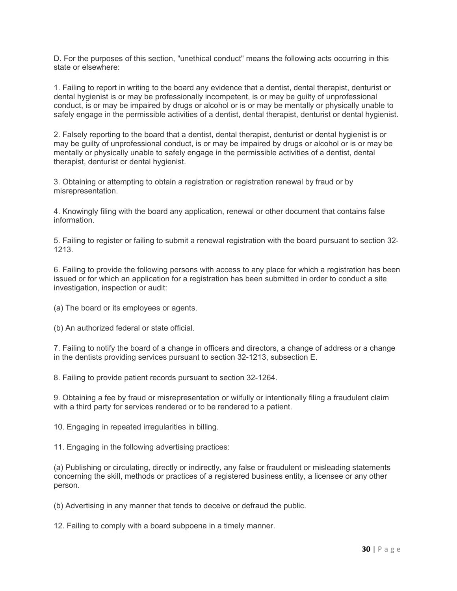D. For the purposes of this section, "unethical conduct" means the following acts occurring in this state or elsewhere:

1. Failing to report in writing to the board any evidence that a dentist, dental therapist, denturist or dental hygienist is or may be professionally incompetent, is or may be guilty of unprofessional conduct, is or may be impaired by drugs or alcohol or is or may be mentally or physically unable to safely engage in the permissible activities of a dentist, dental therapist, denturist or dental hygienist.

2. Falsely reporting to the board that a dentist, dental therapist, denturist or dental hygienist is or may be guilty of unprofessional conduct, is or may be impaired by drugs or alcohol or is or may be mentally or physically unable to safely engage in the permissible activities of a dentist, dental therapist, denturist or dental hygienist.

3. Obtaining or attempting to obtain a registration or registration renewal by fraud or by misrepresentation.

4. Knowingly filing with the board any application, renewal or other document that contains false information.

5. Failing to register or failing to submit a renewal registration with the board pursuant to section 32- 1213.

6. Failing to provide the following persons with access to any place for which a registration has been issued or for which an application for a registration has been submitted in order to conduct a site investigation, inspection or audit:

(a) The board or its employees or agents.

(b) An authorized federal or state official.

7. Failing to notify the board of a change in officers and directors, a change of address or a change in the dentists providing services pursuant to section 32-1213, subsection E.

8. Failing to provide patient records pursuant to section 32-1264.

9. Obtaining a fee by fraud or misrepresentation or wilfully or intentionally filing a fraudulent claim with a third party for services rendered or to be rendered to a patient.

10. Engaging in repeated irregularities in billing.

11. Engaging in the following advertising practices:

(a) Publishing or circulating, directly or indirectly, any false or fraudulent or misleading statements concerning the skill, methods or practices of a registered business entity, a licensee or any other person.

(b) Advertising in any manner that tends to deceive or defraud the public.

12. Failing to comply with a board subpoena in a timely manner.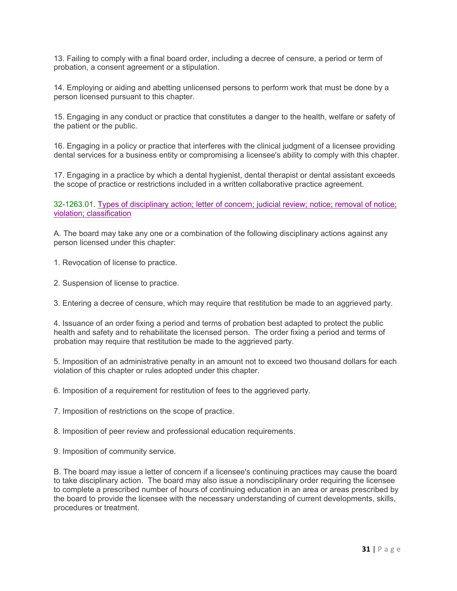13. Failing to comply with a final board order, including a decree of censure, a period or term of probation, a consent agreement or a stipulation.

14. Employing or aiding and abetting unlicensed persons to perform work that must be done by a person licensed pursuant to this chapter.

15. Engaging in any conduct or practice that constitutes a danger to the health, welfare or safety of the patient or the public.

16. Engaging in a policy or practice that interferes with the clinical judgment of a licensee providing dental services for a business entity or compromising a licensee's ability to comply with this chapter.

17. Engaging in a practice by which a dental hygienist, dental therapist or dental assistant exceeds the scope of practice or restrictions included in a written collaborative practice agreement.

32-1263.01. Types of disciplinary action; letter of concern; judicial review; notice; removal of notice; violation; classification

A. The board may take any one or a combination of the following disciplinary actions against any person licensed under this chapter:

1. Revocation of license to practice.

2. Suspension of license to practice.

3. Entering a decree of censure, which may require that restitution be made to an aggrieved party.

4. Issuance of an order fixing a period and terms of probation best adapted to protect the public health and safety and to rehabilitate the licensed person. The order fixing a period and terms of probation may require that restitution be made to the aggrieved party.

5. Imposition of an administrative penalty in an amount not to exceed two thousand dollars for each violation of this chapter or rules adopted under this chapter.

6. Imposition of a requirement for restitution of fees to the aggrieved party.

7. Imposition of restrictions on the scope of practice.

8. Imposition of peer review and professional education requirements.

9. Imposition of community service.

B. The board may issue a letter of concern if a licensee's continuing practices may cause the board to take disciplinary action. The board may also issue a nondisciplinary order requiring the licensee to complete a prescribed number of hours of continuing education in an area or areas prescribed by the board to provide the licensee with the necessary understanding of current developments, skills, procedures or treatment.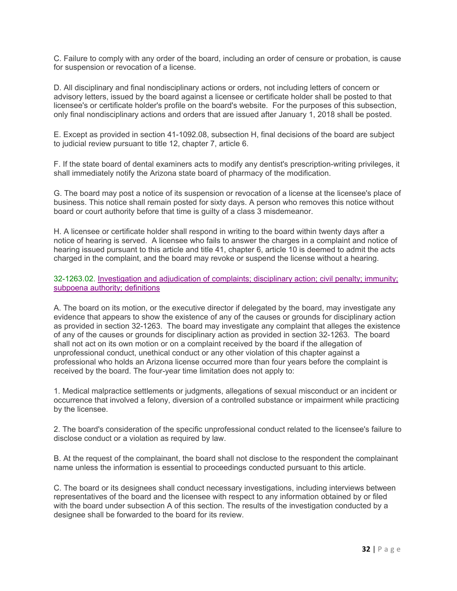C. Failure to comply with any order of the board, including an order of censure or probation, is cause for suspension or revocation of a license.

D. All disciplinary and final nondisciplinary actions or orders, not including letters of concern or advisory letters, issued by the board against a licensee or certificate holder shall be posted to that licensee's or certificate holder's profile on the board's website. For the purposes of this subsection, only final nondisciplinary actions and orders that are issued after January 1, 2018 shall be posted.

E. Except as provided in section 41-1092.08, subsection H, final decisions of the board are subject to judicial review pursuant to title 12, chapter 7, article 6.

F. If the state board of dental examiners acts to modify any dentist's prescription-writing privileges, it shall immediately notify the Arizona state board of pharmacy of the modification.

G. The board may post a notice of its suspension or revocation of a license at the licensee's place of business. This notice shall remain posted for sixty days. A person who removes this notice without board or court authority before that time is guilty of a class 3 misdemeanor.

H. A licensee or certificate holder shall respond in writing to the board within twenty days after a notice of hearing is served. A licensee who fails to answer the charges in a complaint and notice of hearing issued pursuant to this article and title 41, chapter 6, article 10 is deemed to admit the acts charged in the complaint, and the board may revoke or suspend the license without a hearing.

32-1263.02. Investigation and adjudication of complaints; disciplinary action; civil penalty; immunity; subpoena authority; definitions

A. The board on its motion, or the executive director if delegated by the board, may investigate any evidence that appears to show the existence of any of the causes or grounds for disciplinary action as provided in section 32-1263. The board may investigate any complaint that alleges the existence of any of the causes or grounds for disciplinary action as provided in section 32-1263. The board shall not act on its own motion or on a complaint received by the board if the allegation of unprofessional conduct, unethical conduct or any other violation of this chapter against a professional who holds an Arizona license occurred more than four years before the complaint is received by the board. The four-year time limitation does not apply to:

1. Medical malpractice settlements or judgments, allegations of sexual misconduct or an incident or occurrence that involved a felony, diversion of a controlled substance or impairment while practicing by the licensee.

2. The board's consideration of the specific unprofessional conduct related to the licensee's failure to disclose conduct or a violation as required by law.

B. At the request of the complainant, the board shall not disclose to the respondent the complainant name unless the information is essential to proceedings conducted pursuant to this article.

C. The board or its designees shall conduct necessary investigations, including interviews between representatives of the board and the licensee with respect to any information obtained by or filed with the board under subsection A of this section. The results of the investigation conducted by a designee shall be forwarded to the board for its review.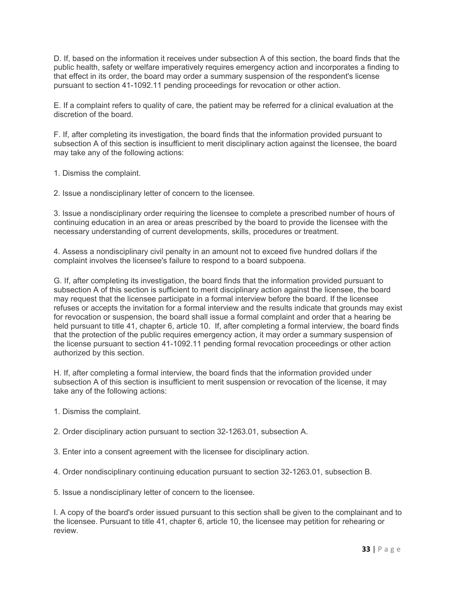D. If, based on the information it receives under subsection A of this section, the board finds that the public health, safety or welfare imperatively requires emergency action and incorporates a finding to that effect in its order, the board may order a summary suspension of the respondent's license pursuant to section 41-1092.11 pending proceedings for revocation or other action.

E. If a complaint refers to quality of care, the patient may be referred for a clinical evaluation at the discretion of the board.

F. If, after completing its investigation, the board finds that the information provided pursuant to subsection A of this section is insufficient to merit disciplinary action against the licensee, the board may take any of the following actions:

1. Dismiss the complaint.

2. Issue a nondisciplinary letter of concern to the licensee.

3. Issue a nondisciplinary order requiring the licensee to complete a prescribed number of hours of continuing education in an area or areas prescribed by the board to provide the licensee with the necessary understanding of current developments, skills, procedures or treatment.

4. Assess a nondisciplinary civil penalty in an amount not to exceed five hundred dollars if the complaint involves the licensee's failure to respond to a board subpoena.

G. If, after completing its investigation, the board finds that the information provided pursuant to subsection A of this section is sufficient to merit disciplinary action against the licensee, the board may request that the licensee participate in a formal interview before the board. If the licensee refuses or accepts the invitation for a formal interview and the results indicate that grounds may exist for revocation or suspension, the board shall issue a formal complaint and order that a hearing be held pursuant to title 41, chapter 6, article 10. If, after completing a formal interview, the board finds that the protection of the public requires emergency action, it may order a summary suspension of the license pursuant to section 41-1092.11 pending formal revocation proceedings or other action authorized by this section.

H. If, after completing a formal interview, the board finds that the information provided under subsection A of this section is insufficient to merit suspension or revocation of the license, it may take any of the following actions:

1. Dismiss the complaint.

2. Order disciplinary action pursuant to section 32-1263.01, subsection A.

3. Enter into a consent agreement with the licensee for disciplinary action.

4. Order nondisciplinary continuing education pursuant to section 32-1263.01, subsection B.

5. Issue a nondisciplinary letter of concern to the licensee.

I. A copy of the board's order issued pursuant to this section shall be given to the complainant and to the licensee. Pursuant to title 41, chapter 6, article 10, the licensee may petition for rehearing or review.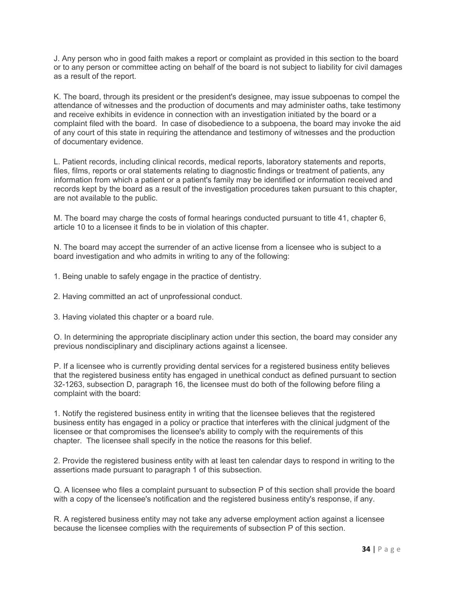J. Any person who in good faith makes a report or complaint as provided in this section to the board or to any person or committee acting on behalf of the board is not subject to liability for civil damages as a result of the report.

K. The board, through its president or the president's designee, may issue subpoenas to compel the attendance of witnesses and the production of documents and may administer oaths, take testimony and receive exhibits in evidence in connection with an investigation initiated by the board or a complaint filed with the board. In case of disobedience to a subpoena, the board may invoke the aid of any court of this state in requiring the attendance and testimony of witnesses and the production of documentary evidence.

L. Patient records, including clinical records, medical reports, laboratory statements and reports, files, films, reports or oral statements relating to diagnostic findings or treatment of patients, any information from which a patient or a patient's family may be identified or information received and records kept by the board as a result of the investigation procedures taken pursuant to this chapter, are not available to the public.

M. The board may charge the costs of formal hearings conducted pursuant to title 41, chapter 6, article 10 to a licensee it finds to be in violation of this chapter.

N. The board may accept the surrender of an active license from a licensee who is subject to a board investigation and who admits in writing to any of the following:

1. Being unable to safely engage in the practice of dentistry.

2. Having committed an act of unprofessional conduct.

3. Having violated this chapter or a board rule.

O. In determining the appropriate disciplinary action under this section, the board may consider any previous nondisciplinary and disciplinary actions against a licensee.

P. If a licensee who is currently providing dental services for a registered business entity believes that the registered business entity has engaged in unethical conduct as defined pursuant to section 32-1263, subsection D, paragraph 16, the licensee must do both of the following before filing a complaint with the board:

1. Notify the registered business entity in writing that the licensee believes that the registered business entity has engaged in a policy or practice that interferes with the clinical judgment of the licensee or that compromises the licensee's ability to comply with the requirements of this chapter. The licensee shall specify in the notice the reasons for this belief.

2. Provide the registered business entity with at least ten calendar days to respond in writing to the assertions made pursuant to paragraph 1 of this subsection.

Q. A licensee who files a complaint pursuant to subsection P of this section shall provide the board with a copy of the licensee's notification and the registered business entity's response, if any.

R. A registered business entity may not take any adverse employment action against a licensee because the licensee complies with the requirements of subsection P of this section.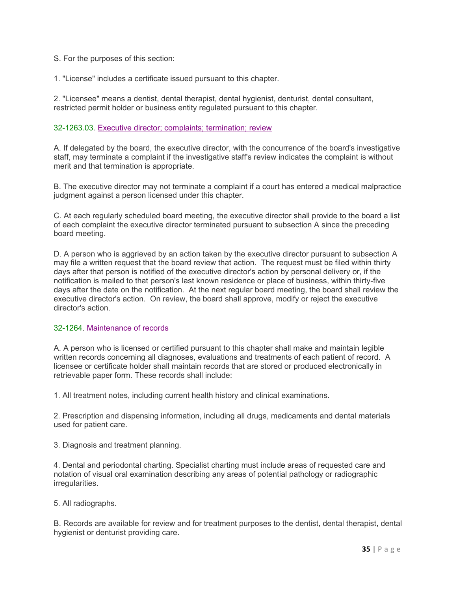S. For the purposes of this section:

1. "License" includes a certificate issued pursuant to this chapter.

2. "Licensee" means a dentist, dental therapist, dental hygienist, denturist, dental consultant, restricted permit holder or business entity regulated pursuant to this chapter.

#### 32-1263.03. Executive director; complaints; termination; review

A. If delegated by the board, the executive director, with the concurrence of the board's investigative staff, may terminate a complaint if the investigative staff's review indicates the complaint is without merit and that termination is appropriate.

B. The executive director may not terminate a complaint if a court has entered a medical malpractice judgment against a person licensed under this chapter.

C. At each regularly scheduled board meeting, the executive director shall provide to the board a list of each complaint the executive director terminated pursuant to subsection A since the preceding board meeting.

D. A person who is aggrieved by an action taken by the executive director pursuant to subsection A may file a written request that the board review that action. The request must be filed within thirty days after that person is notified of the executive director's action by personal delivery or, if the notification is mailed to that person's last known residence or place of business, within thirty-five days after the date on the notification. At the next regular board meeting, the board shall review the executive director's action. On review, the board shall approve, modify or reject the executive director's action.

#### 32-1264. Maintenance of records

A. A person who is licensed or certified pursuant to this chapter shall make and maintain legible written records concerning all diagnoses, evaluations and treatments of each patient of record. A licensee or certificate holder shall maintain records that are stored or produced electronically in retrievable paper form. These records shall include:

1. All treatment notes, including current health history and clinical examinations.

2. Prescription and dispensing information, including all drugs, medicaments and dental materials used for patient care.

3. Diagnosis and treatment planning.

4. Dental and periodontal charting. Specialist charting must include areas of requested care and notation of visual oral examination describing any areas of potential pathology or radiographic irregularities.

5. All radiographs.

B. Records are available for review and for treatment purposes to the dentist, dental therapist, dental hygienist or denturist providing care.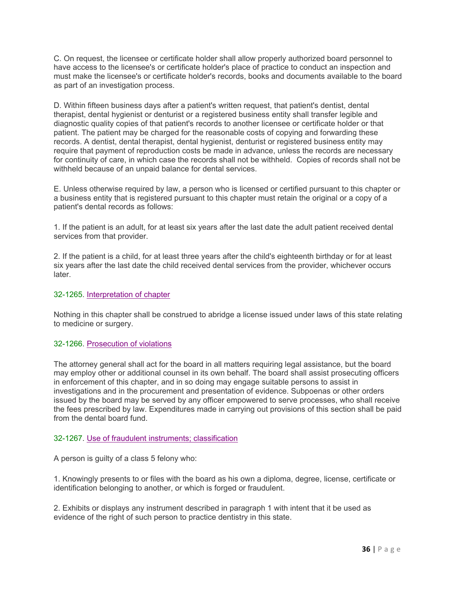C. On request, the licensee or certificate holder shall allow properly authorized board personnel to have access to the licensee's or certificate holder's place of practice to conduct an inspection and must make the licensee's or certificate holder's records, books and documents available to the board as part of an investigation process.

D. Within fifteen business days after a patient's written request, that patient's dentist, dental therapist, dental hygienist or denturist or a registered business entity shall transfer legible and diagnostic quality copies of that patient's records to another licensee or certificate holder or that patient. The patient may be charged for the reasonable costs of copying and forwarding these records. A dentist, dental therapist, dental hygienist, denturist or registered business entity may require that payment of reproduction costs be made in advance, unless the records are necessary for continuity of care, in which case the records shall not be withheld. Copies of records shall not be withheld because of an unpaid balance for dental services.

E. Unless otherwise required by law, a person who is licensed or certified pursuant to this chapter or a business entity that is registered pursuant to this chapter must retain the original or a copy of a patient's dental records as follows:

1. If the patient is an adult, for at least six years after the last date the adult patient received dental services from that provider.

2. If the patient is a child, for at least three years after the child's eighteenth birthday or for at least six years after the last date the child received dental services from the provider, whichever occurs later.

#### 32-1265. Interpretation of chapter

Nothing in this chapter shall be construed to abridge a license issued under laws of this state relating to medicine or surgery.

#### 32-1266. Prosecution of violations

The attorney general shall act for the board in all matters requiring legal assistance, but the board may employ other or additional counsel in its own behalf. The board shall assist prosecuting officers in enforcement of this chapter, and in so doing may engage suitable persons to assist in investigations and in the procurement and presentation of evidence. Subpoenas or other orders issued by the board may be served by any officer empowered to serve processes, who shall receive the fees prescribed by law. Expenditures made in carrying out provisions of this section shall be paid from the dental board fund.

#### 32-1267. Use of fraudulent instruments; classification

A person is guilty of a class 5 felony who:

1. Knowingly presents to or files with the board as his own a diploma, degree, license, certificate or identification belonging to another, or which is forged or fraudulent.

2. Exhibits or displays any instrument described in paragraph 1 with intent that it be used as evidence of the right of such person to practice dentistry in this state.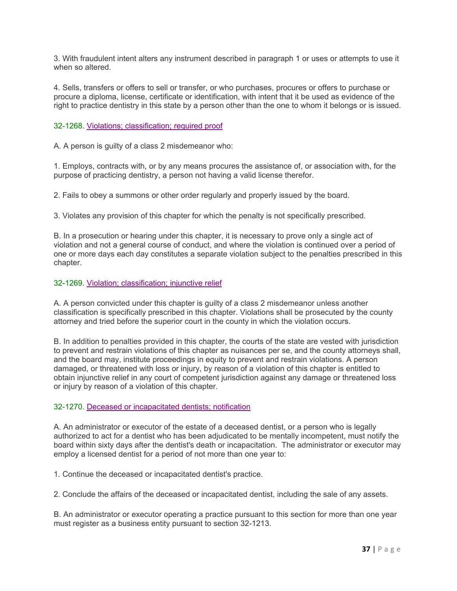3. With fraudulent intent alters any instrument described in paragraph 1 or uses or attempts to use it when so altered.

4. Sells, transfers or offers to sell or transfer, or who purchases, procures or offers to purchase or procure a diploma, license, certificate or identification, with intent that it be used as evidence of the right to practice dentistry in this state by a person other than the one to whom it belongs or is issued.

32-1268. Violations; classification; required proof

A. A person is guilty of a class 2 misdemeanor who:

1. Employs, contracts with, or by any means procures the assistance of, or association with, for the purpose of practicing dentistry, a person not having a valid license therefor.

2. Fails to obey a summons or other order regularly and properly issued by the board.

3. Violates any provision of this chapter for which the penalty is not specifically prescribed.

B. In a prosecution or hearing under this chapter, it is necessary to prove only a single act of violation and not a general course of conduct, and where the violation is continued over a period of one or more days each day constitutes a separate violation subject to the penalties prescribed in this chapter.

32-1269. Violation; classification; injunctive relief

A. A person convicted under this chapter is guilty of a class 2 misdemeanor unless another classification is specifically prescribed in this chapter. Violations shall be prosecuted by the county attorney and tried before the superior court in the county in which the violation occurs.

B. In addition to penalties provided in this chapter, the courts of the state are vested with jurisdiction to prevent and restrain violations of this chapter as nuisances per se, and the county attorneys shall, and the board may, institute proceedings in equity to prevent and restrain violations. A person damaged, or threatened with loss or injury, by reason of a violation of this chapter is entitled to obtain injunctive relief in any court of competent jurisdiction against any damage or threatened loss or injury by reason of a violation of this chapter.

#### 32-1270. Deceased or incapacitated dentists; notification

A. An administrator or executor of the estate of a deceased dentist, or a person who is legally authorized to act for a dentist who has been adjudicated to be mentally incompetent, must notify the board within sixty days after the dentist's death or incapacitation. The administrator or executor may employ a licensed dentist for a period of not more than one year to:

1. Continue the deceased or incapacitated dentist's practice.

2. Conclude the affairs of the deceased or incapacitated dentist, including the sale of any assets.

B. An administrator or executor operating a practice pursuant to this section for more than one year must register as a business entity pursuant to section 32-1213.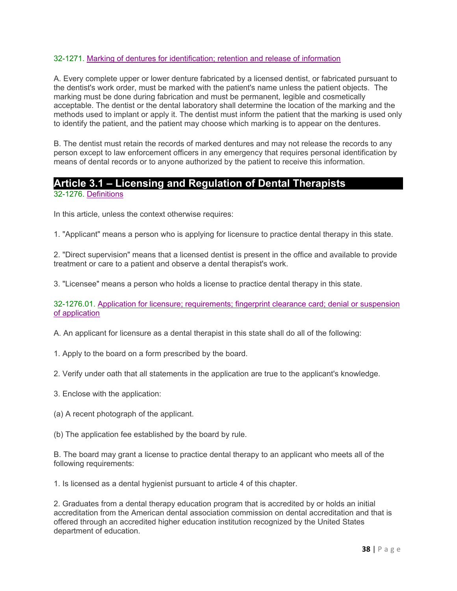#### 32-1271. Marking of dentures for identification; retention and release of information

A. Every complete upper or lower denture fabricated by a licensed dentist, or fabricated pursuant to the dentist's work order, must be marked with the patient's name unless the patient objects. The marking must be done during fabrication and must be permanent, legible and cosmetically acceptable. The dentist or the dental laboratory shall determine the location of the marking and the methods used to implant or apply it. The dentist must inform the patient that the marking is used only to identify the patient, and the patient may choose which marking is to appear on the dentures.

B. The dentist must retain the records of marked dentures and may not release the records to any person except to law enforcement officers in any emergency that requires personal identification by means of dental records or to anyone authorized by the patient to receive this information.

# **Article 3.1 – Licensing and Regulation of Dental Therapists**

### 32-1276. Definitions

In this article, unless the context otherwise requires:

1. "Applicant" means a person who is applying for licensure to practice dental therapy in this state.

2. "Direct supervision" means that a licensed dentist is present in the office and available to provide treatment or care to a patient and observe a dental therapist's work.

3. "Licensee" means a person who holds a license to practice dental therapy in this state.

32-1276.01. Application for licensure; requirements; fingerprint clearance card; denial or suspension of application

A. An applicant for licensure as a dental therapist in this state shall do all of the following:

- 1. Apply to the board on a form prescribed by the board.
- 2. Verify under oath that all statements in the application are true to the applicant's knowledge.
- 3. Enclose with the application:
- (a) A recent photograph of the applicant.
- (b) The application fee established by the board by rule.

B. The board may grant a license to practice dental therapy to an applicant who meets all of the following requirements:

1. Is licensed as a dental hygienist pursuant to article 4 of this chapter.

2. Graduates from a dental therapy education program that is accredited by or holds an initial accreditation from the American dental association commission on dental accreditation and that is offered through an accredited higher education institution recognized by the United States department of education.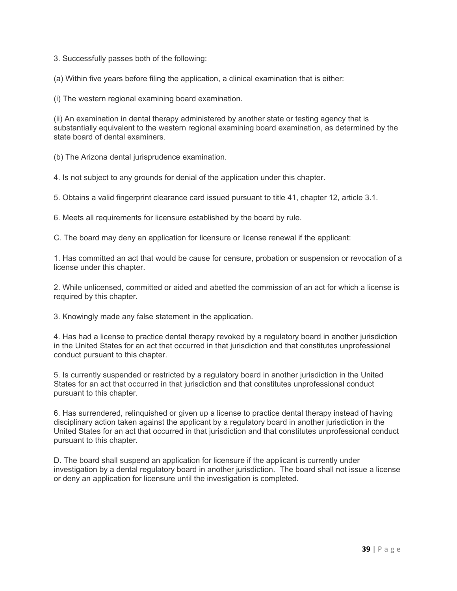3. Successfully passes both of the following:

(a) Within five years before filing the application, a clinical examination that is either:

(i) The western regional examining board examination.

(ii) An examination in dental therapy administered by another state or testing agency that is substantially equivalent to the western regional examining board examination, as determined by the state board of dental examiners.

(b) The Arizona dental jurisprudence examination.

4. Is not subject to any grounds for denial of the application under this chapter.

5. Obtains a valid fingerprint clearance card issued pursuant to title 41, chapter 12, article 3.1.

6. Meets all requirements for licensure established by the board by rule.

C. The board may deny an application for licensure or license renewal if the applicant:

1. Has committed an act that would be cause for censure, probation or suspension or revocation of a license under this chapter.

2. While unlicensed, committed or aided and abetted the commission of an act for which a license is required by this chapter.

3. Knowingly made any false statement in the application.

4. Has had a license to practice dental therapy revoked by a regulatory board in another jurisdiction in the United States for an act that occurred in that jurisdiction and that constitutes unprofessional conduct pursuant to this chapter.

5. Is currently suspended or restricted by a regulatory board in another jurisdiction in the United States for an act that occurred in that jurisdiction and that constitutes unprofessional conduct pursuant to this chapter.

6. Has surrendered, relinquished or given up a license to practice dental therapy instead of having disciplinary action taken against the applicant by a regulatory board in another jurisdiction in the United States for an act that occurred in that jurisdiction and that constitutes unprofessional conduct pursuant to this chapter.

D. The board shall suspend an application for licensure if the applicant is currently under investigation by a dental regulatory board in another jurisdiction. The board shall not issue a license or deny an application for licensure until the investigation is completed.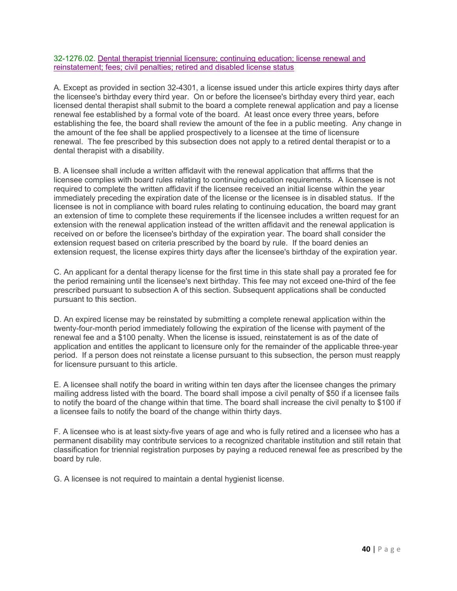#### 32-1276.02. Dental therapist triennial licensure; continuing education; license renewal and reinstatement; fees; civil penalties; retired and disabled license status

A. Except as provided in section 32-4301, a license issued under this article expires thirty days after the licensee's birthday every third year. On or before the licensee's birthday every third year, each licensed dental therapist shall submit to the board a complete renewal application and pay a license renewal fee established by a formal vote of the board. At least once every three years, before establishing the fee, the board shall review the amount of the fee in a public meeting. Any change in the amount of the fee shall be applied prospectively to a licensee at the time of licensure renewal. The fee prescribed by this subsection does not apply to a retired dental therapist or to a dental therapist with a disability.

B. A licensee shall include a written affidavit with the renewal application that affirms that the licensee complies with board rules relating to continuing education requirements. A licensee is not required to complete the written affidavit if the licensee received an initial license within the year immediately preceding the expiration date of the license or the licensee is in disabled status. If the licensee is not in compliance with board rules relating to continuing education, the board may grant an extension of time to complete these requirements if the licensee includes a written request for an extension with the renewal application instead of the written affidavit and the renewal application is received on or before the licensee's birthday of the expiration year. The board shall consider the extension request based on criteria prescribed by the board by rule. If the board denies an extension request, the license expires thirty days after the licensee's birthday of the expiration year.

C. An applicant for a dental therapy license for the first time in this state shall pay a prorated fee for the period remaining until the licensee's next birthday. This fee may not exceed one-third of the fee prescribed pursuant to subsection A of this section. Subsequent applications shall be conducted pursuant to this section.

D. An expired license may be reinstated by submitting a complete renewal application within the twenty-four-month period immediately following the expiration of the license with payment of the renewal fee and a \$100 penalty. When the license is issued, reinstatement is as of the date of application and entitles the applicant to licensure only for the remainder of the applicable three-year period. If a person does not reinstate a license pursuant to this subsection, the person must reapply for licensure pursuant to this article.

E. A licensee shall notify the board in writing within ten days after the licensee changes the primary mailing address listed with the board. The board shall impose a civil penalty of \$50 if a licensee fails to notify the board of the change within that time. The board shall increase the civil penalty to \$100 if a licensee fails to notify the board of the change within thirty days.

F. A licensee who is at least sixty-five years of age and who is fully retired and a licensee who has a permanent disability may contribute services to a recognized charitable institution and still retain that classification for triennial registration purposes by paying a reduced renewal fee as prescribed by the board by rule.

G. A licensee is not required to maintain a dental hygienist license.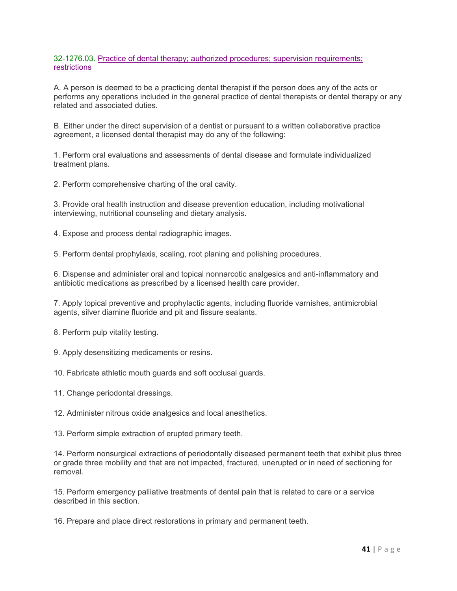#### 32-1276.03. Practice of dental therapy; authorized procedures; supervision requirements; **restrictions**

A. A person is deemed to be a practicing dental therapist if the person does any of the acts or performs any operations included in the general practice of dental therapists or dental therapy or any related and associated duties.

B. Either under the direct supervision of a dentist or pursuant to a written collaborative practice agreement, a licensed dental therapist may do any of the following:

1. Perform oral evaluations and assessments of dental disease and formulate individualized treatment plans.

2. Perform comprehensive charting of the oral cavity.

3. Provide oral health instruction and disease prevention education, including motivational interviewing, nutritional counseling and dietary analysis.

4. Expose and process dental radiographic images.

5. Perform dental prophylaxis, scaling, root planing and polishing procedures.

6. Dispense and administer oral and topical nonnarcotic analgesics and anti-inflammatory and antibiotic medications as prescribed by a licensed health care provider.

7. Apply topical preventive and prophylactic agents, including fluoride varnishes, antimicrobial agents, silver diamine fluoride and pit and fissure sealants.

8. Perform pulp vitality testing.

9. Apply desensitizing medicaments or resins.

10. Fabricate athletic mouth guards and soft occlusal guards.

11. Change periodontal dressings.

12. Administer nitrous oxide analgesics and local anesthetics.

13. Perform simple extraction of erupted primary teeth.

14. Perform nonsurgical extractions of periodontally diseased permanent teeth that exhibit plus three or grade three mobility and that are not impacted, fractured, unerupted or in need of sectioning for removal.

15. Perform emergency palliative treatments of dental pain that is related to care or a service described in this section.

16. Prepare and place direct restorations in primary and permanent teeth.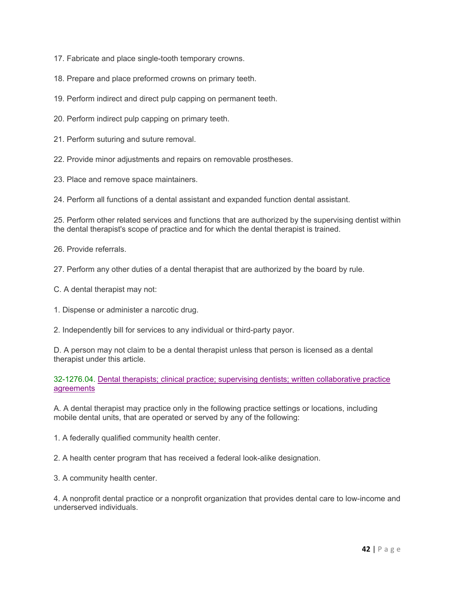17. Fabricate and place single-tooth temporary crowns.

18. Prepare and place preformed crowns on primary teeth.

19. Perform indirect and direct pulp capping on permanent teeth.

20. Perform indirect pulp capping on primary teeth.

21. Perform suturing and suture removal.

22. Provide minor adjustments and repairs on removable prostheses.

23. Place and remove space maintainers.

24. Perform all functions of a dental assistant and expanded function dental assistant.

25. Perform other related services and functions that are authorized by the supervising dentist within the dental therapist's scope of practice and for which the dental therapist is trained.

26. Provide referrals.

27. Perform any other duties of a dental therapist that are authorized by the board by rule.

C. A dental therapist may not:

1. Dispense or administer a narcotic drug.

2. Independently bill for services to any individual or third-party payor.

D. A person may not claim to be a dental therapist unless that person is licensed as a dental therapist under this article.

32-1276.04. Dental therapists; clinical practice; supervising dentists; written collaborative practice agreements

A. A dental therapist may practice only in the following practice settings or locations, including mobile dental units, that are operated or served by any of the following:

1. A federally qualified community health center.

2. A health center program that has received a federal look-alike designation.

3. A community health center.

4. A nonprofit dental practice or a nonprofit organization that provides dental care to low-income and underserved individuals.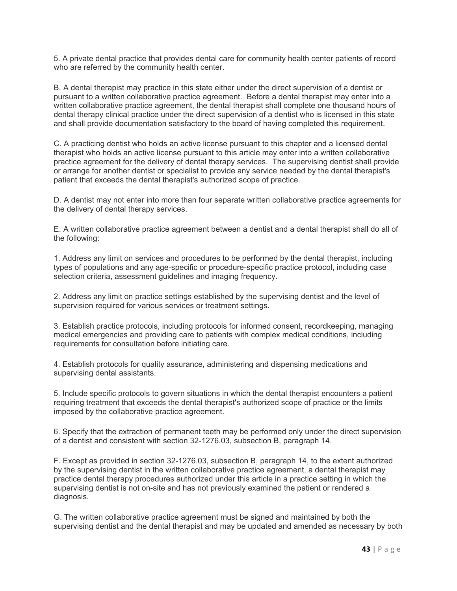5. A private dental practice that provides dental care for community health center patients of record who are referred by the community health center.

B. A dental therapist may practice in this state either under the direct supervision of a dentist or pursuant to a written collaborative practice agreement. Before a dental therapist may enter into a written collaborative practice agreement, the dental therapist shall complete one thousand hours of dental therapy clinical practice under the direct supervision of a dentist who is licensed in this state and shall provide documentation satisfactory to the board of having completed this requirement.

C. A practicing dentist who holds an active license pursuant to this chapter and a licensed dental therapist who holds an active license pursuant to this article may enter into a written collaborative practice agreement for the delivery of dental therapy services. The supervising dentist shall provide or arrange for another dentist or specialist to provide any service needed by the dental therapist's patient that exceeds the dental therapist's authorized scope of practice.

D. A dentist may not enter into more than four separate written collaborative practice agreements for the delivery of dental therapy services.

E. A written collaborative practice agreement between a dentist and a dental therapist shall do all of the following:

1. Address any limit on services and procedures to be performed by the dental therapist, including types of populations and any age-specific or procedure-specific practice protocol, including case selection criteria, assessment guidelines and imaging frequency.

2. Address any limit on practice settings established by the supervising dentist and the level of supervision required for various services or treatment settings.

3. Establish practice protocols, including protocols for informed consent, recordkeeping, managing medical emergencies and providing care to patients with complex medical conditions, including requirements for consultation before initiating care.

4. Establish protocols for quality assurance, administering and dispensing medications and supervising dental assistants.

5. Include specific protocols to govern situations in which the dental therapist encounters a patient requiring treatment that exceeds the dental therapist's authorized scope of practice or the limits imposed by the collaborative practice agreement.

6. Specify that the extraction of permanent teeth may be performed only under the direct supervision of a dentist and consistent with section 32-1276.03, subsection B, paragraph 14.

F. Except as provided in section 32-1276.03, subsection B, paragraph 14, to the extent authorized by the supervising dentist in the written collaborative practice agreement, a dental therapist may practice dental therapy procedures authorized under this article in a practice setting in which the supervising dentist is not on-site and has not previously examined the patient or rendered a diagnosis.

G. The written collaborative practice agreement must be signed and maintained by both the supervising dentist and the dental therapist and may be updated and amended as necessary by both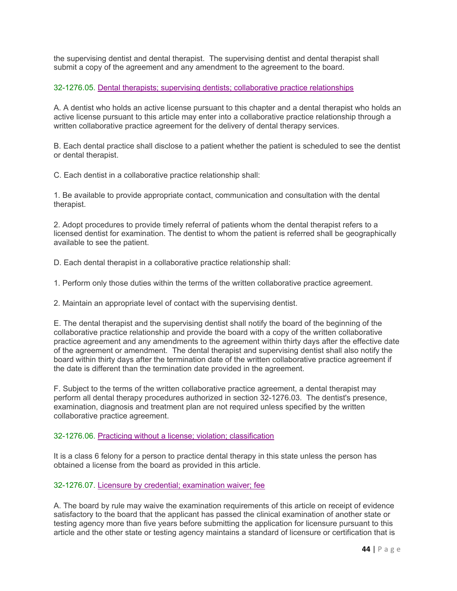the supervising dentist and dental therapist. The supervising dentist and dental therapist shall submit a copy of the agreement and any amendment to the agreement to the board.

#### 32-1276.05. Dental therapists; supervising dentists; collaborative practice relationships

A. A dentist who holds an active license pursuant to this chapter and a dental therapist who holds an active license pursuant to this article may enter into a collaborative practice relationship through a written collaborative practice agreement for the delivery of dental therapy services.

B. Each dental practice shall disclose to a patient whether the patient is scheduled to see the dentist or dental therapist.

C. Each dentist in a collaborative practice relationship shall:

1. Be available to provide appropriate contact, communication and consultation with the dental therapist.

2. Adopt procedures to provide timely referral of patients whom the dental therapist refers to a licensed dentist for examination. The dentist to whom the patient is referred shall be geographically available to see the patient.

D. Each dental therapist in a collaborative practice relationship shall:

1. Perform only those duties within the terms of the written collaborative practice agreement.

2. Maintain an appropriate level of contact with the supervising dentist.

E. The dental therapist and the supervising dentist shall notify the board of the beginning of the collaborative practice relationship and provide the board with a copy of the written collaborative practice agreement and any amendments to the agreement within thirty days after the effective date of the agreement or amendment. The dental therapist and supervising dentist shall also notify the board within thirty days after the termination date of the written collaborative practice agreement if the date is different than the termination date provided in the agreement.

F. Subject to the terms of the written collaborative practice agreement, a dental therapist may perform all dental therapy procedures authorized in section 32-1276.03. The dentist's presence, examination, diagnosis and treatment plan are not required unless specified by the written collaborative practice agreement.

#### 32-1276.06. Practicing without a license; violation; classification

It is a class 6 felony for a person to practice dental therapy in this state unless the person has obtained a license from the board as provided in this article.

#### 32-1276.07. Licensure by credential; examination waiver; fee

A. The board by rule may waive the examination requirements of this article on receipt of evidence satisfactory to the board that the applicant has passed the clinical examination of another state or testing agency more than five years before submitting the application for licensure pursuant to this article and the other state or testing agency maintains a standard of licensure or certification that is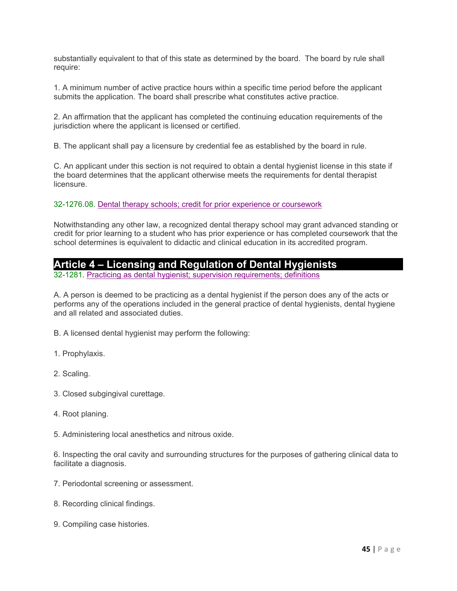substantially equivalent to that of this state as determined by the board. The board by rule shall require:

1. A minimum number of active practice hours within a specific time period before the applicant submits the application. The board shall prescribe what constitutes active practice.

2. An affirmation that the applicant has completed the continuing education requirements of the jurisdiction where the applicant is licensed or certified.

B. The applicant shall pay a licensure by credential fee as established by the board in rule.

C. An applicant under this section is not required to obtain a dental hygienist license in this state if the board determines that the applicant otherwise meets the requirements for dental therapist licensure.

32-1276.08. Dental therapy schools; credit for prior experience or coursework

Notwithstanding any other law, a recognized dental therapy school may grant advanced standing or credit for prior learning to a student who has prior experience or has completed coursework that the school determines is equivalent to didactic and clinical education in its accredited program.

## **Article 4 – Licensing and Regulation of Dental Hygienists**

32-1281. Practicing as dental hygienist; supervision requirements; definitions

A. A person is deemed to be practicing as a dental hygienist if the person does any of the acts or performs any of the operations included in the general practice of dental hygienists, dental hygiene and all related and associated duties.

B. A licensed dental hygienist may perform the following:

- 1. Prophylaxis.
- 2. Scaling.
- 3. Closed subgingival curettage.
- 4. Root planing.
- 5. Administering local anesthetics and nitrous oxide.

6. Inspecting the oral cavity and surrounding structures for the purposes of gathering clinical data to facilitate a diagnosis.

- 7. Periodontal screening or assessment.
- 8. Recording clinical findings.
- 9. Compiling case histories.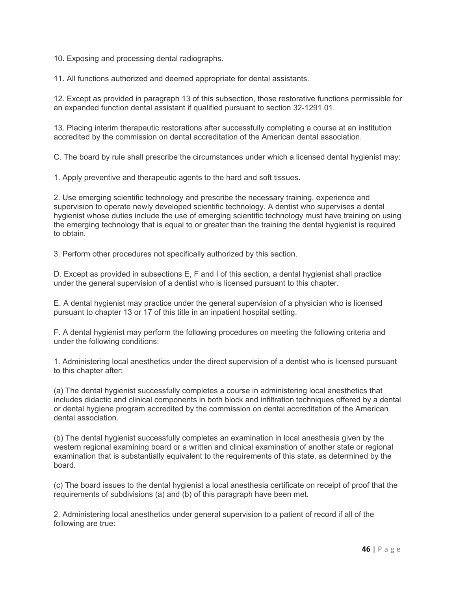10. Exposing and processing dental radiographs.

11. All functions authorized and deemed appropriate for dental assistants.

12. Except as provided in paragraph 13 of this subsection, those restorative functions permissible for an expanded function dental assistant if qualified pursuant to section 32-1291.01.

13. Placing interim therapeutic restorations after successfully completing a course at an institution accredited by the commission on dental accreditation of the American dental association.

C. The board by rule shall prescribe the circumstances under which a licensed dental hygienist may:

1. Apply preventive and therapeutic agents to the hard and soft tissues.

2. Use emerging scientific technology and prescribe the necessary training, experience and supervision to operate newly developed scientific technology. A dentist who supervises a dental hygienist whose duties include the use of emerging scientific technology must have training on using the emerging technology that is equal to or greater than the training the dental hygienist is required to obtain.

3. Perform other procedures not specifically authorized by this section.

D. Except as provided in subsections E, F and I of this section, a dental hygienist shall practice under the general supervision of a dentist who is licensed pursuant to this chapter.

E. A dental hygienist may practice under the general supervision of a physician who is licensed pursuant to chapter 13 or 17 of this title in an inpatient hospital setting.

F. A dental hygienist may perform the following procedures on meeting the following criteria and under the following conditions:

1. Administering local anesthetics under the direct supervision of a dentist who is licensed pursuant to this chapter after:

(a) The dental hygienist successfully completes a course in administering local anesthetics that includes didactic and clinical components in both block and infiltration techniques offered by a dental or dental hygiene program accredited by the commission on dental accreditation of the American dental association.

(b) The dental hygienist successfully completes an examination in local anesthesia given by the western regional examining board or a written and clinical examination of another state or regional examination that is substantially equivalent to the requirements of this state, as determined by the board.

(c) The board issues to the dental hygienist a local anesthesia certificate on receipt of proof that the requirements of subdivisions (a) and (b) of this paragraph have been met.

2. Administering local anesthetics under general supervision to a patient of record if all of the following are true: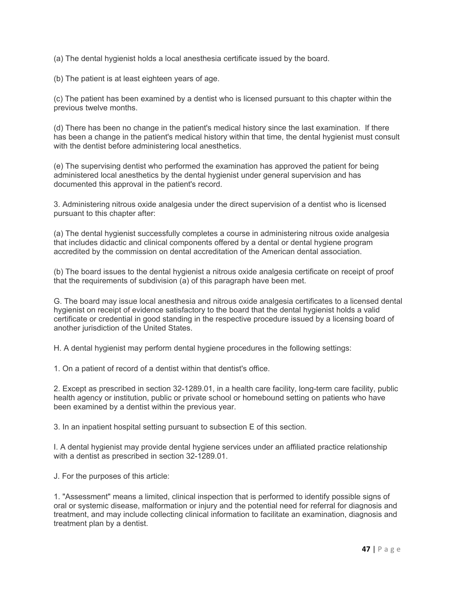(a) The dental hygienist holds a local anesthesia certificate issued by the board.

(b) The patient is at least eighteen years of age.

(c) The patient has been examined by a dentist who is licensed pursuant to this chapter within the previous twelve months.

(d) There has been no change in the patient's medical history since the last examination. If there has been a change in the patient's medical history within that time, the dental hygienist must consult with the dentist before administering local anesthetics.

(e) The supervising dentist who performed the examination has approved the patient for being administered local anesthetics by the dental hygienist under general supervision and has documented this approval in the patient's record.

3. Administering nitrous oxide analgesia under the direct supervision of a dentist who is licensed pursuant to this chapter after:

(a) The dental hygienist successfully completes a course in administering nitrous oxide analgesia that includes didactic and clinical components offered by a dental or dental hygiene program accredited by the commission on dental accreditation of the American dental association.

(b) The board issues to the dental hygienist a nitrous oxide analgesia certificate on receipt of proof that the requirements of subdivision (a) of this paragraph have been met.

G. The board may issue local anesthesia and nitrous oxide analgesia certificates to a licensed dental hygienist on receipt of evidence satisfactory to the board that the dental hygienist holds a valid certificate or credential in good standing in the respective procedure issued by a licensing board of another jurisdiction of the United States.

H. A dental hygienist may perform dental hygiene procedures in the following settings:

1. On a patient of record of a dentist within that dentist's office.

2. Except as prescribed in section 32-1289.01, in a health care facility, long-term care facility, public health agency or institution, public or private school or homebound setting on patients who have been examined by a dentist within the previous year.

3. In an inpatient hospital setting pursuant to subsection E of this section.

I. A dental hygienist may provide dental hygiene services under an affiliated practice relationship with a dentist as prescribed in section 32-1289.01.

J. For the purposes of this article:

1. "Assessment" means a limited, clinical inspection that is performed to identify possible signs of oral or systemic disease, malformation or injury and the potential need for referral for diagnosis and treatment, and may include collecting clinical information to facilitate an examination, diagnosis and treatment plan by a dentist.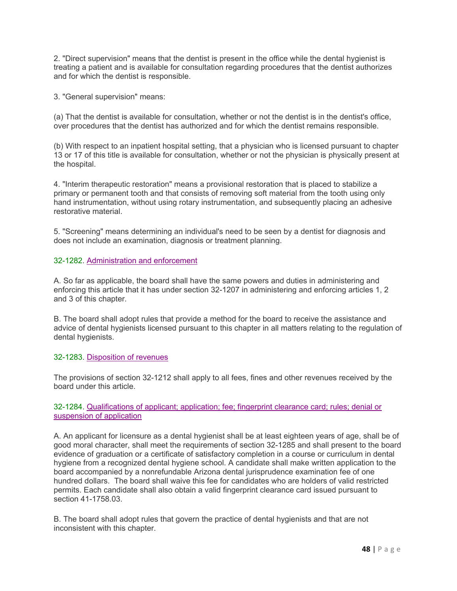2. "Direct supervision" means that the dentist is present in the office while the dental hygienist is treating a patient and is available for consultation regarding procedures that the dentist authorizes and for which the dentist is responsible.

3. "General supervision" means:

(a) That the dentist is available for consultation, whether or not the dentist is in the dentist's office, over procedures that the dentist has authorized and for which the dentist remains responsible.

(b) With respect to an inpatient hospital setting, that a physician who is licensed pursuant to chapter 13 or 17 of this title is available for consultation, whether or not the physician is physically present at the hospital.

4. "Interim therapeutic restoration" means a provisional restoration that is placed to stabilize a primary or permanent tooth and that consists of removing soft material from the tooth using only hand instrumentation, without using rotary instrumentation, and subsequently placing an adhesive restorative material.

5. "Screening" means determining an individual's need to be seen by a dentist for diagnosis and does not include an examination, diagnosis or treatment planning.

#### 32-1282. Administration and enforcement

A. So far as applicable, the board shall have the same powers and duties in administering and enforcing this article that it has under section 32-1207 in administering and enforcing articles 1, 2 and 3 of this chapter.

B. The board shall adopt rules that provide a method for the board to receive the assistance and advice of dental hygienists licensed pursuant to this chapter in all matters relating to the regulation of dental hygienists.

#### 32-1283. Disposition of revenues

The provisions of section 32-1212 shall apply to all fees, fines and other revenues received by the board under this article.

#### 32-1284. Qualifications of applicant; application; fee; fingerprint clearance card; rules; denial or suspension of application

A. An applicant for licensure as a dental hygienist shall be at least eighteen years of age, shall be of good moral character, shall meet the requirements of section 32-1285 and shall present to the board evidence of graduation or a certificate of satisfactory completion in a course or curriculum in dental hygiene from a recognized dental hygiene school. A candidate shall make written application to the board accompanied by a nonrefundable Arizona dental jurisprudence examination fee of one hundred dollars. The board shall waive this fee for candidates who are holders of valid restricted permits. Each candidate shall also obtain a valid fingerprint clearance card issued pursuant to section 41-1758.03.

B. The board shall adopt rules that govern the practice of dental hygienists and that are not inconsistent with this chapter.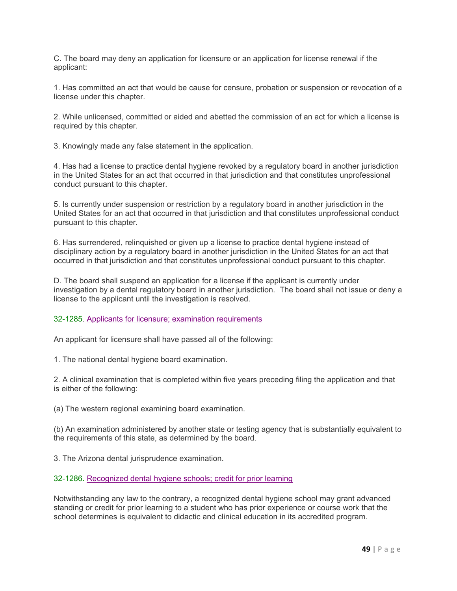C. The board may deny an application for licensure or an application for license renewal if the applicant:

1. Has committed an act that would be cause for censure, probation or suspension or revocation of a license under this chapter.

2. While unlicensed, committed or aided and abetted the commission of an act for which a license is required by this chapter.

3. Knowingly made any false statement in the application.

4. Has had a license to practice dental hygiene revoked by a regulatory board in another jurisdiction in the United States for an act that occurred in that jurisdiction and that constitutes unprofessional conduct pursuant to this chapter.

5. Is currently under suspension or restriction by a regulatory board in another jurisdiction in the United States for an act that occurred in that jurisdiction and that constitutes unprofessional conduct pursuant to this chapter.

6. Has surrendered, relinquished or given up a license to practice dental hygiene instead of disciplinary action by a regulatory board in another jurisdiction in the United States for an act that occurred in that jurisdiction and that constitutes unprofessional conduct pursuant to this chapter.

D. The board shall suspend an application for a license if the applicant is currently under investigation by a dental regulatory board in another jurisdiction. The board shall not issue or deny a license to the applicant until the investigation is resolved.

32-1285. Applicants for licensure; examination requirements

An applicant for licensure shall have passed all of the following:

1. The national dental hygiene board examination.

2. A clinical examination that is completed within five years preceding filing the application and that is either of the following:

(a) The western regional examining board examination.

(b) An examination administered by another state or testing agency that is substantially equivalent to the requirements of this state, as determined by the board.

3. The Arizona dental jurisprudence examination.

32-1286. Recognized dental hygiene schools; credit for prior learning

Notwithstanding any law to the contrary, a recognized dental hygiene school may grant advanced standing or credit for prior learning to a student who has prior experience or course work that the school determines is equivalent to didactic and clinical education in its accredited program.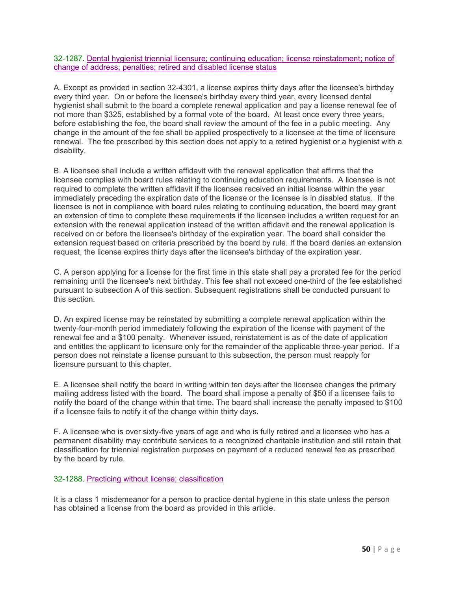32-1287. Dental hygienist triennial licensure; continuing education; license reinstatement; notice of change of address; penalties; retired and disabled license status

A. Except as provided in section 32-4301, a license expires thirty days after the licensee's birthday every third year. On or before the licensee's birthday every third year, every licensed dental hygienist shall submit to the board a complete renewal application and pay a license renewal fee of not more than \$325, established by a formal vote of the board. At least once every three years, before establishing the fee, the board shall review the amount of the fee in a public meeting. Any change in the amount of the fee shall be applied prospectively to a licensee at the time of licensure renewal. The fee prescribed by this section does not apply to a retired hygienist or a hygienist with a disability.

B. A licensee shall include a written affidavit with the renewal application that affirms that the licensee complies with board rules relating to continuing education requirements. A licensee is not required to complete the written affidavit if the licensee received an initial license within the year immediately preceding the expiration date of the license or the licensee is in disabled status. If the licensee is not in compliance with board rules relating to continuing education, the board may grant an extension of time to complete these requirements if the licensee includes a written request for an extension with the renewal application instead of the written affidavit and the renewal application is received on or before the licensee's birthday of the expiration year. The board shall consider the extension request based on criteria prescribed by the board by rule. If the board denies an extension request, the license expires thirty days after the licensee's birthday of the expiration year.

C. A person applying for a license for the first time in this state shall pay a prorated fee for the period remaining until the licensee's next birthday. This fee shall not exceed one-third of the fee established pursuant to subsection A of this section. Subsequent registrations shall be conducted pursuant to this section.

D. An expired license may be reinstated by submitting a complete renewal application within the twenty-four-month period immediately following the expiration of the license with payment of the renewal fee and a \$100 penalty. Whenever issued, reinstatement is as of the date of application and entitles the applicant to licensure only for the remainder of the applicable three-year period. If a person does not reinstate a license pursuant to this subsection, the person must reapply for licensure pursuant to this chapter.

E. A licensee shall notify the board in writing within ten days after the licensee changes the primary mailing address listed with the board. The board shall impose a penalty of \$50 if a licensee fails to notify the board of the change within that time. The board shall increase the penalty imposed to \$100 if a licensee fails to notify it of the change within thirty days.

F. A licensee who is over sixty-five years of age and who is fully retired and a licensee who has a permanent disability may contribute services to a recognized charitable institution and still retain that classification for triennial registration purposes on payment of a reduced renewal fee as prescribed by the board by rule.

32-1288. Practicing without license; classification

It is a class 1 misdemeanor for a person to practice dental hygiene in this state unless the person has obtained a license from the board as provided in this article.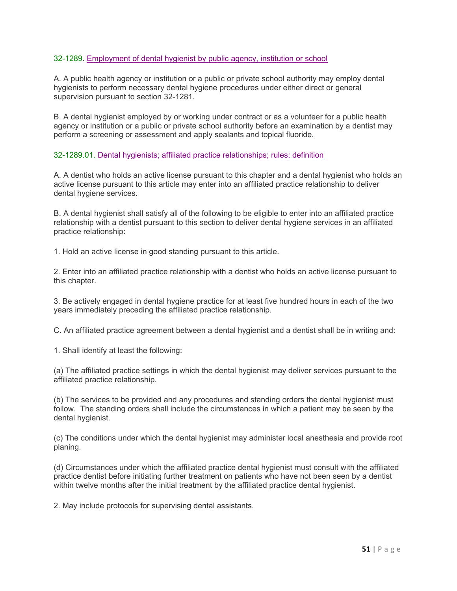#### 32-1289. Employment of dental hygienist by public agency, institution or school

A. A public health agency or institution or a public or private school authority may employ dental hygienists to perform necessary dental hygiene procedures under either direct or general supervision pursuant to section 32-1281.

B. A dental hygienist employed by or working under contract or as a volunteer for a public health agency or institution or a public or private school authority before an examination by a dentist may perform a screening or assessment and apply sealants and topical fluoride.

#### 32-1289.01. Dental hygienists; affiliated practice relationships; rules; definition

A. A dentist who holds an active license pursuant to this chapter and a dental hygienist who holds an active license pursuant to this article may enter into an affiliated practice relationship to deliver dental hygiene services.

B. A dental hygienist shall satisfy all of the following to be eligible to enter into an affiliated practice relationship with a dentist pursuant to this section to deliver dental hygiene services in an affiliated practice relationship:

1. Hold an active license in good standing pursuant to this article.

2. Enter into an affiliated practice relationship with a dentist who holds an active license pursuant to this chapter.

3. Be actively engaged in dental hygiene practice for at least five hundred hours in each of the two years immediately preceding the affiliated practice relationship.

C. An affiliated practice agreement between a dental hygienist and a dentist shall be in writing and:

1. Shall identify at least the following:

(a) The affiliated practice settings in which the dental hygienist may deliver services pursuant to the affiliated practice relationship.

(b) The services to be provided and any procedures and standing orders the dental hygienist must follow. The standing orders shall include the circumstances in which a patient may be seen by the dental hygienist.

(c) The conditions under which the dental hygienist may administer local anesthesia and provide root planing.

(d) Circumstances under which the affiliated practice dental hygienist must consult with the affiliated practice dentist before initiating further treatment on patients who have not been seen by a dentist within twelve months after the initial treatment by the affiliated practice dental hygienist.

2. May include protocols for supervising dental assistants.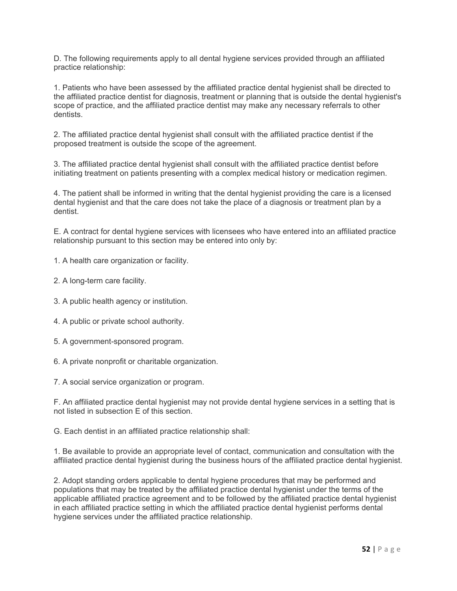D. The following requirements apply to all dental hygiene services provided through an affiliated practice relationship:

1. Patients who have been assessed by the affiliated practice dental hygienist shall be directed to the affiliated practice dentist for diagnosis, treatment or planning that is outside the dental hygienist's scope of practice, and the affiliated practice dentist may make any necessary referrals to other dentists.

2. The affiliated practice dental hygienist shall consult with the affiliated practice dentist if the proposed treatment is outside the scope of the agreement.

3. The affiliated practice dental hygienist shall consult with the affiliated practice dentist before initiating treatment on patients presenting with a complex medical history or medication regimen.

4. The patient shall be informed in writing that the dental hygienist providing the care is a licensed dental hygienist and that the care does not take the place of a diagnosis or treatment plan by a dentist.

E. A contract for dental hygiene services with licensees who have entered into an affiliated practice relationship pursuant to this section may be entered into only by:

1. A health care organization or facility.

- 2. A long-term care facility.
- 3. A public health agency or institution.
- 4. A public or private school authority.
- 5. A government-sponsored program.
- 6. A private nonprofit or charitable organization.

7. A social service organization or program.

F. An affiliated practice dental hygienist may not provide dental hygiene services in a setting that is not listed in subsection E of this section.

G. Each dentist in an affiliated practice relationship shall:

1. Be available to provide an appropriate level of contact, communication and consultation with the affiliated practice dental hygienist during the business hours of the affiliated practice dental hygienist.

2. Adopt standing orders applicable to dental hygiene procedures that may be performed and populations that may be treated by the affiliated practice dental hygienist under the terms of the applicable affiliated practice agreement and to be followed by the affiliated practice dental hygienist in each affiliated practice setting in which the affiliated practice dental hygienist performs dental hygiene services under the affiliated practice relationship.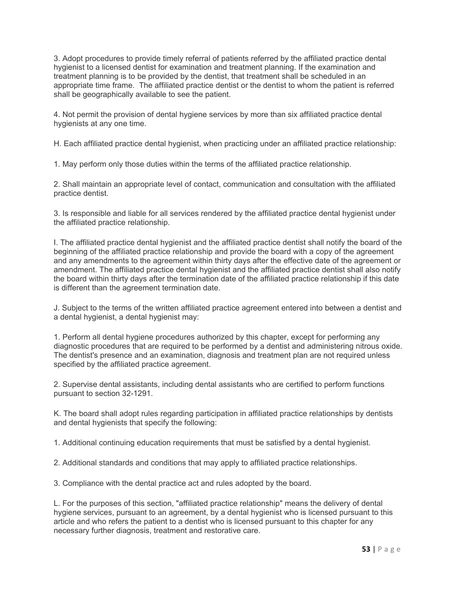3. Adopt procedures to provide timely referral of patients referred by the affiliated practice dental hygienist to a licensed dentist for examination and treatment planning. If the examination and treatment planning is to be provided by the dentist, that treatment shall be scheduled in an appropriate time frame. The affiliated practice dentist or the dentist to whom the patient is referred shall be geographically available to see the patient.

4. Not permit the provision of dental hygiene services by more than six affiliated practice dental hygienists at any one time.

H. Each affiliated practice dental hygienist, when practicing under an affiliated practice relationship:

1. May perform only those duties within the terms of the affiliated practice relationship.

2. Shall maintain an appropriate level of contact, communication and consultation with the affiliated practice dentist.

3. Is responsible and liable for all services rendered by the affiliated practice dental hygienist under the affiliated practice relationship.

I. The affiliated practice dental hygienist and the affiliated practice dentist shall notify the board of the beginning of the affiliated practice relationship and provide the board with a copy of the agreement and any amendments to the agreement within thirty days after the effective date of the agreement or amendment. The affiliated practice dental hygienist and the affiliated practice dentist shall also notify the board within thirty days after the termination date of the affiliated practice relationship if this date is different than the agreement termination date.

J. Subject to the terms of the written affiliated practice agreement entered into between a dentist and a dental hygienist, a dental hygienist may:

1. Perform all dental hygiene procedures authorized by this chapter, except for performing any diagnostic procedures that are required to be performed by a dentist and administering nitrous oxide. The dentist's presence and an examination, diagnosis and treatment plan are not required unless specified by the affiliated practice agreement.

2. Supervise dental assistants, including dental assistants who are certified to perform functions pursuant to section 32-1291.

K. The board shall adopt rules regarding participation in affiliated practice relationships by dentists and dental hygienists that specify the following:

1. Additional continuing education requirements that must be satisfied by a dental hygienist.

2. Additional standards and conditions that may apply to affiliated practice relationships.

3. Compliance with the dental practice act and rules adopted by the board.

L. For the purposes of this section, "affiliated practice relationship" means the delivery of dental hygiene services, pursuant to an agreement, by a dental hygienist who is licensed pursuant to this article and who refers the patient to a dentist who is licensed pursuant to this chapter for any necessary further diagnosis, treatment and restorative care.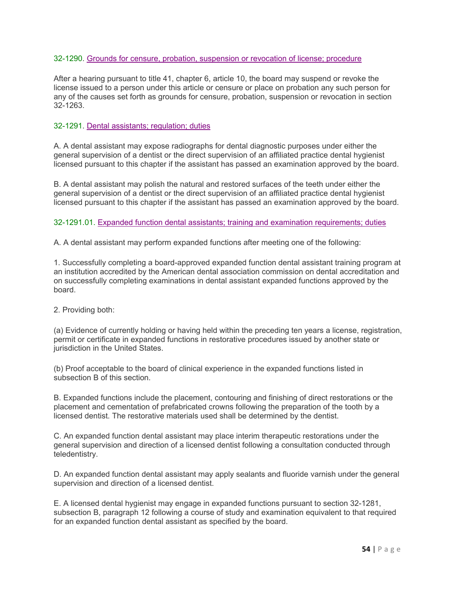#### 32-1290. Grounds for censure, probation, suspension or revocation of license; procedure

After a hearing pursuant to title 41, chapter 6, article 10, the board may suspend or revoke the license issued to a person under this article or censure or place on probation any such person for any of the causes set forth as grounds for censure, probation, suspension or revocation in section 32-1263.

#### 32-1291. Dental assistants; regulation; duties

A. A dental assistant may expose radiographs for dental diagnostic purposes under either the general supervision of a dentist or the direct supervision of an affiliated practice dental hygienist licensed pursuant to this chapter if the assistant has passed an examination approved by the board.

B. A dental assistant may polish the natural and restored surfaces of the teeth under either the general supervision of a dentist or the direct supervision of an affiliated practice dental hygienist licensed pursuant to this chapter if the assistant has passed an examination approved by the board.

#### 32-1291.01. Expanded function dental assistants; training and examination requirements; duties

A. A dental assistant may perform expanded functions after meeting one of the following:

1. Successfully completing a board-approved expanded function dental assistant training program at an institution accredited by the American dental association commission on dental accreditation and on successfully completing examinations in dental assistant expanded functions approved by the board.

2. Providing both:

(a) Evidence of currently holding or having held within the preceding ten years a license, registration, permit or certificate in expanded functions in restorative procedures issued by another state or jurisdiction in the United States.

(b) Proof acceptable to the board of clinical experience in the expanded functions listed in subsection B of this section.

B. Expanded functions include the placement, contouring and finishing of direct restorations or the placement and cementation of prefabricated crowns following the preparation of the tooth by a licensed dentist. The restorative materials used shall be determined by the dentist.

C. An expanded function dental assistant may place interim therapeutic restorations under the general supervision and direction of a licensed dentist following a consultation conducted through teledentistry.

D. An expanded function dental assistant may apply sealants and fluoride varnish under the general supervision and direction of a licensed dentist.

E. A licensed dental hygienist may engage in expanded functions pursuant to section 32-1281, subsection B, paragraph 12 following a course of study and examination equivalent to that required for an expanded function dental assistant as specified by the board.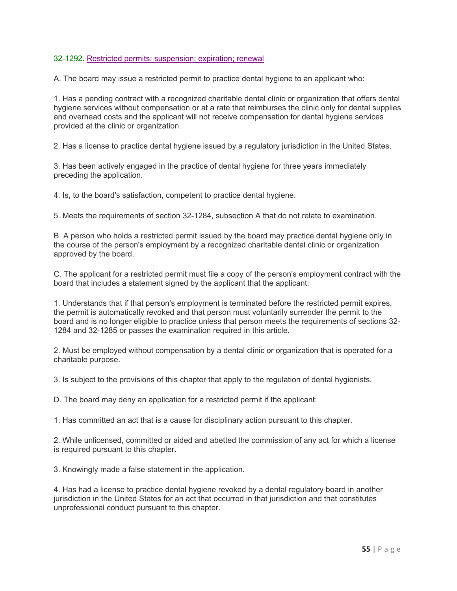#### 32-1292. Restricted permits; suspension; expiration; renewal

A. The board may issue a restricted permit to practice dental hygiene to an applicant who:

1. Has a pending contract with a recognized charitable dental clinic or organization that offers dental hygiene services without compensation or at a rate that reimburses the clinic only for dental supplies and overhead costs and the applicant will not receive compensation for dental hygiene services provided at the clinic or organization.

2. Has a license to practice dental hygiene issued by a regulatory jurisdiction in the United States.

3. Has been actively engaged in the practice of dental hygiene for three years immediately preceding the application.

4. Is, to the board's satisfaction, competent to practice dental hygiene.

5. Meets the requirements of section 32-1284, subsection A that do not relate to examination.

B. A person who holds a restricted permit issued by the board may practice dental hygiene only in the course of the person's employment by a recognized charitable dental clinic or organization approved by the board.

C. The applicant for a restricted permit must file a copy of the person's employment contract with the board that includes a statement signed by the applicant that the applicant:

1. Understands that if that person's employment is terminated before the restricted permit expires, the permit is automatically revoked and that person must voluntarily surrender the permit to the board and is no longer eligible to practice unless that person meets the requirements of sections 32- 1284 and 32-1285 or passes the examination required in this article.

2. Must be employed without compensation by a dental clinic or organization that is operated for a charitable purpose.

3. Is subject to the provisions of this chapter that apply to the regulation of dental hygienists.

D. The board may deny an application for a restricted permit if the applicant:

1. Has committed an act that is a cause for disciplinary action pursuant to this chapter.

2. While unlicensed, committed or aided and abetted the commission of any act for which a license is required pursuant to this chapter.

3. Knowingly made a false statement in the application.

4. Has had a license to practice dental hygiene revoked by a dental regulatory board in another jurisdiction in the United States for an act that occurred in that jurisdiction and that constitutes unprofessional conduct pursuant to this chapter.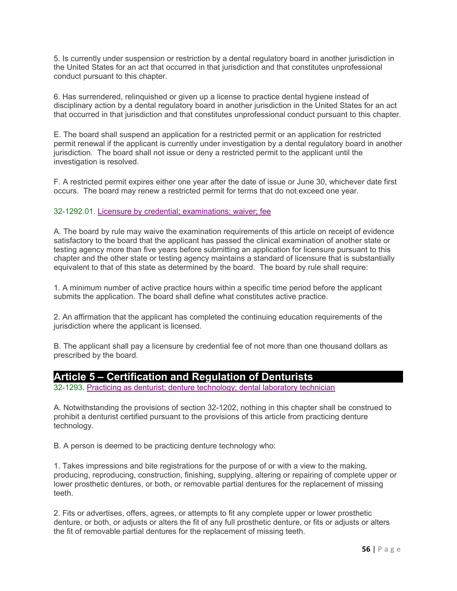5. Is currently under suspension or restriction by a dental regulatory board in another jurisdiction in the United States for an act that occurred in that jurisdiction and that constitutes unprofessional conduct pursuant to this chapter.

6. Has surrendered, relinquished or given up a license to practice dental hygiene instead of disciplinary action by a dental regulatory board in another jurisdiction in the United States for an act that occurred in that jurisdiction and that constitutes unprofessional conduct pursuant to this chapter.

E. The board shall suspend an application for a restricted permit or an application for restricted permit renewal if the applicant is currently under investigation by a dental regulatory board in another jurisdiction. The board shall not issue or deny a restricted permit to the applicant until the investigation is resolved.

F. A restricted permit expires either one year after the date of issue or June 30, whichever date first occurs. The board may renew a restricted permit for terms that do not exceed one year.

#### 32-1292.01. Licensure by credential; examinations; waiver; fee

A. The board by rule may waive the examination requirements of this article on receipt of evidence satisfactory to the board that the applicant has passed the clinical examination of another state or testing agency more than five years before submitting an application for licensure pursuant to this chapter and the other state or testing agency maintains a standard of licensure that is substantially equivalent to that of this state as determined by the board. The board by rule shall require:

1. A minimum number of active practice hours within a specific time period before the applicant submits the application. The board shall define what constitutes active practice.

2. An affirmation that the applicant has completed the continuing education requirements of the jurisdiction where the applicant is licensed.

B. The applicant shall pay a licensure by credential fee of not more than one thousand dollars as prescribed by the board.

### **Article 5 – Certification and Regulation of Denturists**

32-1293. Practicing as denturist; denture technology; dental laboratory technician

A. Notwithstanding the provisions of section 32-1202, nothing in this chapter shall be construed to prohibit a denturist certified pursuant to the provisions of this article from practicing denture technology.

B. A person is deemed to be practicing denture technology who:

1. Takes impressions and bite registrations for the purpose of or with a view to the making, producing, reproducing, construction, finishing, supplying, altering or repairing of complete upper or lower prosthetic dentures, or both, or removable partial dentures for the replacement of missing teeth.

2. Fits or advertises, offers, agrees, or attempts to fit any complete upper or lower prosthetic denture, or both, or adjusts or alters the fit of any full prosthetic denture, or fits or adjusts or alters the fit of removable partial dentures for the replacement of missing teeth.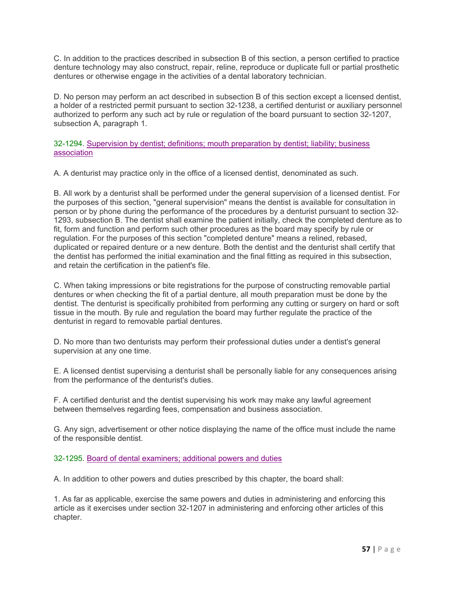C. In addition to the practices described in subsection B of this section, a person certified to practice denture technology may also construct, repair, reline, reproduce or duplicate full or partial prosthetic dentures or otherwise engage in the activities of a dental laboratory technician.

D. No person may perform an act described in subsection B of this section except a licensed dentist, a holder of a restricted permit pursuant to section 32-1238, a certified denturist or auxiliary personnel authorized to perform any such act by rule or regulation of the board pursuant to section 32-1207, subsection A, paragraph 1.

32-1294. Supervision by dentist; definitions; mouth preparation by dentist; liability; business association

A. A denturist may practice only in the office of a licensed dentist, denominated as such.

B. All work by a denturist shall be performed under the general supervision of a licensed dentist. For the purposes of this section, "general supervision" means the dentist is available for consultation in person or by phone during the performance of the procedures by a denturist pursuant to section 32- 1293, subsection B. The dentist shall examine the patient initially, check the completed denture as to fit, form and function and perform such other procedures as the board may specify by rule or regulation. For the purposes of this section "completed denture" means a relined, rebased, duplicated or repaired denture or a new denture. Both the dentist and the denturist shall certify that the dentist has performed the initial examination and the final fitting as required in this subsection, and retain the certification in the patient's file.

C. When taking impressions or bite registrations for the purpose of constructing removable partial dentures or when checking the fit of a partial denture, all mouth preparation must be done by the dentist. The denturist is specifically prohibited from performing any cutting or surgery on hard or soft tissue in the mouth. By rule and regulation the board may further regulate the practice of the denturist in regard to removable partial dentures.

D. No more than two denturists may perform their professional duties under a dentist's general supervision at any one time.

E. A licensed dentist supervising a denturist shall be personally liable for any consequences arising from the performance of the denturist's duties.

F. A certified denturist and the dentist supervising his work may make any lawful agreement between themselves regarding fees, compensation and business association.

G. Any sign, advertisement or other notice displaying the name of the office must include the name of the responsible dentist.

#### 32-1295. Board of dental examiners; additional powers and duties

A. In addition to other powers and duties prescribed by this chapter, the board shall:

1. As far as applicable, exercise the same powers and duties in administering and enforcing this article as it exercises under section 32-1207 in administering and enforcing other articles of this chapter.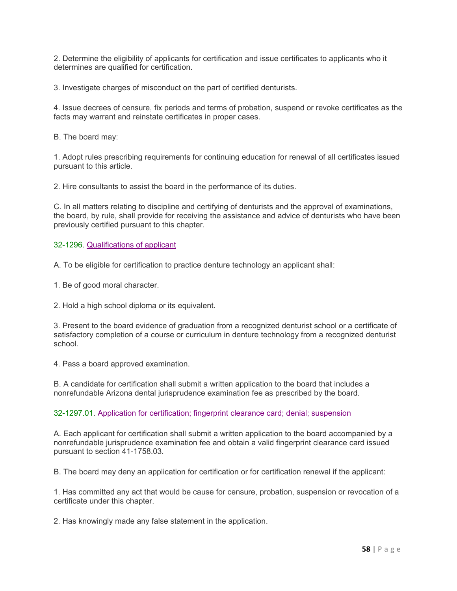2. Determine the eligibility of applicants for certification and issue certificates to applicants who it determines are qualified for certification.

3. Investigate charges of misconduct on the part of certified denturists.

4. Issue decrees of censure, fix periods and terms of probation, suspend or revoke certificates as the facts may warrant and reinstate certificates in proper cases.

B. The board may:

1. Adopt rules prescribing requirements for continuing education for renewal of all certificates issued pursuant to this article.

2. Hire consultants to assist the board in the performance of its duties.

C. In all matters relating to discipline and certifying of denturists and the approval of examinations, the board, by rule, shall provide for receiving the assistance and advice of denturists who have been previously certified pursuant to this chapter.

#### 32-1296. Qualifications of applicant

A. To be eligible for certification to practice denture technology an applicant shall:

1. Be of good moral character.

2. Hold a high school diploma or its equivalent.

3. Present to the board evidence of graduation from a recognized denturist school or a certificate of satisfactory completion of a course or curriculum in denture technology from a recognized denturist school.

4. Pass a board approved examination.

B. A candidate for certification shall submit a written application to the board that includes a nonrefundable Arizona dental jurisprudence examination fee as prescribed by the board.

32-1297.01. Application for certification; fingerprint clearance card; denial; suspension

A. Each applicant for certification shall submit a written application to the board accompanied by a nonrefundable jurisprudence examination fee and obtain a valid fingerprint clearance card issued pursuant to section 41-1758.03.

B. The board may deny an application for certification or for certification renewal if the applicant:

1. Has committed any act that would be cause for censure, probation, suspension or revocation of a certificate under this chapter.

2. Has knowingly made any false statement in the application.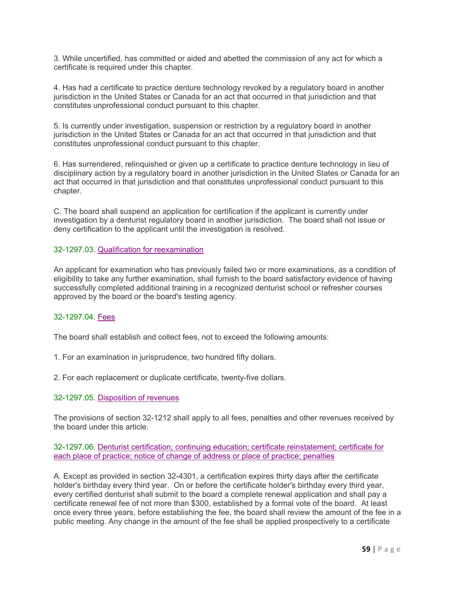3. While uncertified, has committed or aided and abetted the commission of any act for which a certificate is required under this chapter.

4. Has had a certificate to practice denture technology revoked by a regulatory board in another jurisdiction in the United States or Canada for an act that occurred in that jurisdiction and that constitutes unprofessional conduct pursuant to this chapter.

5. Is currently under investigation, suspension or restriction by a regulatory board in another jurisdiction in the United States or Canada for an act that occurred in that jurisdiction and that constitutes unprofessional conduct pursuant to this chapter.

6. Has surrendered, relinquished or given up a certificate to practice denture technology in lieu of disciplinary action by a regulatory board in another jurisdiction in the United States or Canada for an act that occurred in that jurisdiction and that constitutes unprofessional conduct pursuant to this chapter.

C. The board shall suspend an application for certification if the applicant is currently under investigation by a denturist regulatory board in another jurisdiction. The board shall not issue or deny certification to the applicant until the investigation is resolved.

#### 32-1297.03. Qualification for reexamination

An applicant for examination who has previously failed two or more examinations, as a condition of eligibility to take any further examination, shall furnish to the board satisfactory evidence of having successfully completed additional training in a recognized denturist school or refresher courses approved by the board or the board's testing agency.

#### 32-1297.04. Fees

The board shall establish and collect fees, not to exceed the following amounts:

1. For an examination in jurisprudence, two hundred fifty dollars.

2. For each replacement or duplicate certificate, twenty-five dollars.

#### 32-1297.05. Disposition of revenues

The provisions of section 32-1212 shall apply to all fees, penalties and other revenues received by the board under this article.

32-1297.06. Denturist certification; continuing education; certificate reinstatement; certificate for each place of practice; notice of change of address or place of practice; penalties

A. Except as provided in section 32-4301, a certification expires thirty days after the certificate holder's birthday every third year. On or before the certificate holder's birthday every third year, every certified denturist shall submit to the board a complete renewal application and shall pay a certificate renewal fee of not more than \$300, established by a formal vote of the board. At least once every three years, before establishing the fee, the board shall review the amount of the fee in a public meeting. Any change in the amount of the fee shall be applied prospectively to a certificate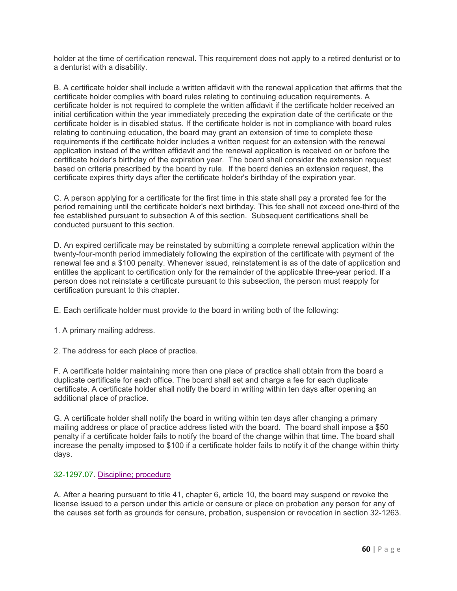holder at the time of certification renewal. This requirement does not apply to a retired denturist or to a denturist with a disability.

B. A certificate holder shall include a written affidavit with the renewal application that affirms that the certificate holder complies with board rules relating to continuing education requirements. A certificate holder is not required to complete the written affidavit if the certificate holder received an initial certification within the year immediately preceding the expiration date of the certificate or the certificate holder is in disabled status. If the certificate holder is not in compliance with board rules relating to continuing education, the board may grant an extension of time to complete these requirements if the certificate holder includes a written request for an extension with the renewal application instead of the written affidavit and the renewal application is received on or before the certificate holder's birthday of the expiration year. The board shall consider the extension request based on criteria prescribed by the board by rule. If the board denies an extension request, the certificate expires thirty days after the certificate holder's birthday of the expiration year.

C. A person applying for a certificate for the first time in this state shall pay a prorated fee for the period remaining until the certificate holder's next birthday. This fee shall not exceed one-third of the fee established pursuant to subsection A of this section. Subsequent certifications shall be conducted pursuant to this section.

D. An expired certificate may be reinstated by submitting a complete renewal application within the twenty-four-month period immediately following the expiration of the certificate with payment of the renewal fee and a \$100 penalty. Whenever issued, reinstatement is as of the date of application and entitles the applicant to certification only for the remainder of the applicable three-year period. If a person does not reinstate a certificate pursuant to this subsection, the person must reapply for certification pursuant to this chapter.

E. Each certificate holder must provide to the board in writing both of the following:

1. A primary mailing address.

2. The address for each place of practice.

F. A certificate holder maintaining more than one place of practice shall obtain from the board a duplicate certificate for each office. The board shall set and charge a fee for each duplicate certificate. A certificate holder shall notify the board in writing within ten days after opening an additional place of practice.

G. A certificate holder shall notify the board in writing within ten days after changing a primary mailing address or place of practice address listed with the board. The board shall impose a \$50 penalty if a certificate holder fails to notify the board of the change within that time. The board shall increase the penalty imposed to \$100 if a certificate holder fails to notify it of the change within thirty days.

#### 32-1297.07. Discipline; procedure

A. After a hearing pursuant to title 41, chapter 6, article 10, the board may suspend or revoke the license issued to a person under this article or censure or place on probation any person for any of the causes set forth as grounds for censure, probation, suspension or revocation in section 32-1263.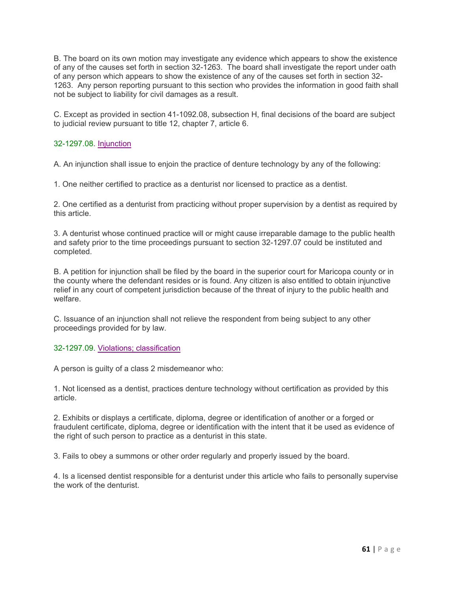B. The board on its own motion may investigate any evidence which appears to show the existence of any of the causes set forth in section 32-1263. The board shall investigate the report under oath of any person which appears to show the existence of any of the causes set forth in section 32- 1263. Any person reporting pursuant to this section who provides the information in good faith shall not be subject to liability for civil damages as a result.

C. Except as provided in section 41-1092.08, subsection H, final decisions of the board are subject to judicial review pursuant to title 12, chapter 7, article 6.

#### 32-1297.08. Injunction

A. An injunction shall issue to enjoin the practice of denture technology by any of the following:

1. One neither certified to practice as a denturist nor licensed to practice as a dentist.

2. One certified as a denturist from practicing without proper supervision by a dentist as required by this article.

3. A denturist whose continued practice will or might cause irreparable damage to the public health and safety prior to the time proceedings pursuant to section 32-1297.07 could be instituted and completed.

B. A petition for injunction shall be filed by the board in the superior court for Maricopa county or in the county where the defendant resides or is found. Any citizen is also entitled to obtain injunctive relief in any court of competent jurisdiction because of the threat of injury to the public health and welfare.

C. Issuance of an injunction shall not relieve the respondent from being subject to any other proceedings provided for by law.

32-1297.09. Violations; classification

A person is guilty of a class 2 misdemeanor who:

1. Not licensed as a dentist, practices denture technology without certification as provided by this article.

2. Exhibits or displays a certificate, diploma, degree or identification of another or a forged or fraudulent certificate, diploma, degree or identification with the intent that it be used as evidence of the right of such person to practice as a denturist in this state.

3. Fails to obey a summons or other order regularly and properly issued by the board.

4. Is a licensed dentist responsible for a denturist under this article who fails to personally supervise the work of the denturist.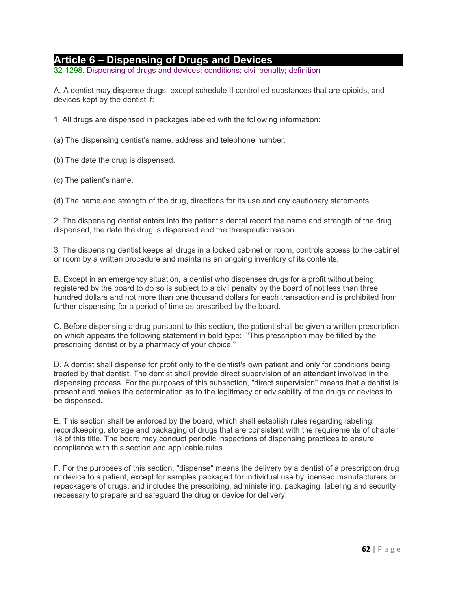## **Article 6 – Dispensing of Drugs and Devices**

32-1298. Dispensing of drugs and devices; conditions; civil penalty; definition

A. A dentist may dispense drugs, except schedule II controlled substances that are opioids, and devices kept by the dentist if:

1. All drugs are dispensed in packages labeled with the following information:

(a) The dispensing dentist's name, address and telephone number.

(b) The date the drug is dispensed.

(c) The patient's name.

(d) The name and strength of the drug, directions for its use and any cautionary statements.

2. The dispensing dentist enters into the patient's dental record the name and strength of the drug dispensed, the date the drug is dispensed and the therapeutic reason.

3. The dispensing dentist keeps all drugs in a locked cabinet or room, controls access to the cabinet or room by a written procedure and maintains an ongoing inventory of its contents.

B. Except in an emergency situation, a dentist who dispenses drugs for a profit without being registered by the board to do so is subject to a civil penalty by the board of not less than three hundred dollars and not more than one thousand dollars for each transaction and is prohibited from further dispensing for a period of time as prescribed by the board.

C. Before dispensing a drug pursuant to this section, the patient shall be given a written prescription on which appears the following statement in bold type: "This prescription may be filled by the prescribing dentist or by a pharmacy of your choice."

D. A dentist shall dispense for profit only to the dentist's own patient and only for conditions being treated by that dentist. The dentist shall provide direct supervision of an attendant involved in the dispensing process. For the purposes of this subsection, "direct supervision" means that a dentist is present and makes the determination as to the legitimacy or advisability of the drugs or devices to be dispensed.

E. This section shall be enforced by the board, which shall establish rules regarding labeling, recordkeeping, storage and packaging of drugs that are consistent with the requirements of chapter 18 of this title. The board may conduct periodic inspections of dispensing practices to ensure compliance with this section and applicable rules.

F. For the purposes of this section, "dispense" means the delivery by a dentist of a prescription drug or device to a patient, except for samples packaged for individual use by licensed manufacturers or repackagers of drugs, and includes the prescribing, administering, packaging, labeling and security necessary to prepare and safeguard the drug or device for delivery.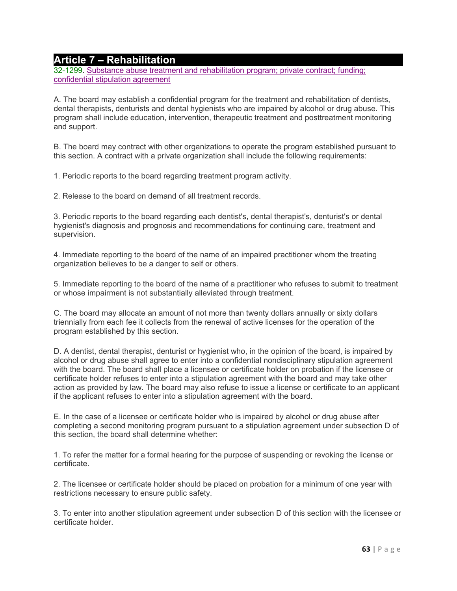### **Article 7 – Rehabilitation**

32-1299. Substance abuse treatment and rehabilitation program; private contract; funding; confidential stipulation agreement

A. The board may establish a confidential program for the treatment and rehabilitation of dentists, dental therapists, denturists and dental hygienists who are impaired by alcohol or drug abuse. This program shall include education, intervention, therapeutic treatment and posttreatment monitoring and support.

B. The board may contract with other organizations to operate the program established pursuant to this section. A contract with a private organization shall include the following requirements:

1. Periodic reports to the board regarding treatment program activity.

2. Release to the board on demand of all treatment records.

3. Periodic reports to the board regarding each dentist's, dental therapist's, denturist's or dental hygienist's diagnosis and prognosis and recommendations for continuing care, treatment and supervision.

4. Immediate reporting to the board of the name of an impaired practitioner whom the treating organization believes to be a danger to self or others.

5. Immediate reporting to the board of the name of a practitioner who refuses to submit to treatment or whose impairment is not substantially alleviated through treatment.

C. The board may allocate an amount of not more than twenty dollars annually or sixty dollars triennially from each fee it collects from the renewal of active licenses for the operation of the program established by this section.

D. A dentist, dental therapist, denturist or hygienist who, in the opinion of the board, is impaired by alcohol or drug abuse shall agree to enter into a confidential nondisciplinary stipulation agreement with the board. The board shall place a licensee or certificate holder on probation if the licensee or certificate holder refuses to enter into a stipulation agreement with the board and may take other action as provided by law. The board may also refuse to issue a license or certificate to an applicant if the applicant refuses to enter into a stipulation agreement with the board.

E. In the case of a licensee or certificate holder who is impaired by alcohol or drug abuse after completing a second monitoring program pursuant to a stipulation agreement under subsection D of this section, the board shall determine whether:

1. To refer the matter for a formal hearing for the purpose of suspending or revoking the license or certificate.

2. The licensee or certificate holder should be placed on probation for a minimum of one year with restrictions necessary to ensure public safety.

3. To enter into another stipulation agreement under subsection D of this section with the licensee or certificate holder.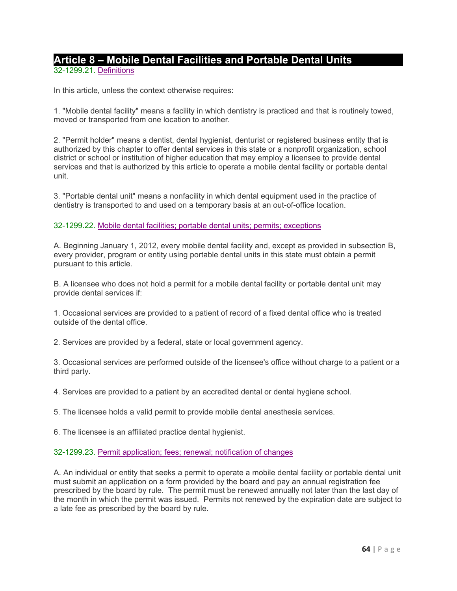## **Article 8 – Mobile Dental Facilities and Portable Dental Units** 32-1299.21. Definitions

In this article, unless the context otherwise requires:

1. "Mobile dental facility" means a facility in which dentistry is practiced and that is routinely towed, moved or transported from one location to another.

2. "Permit holder" means a dentist, dental hygienist, denturist or registered business entity that is authorized by this chapter to offer dental services in this state or a nonprofit organization, school district or school or institution of higher education that may employ a licensee to provide dental services and that is authorized by this article to operate a mobile dental facility or portable dental unit.

3. "Portable dental unit" means a nonfacility in which dental equipment used in the practice of dentistry is transported to and used on a temporary basis at an out-of-office location.

#### 32-1299.22. Mobile dental facilities; portable dental units; permits; exceptions

A. Beginning January 1, 2012, every mobile dental facility and, except as provided in subsection B, every provider, program or entity using portable dental units in this state must obtain a permit pursuant to this article.

B. A licensee who does not hold a permit for a mobile dental facility or portable dental unit may provide dental services if:

1. Occasional services are provided to a patient of record of a fixed dental office who is treated outside of the dental office.

2. Services are provided by a federal, state or local government agency.

3. Occasional services are performed outside of the licensee's office without charge to a patient or a third party.

4. Services are provided to a patient by an accredited dental or dental hygiene school.

5. The licensee holds a valid permit to provide mobile dental anesthesia services.

6. The licensee is an affiliated practice dental hygienist.

#### 32-1299.23. Permit application; fees; renewal; notification of changes

A. An individual or entity that seeks a permit to operate a mobile dental facility or portable dental unit must submit an application on a form provided by the board and pay an annual registration fee prescribed by the board by rule. The permit must be renewed annually not later than the last day of the month in which the permit was issued. Permits not renewed by the expiration date are subject to a late fee as prescribed by the board by rule.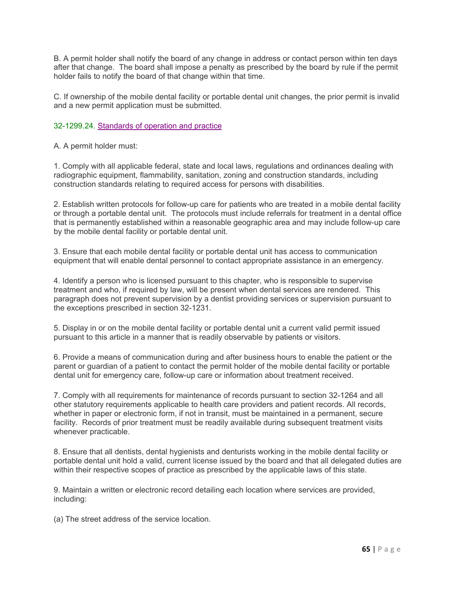B. A permit holder shall notify the board of any change in address or contact person within ten days after that change. The board shall impose a penalty as prescribed by the board by rule if the permit holder fails to notify the board of that change within that time.

C. If ownership of the mobile dental facility or portable dental unit changes, the prior permit is invalid and a new permit application must be submitted.

#### 32-1299.24. Standards of operation and practice

A. A permit holder must:

1. Comply with all applicable federal, state and local laws, regulations and ordinances dealing with radiographic equipment, flammability, sanitation, zoning and construction standards, including construction standards relating to required access for persons with disabilities.

2. Establish written protocols for follow-up care for patients who are treated in a mobile dental facility or through a portable dental unit. The protocols must include referrals for treatment in a dental office that is permanently established within a reasonable geographic area and may include follow-up care by the mobile dental facility or portable dental unit.

3. Ensure that each mobile dental facility or portable dental unit has access to communication equipment that will enable dental personnel to contact appropriate assistance in an emergency.

4. Identify a person who is licensed pursuant to this chapter, who is responsible to supervise treatment and who, if required by law, will be present when dental services are rendered. This paragraph does not prevent supervision by a dentist providing services or supervision pursuant to the exceptions prescribed in section 32-1231.

5. Display in or on the mobile dental facility or portable dental unit a current valid permit issued pursuant to this article in a manner that is readily observable by patients or visitors.

6. Provide a means of communication during and after business hours to enable the patient or the parent or guardian of a patient to contact the permit holder of the mobile dental facility or portable dental unit for emergency care, follow-up care or information about treatment received.

7. Comply with all requirements for maintenance of records pursuant to section 32-1264 and all other statutory requirements applicable to health care providers and patient records. All records, whether in paper or electronic form, if not in transit, must be maintained in a permanent, secure facility. Records of prior treatment must be readily available during subsequent treatment visits whenever practicable.

8. Ensure that all dentists, dental hygienists and denturists working in the mobile dental facility or portable dental unit hold a valid, current license issued by the board and that all delegated duties are within their respective scopes of practice as prescribed by the applicable laws of this state.

9. Maintain a written or electronic record detailing each location where services are provided, including:

(a) The street address of the service location.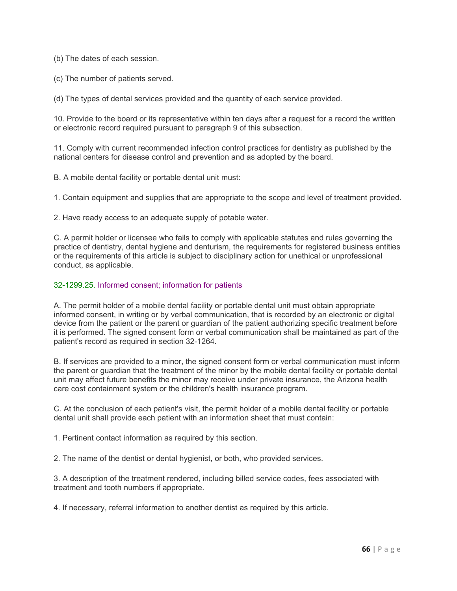(b) The dates of each session.

(c) The number of patients served.

(d) The types of dental services provided and the quantity of each service provided.

10. Provide to the board or its representative within ten days after a request for a record the written or electronic record required pursuant to paragraph 9 of this subsection.

11. Comply with current recommended infection control practices for dentistry as published by the national centers for disease control and prevention and as adopted by the board.

B. A mobile dental facility or portable dental unit must:

1. Contain equipment and supplies that are appropriate to the scope and level of treatment provided.

2. Have ready access to an adequate supply of potable water.

C. A permit holder or licensee who fails to comply with applicable statutes and rules governing the practice of dentistry, dental hygiene and denturism, the requirements for registered business entities or the requirements of this article is subject to disciplinary action for unethical or unprofessional conduct, as applicable.

#### 32-1299.25. Informed consent; information for patients

A. The permit holder of a mobile dental facility or portable dental unit must obtain appropriate informed consent, in writing or by verbal communication, that is recorded by an electronic or digital device from the patient or the parent or guardian of the patient authorizing specific treatment before it is performed. The signed consent form or verbal communication shall be maintained as part of the patient's record as required in section 32-1264.

B. If services are provided to a minor, the signed consent form or verbal communication must inform the parent or guardian that the treatment of the minor by the mobile dental facility or portable dental unit may affect future benefits the minor may receive under private insurance, the Arizona health care cost containment system or the children's health insurance program.

C. At the conclusion of each patient's visit, the permit holder of a mobile dental facility or portable dental unit shall provide each patient with an information sheet that must contain:

1. Pertinent contact information as required by this section.

2. The name of the dentist or dental hygienist, or both, who provided services.

3. A description of the treatment rendered, including billed service codes, fees associated with treatment and tooth numbers if appropriate.

4. If necessary, referral information to another dentist as required by this article.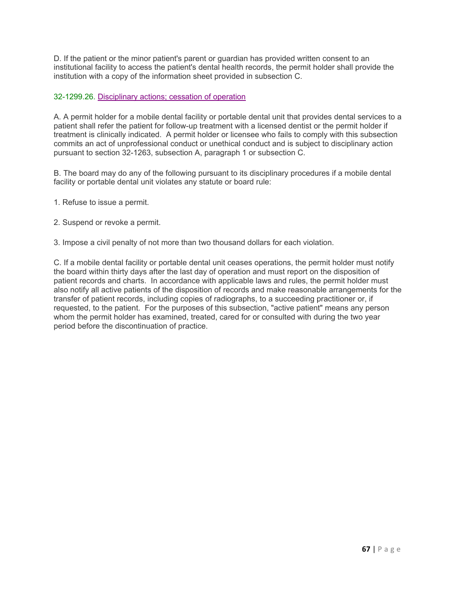D. If the patient or the minor patient's parent or guardian has provided written consent to an institutional facility to access the patient's dental health records, the permit holder shall provide the institution with a copy of the information sheet provided in subsection C.

#### 32-1299.26. Disciplinary actions; cessation of operation

A. A permit holder for a mobile dental facility or portable dental unit that provides dental services to a patient shall refer the patient for follow-up treatment with a licensed dentist or the permit holder if treatment is clinically indicated. A permit holder or licensee who fails to comply with this subsection commits an act of unprofessional conduct or unethical conduct and is subject to disciplinary action pursuant to section 32-1263, subsection A, paragraph 1 or subsection C.

B. The board may do any of the following pursuant to its disciplinary procedures if a mobile dental facility or portable dental unit violates any statute or board rule:

- 1. Refuse to issue a permit.
- 2. Suspend or revoke a permit.
- 3. Impose a civil penalty of not more than two thousand dollars for each violation.

C. If a mobile dental facility or portable dental unit ceases operations, the permit holder must notify the board within thirty days after the last day of operation and must report on the disposition of patient records and charts. In accordance with applicable laws and rules, the permit holder must also notify all active patients of the disposition of records and make reasonable arrangements for the transfer of patient records, including copies of radiographs, to a succeeding practitioner or, if requested, to the patient. For the purposes of this subsection, "active patient" means any person whom the permit holder has examined, treated, cared for or consulted with during the two year period before the discontinuation of practice.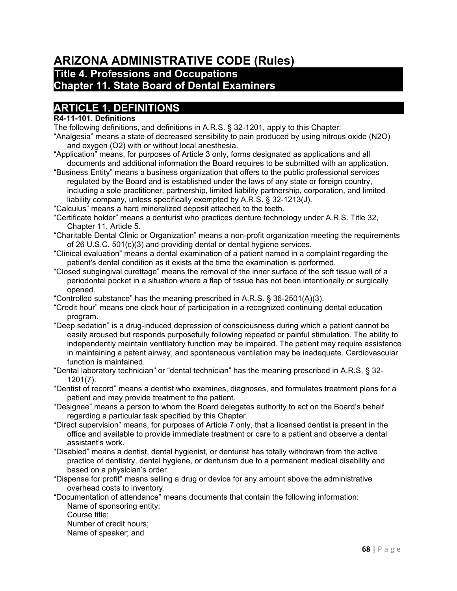# **ARIZONA ADMINISTRATIVE CODE (Rules)**

# **Title 4. Professions and Occupations**

## **Chapter 11. State Board of Dental Examiners**

## **ARTICLE 1. DEFINITIONS**

### **R4-11-101. Definitions**

The following definitions, and definitions in A.R.S. § 32-1201, apply to this Chapter:

- "Analgesia" means a state of decreased sensibility to pain produced by using nitrous oxide (N2O) and oxygen (O2) with or without local anesthesia.
- "Application" means, for purposes of Article 3 only, forms designated as applications and all documents and additional information the Board requires to be submitted with an application.
- "Business Entity" means a business organization that offers to the public professional services regulated by the Board and is established under the laws of any state or foreign country, including a sole practitioner, partnership, limited liability partnership, corporation, and limited liability company, unless specifically exempted by A.R.S. § 32-1213(J).

"Calculus" means a hard mineralized deposit attached to the teeth.

- "Certificate holder" means a denturist who practices denture technology under A.R.S. Title 32, Chapter 11, Article 5.
- "Charitable Dental Clinic or Organization" means a non-profit organization meeting the requirements of 26 U.S.C. 501(c)(3) and providing dental or dental hygiene services.
- "Clinical evaluation" means a dental examination of a patient named in a complaint regarding the patient's dental condition as it exists at the time the examination is performed.
- "Closed subgingival curettage" means the removal of the inner surface of the soft tissue wall of a periodontal pocket in a situation where a flap of tissue has not been intentionally or surgically opened.
- "Controlled substance" has the meaning prescribed in A.R.S. § 36-2501(A)(3).
- "Credit hour" means one clock hour of participation in a recognized continuing dental education program.
- "Deep sedation" is a drug-induced depression of consciousness during which a patient cannot be easily aroused but responds purposefully following repeated or painful stimulation. The ability to independently maintain ventilatory function may be impaired. The patient may require assistance in maintaining a patent airway, and spontaneous ventilation may be inadequate. Cardiovascular function is maintained.
- "Dental laboratory technician" or "dental technician" has the meaning prescribed in A.R.S. § 32- 1201(7).
- "Dentist of record" means a dentist who examines, diagnoses, and formulates treatment plans for a patient and may provide treatment to the patient.
- "Designee" means a person to whom the Board delegates authority to act on the Board's behalf regarding a particular task specified by this Chapter.
- "Direct supervision" means, for purposes of Article 7 only, that a licensed dentist is present in the office and available to provide immediate treatment or care to a patient and observe a dental assistant's work.
- "Disabled" means a dentist, dental hygienist, or denturist has totally withdrawn from the active practice of dentistry, dental hygiene, or denturism due to a permanent medical disability and based on a physician's order.
- "Dispense for profit" means selling a drug or device for any amount above the administrative overhead costs to inventory.
- "Documentation of attendance" means documents that contain the following information: Name of sponsoring entity;

Course title;

Number of credit hours;

Name of speaker; and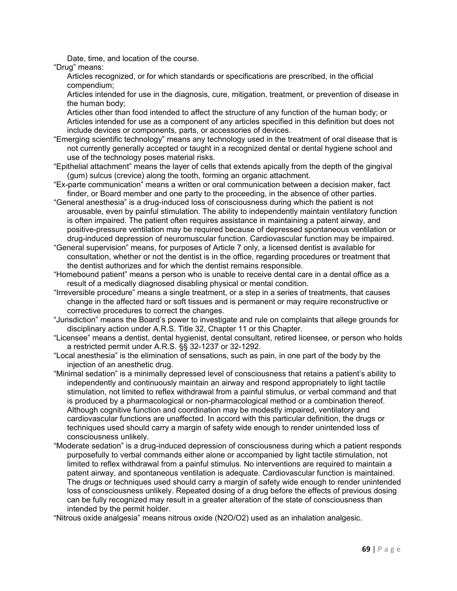Date, time, and location of the course.

"Drug" means:

Articles recognized, or for which standards or specifications are prescribed, in the official compendium;

Articles intended for use in the diagnosis, cure, mitigation, treatment, or prevention of disease in the human body;

Articles other than food intended to affect the structure of any function of the human body; or Articles intended for use as a component of any articles specified in this definition but does not include devices or components, parts, or accessories of devices.

- "Emerging scientific technology" means any technology used in the treatment of oral disease that is not currently generally accepted or taught in a recognized dental or dental hygiene school and use of the technology poses material risks.
- "Epithelial attachment" means the layer of cells that extends apically from the depth of the gingival (gum) sulcus (crevice) along the tooth, forming an organic attachment.
- "Ex-parte communication" means a written or oral communication between a decision maker, fact finder, or Board member and one party to the proceeding, in the absence of other parties.
- "General anesthesia" is a drug-induced loss of consciousness during which the patient is not arousable, even by painful stimulation. The ability to independently maintain ventilatory function is often impaired. The patient often requires assistance in maintaining a patent airway, and positive-pressure ventilation may be required because of depressed spontaneous ventilation or drug-induced depression of neuromuscular function. Cardiovascular function may be impaired.
- "General supervision" means, for purposes of Article 7 only, a licensed dentist is available for consultation, whether or not the dentist is in the office, regarding procedures or treatment that the dentist authorizes and for which the dentist remains responsible.
- "Homebound patient" means a person who is unable to receive dental care in a dental office as a result of a medically diagnosed disabling physical or mental condition.
- "Irreversible procedure" means a single treatment, or a step in a series of treatments, that causes change in the affected hard or soft tissues and is permanent or may require reconstructive or corrective procedures to correct the changes.
- "Jurisdiction" means the Board's power to investigate and rule on complaints that allege grounds for disciplinary action under A.R.S. Title 32, Chapter 11 or this Chapter.
- "Licensee" means a dentist, dental hygienist, dental consultant, retired licensee, or person who holds a restricted permit under A.R.S. §§ 32-1237 or 32-1292.
- "Local anesthesia" is the elimination of sensations, such as pain, in one part of the body by the injection of an anesthetic drug.
- "Minimal sedation" is a minimally depressed level of consciousness that retains a patient's ability to independently and continuously maintain an airway and respond appropriately to light tactile stimulation, not limited to reflex withdrawal from a painful stimulus, or verbal command and that is produced by a pharmacological or non-pharmacological method or a combination thereof. Although cognitive function and coordination may be modestly impaired, ventilatory and cardiovascular functions are unaffected. In accord with this particular definition, the drugs or techniques used should carry a margin of safety wide enough to render unintended loss of consciousness unlikely.
- "Moderate sedation" is a drug-induced depression of consciousness during which a patient responds purposefully to verbal commands either alone or accompanied by light tactile stimulation, not limited to reflex withdrawal from a painful stimulus. No interventions are required to maintain a patent airway, and spontaneous ventilation is adequate. Cardiovascular function is maintained. The drugs or techniques used should carry a margin of safety wide enough to render unintended loss of consciousness unlikely. Repeated dosing of a drug before the effects of previous dosing can be fully recognized may result in a greater alteration of the state of consciousness than intended by the permit holder.

"Nitrous oxide analgesia" means nitrous oxide (N2O/O2) used as an inhalation analgesic.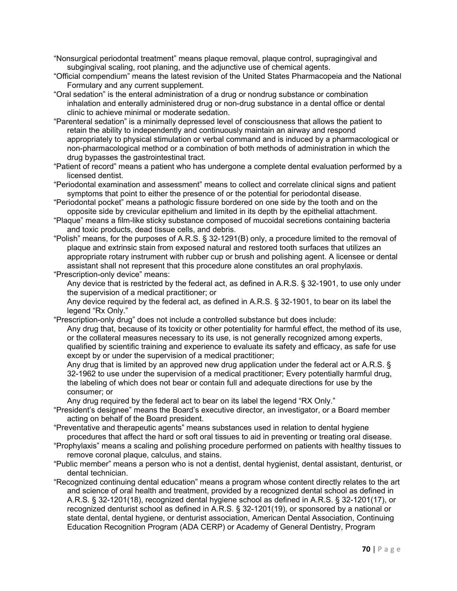- "Nonsurgical periodontal treatment" means plaque removal, plaque control, supragingival and subgingival scaling, root planing, and the adjunctive use of chemical agents.
- "Official compendium" means the latest revision of the United States Pharmacopeia and the National Formulary and any current supplement.
- "Oral sedation" is the enteral administration of a drug or nondrug substance or combination inhalation and enterally administered drug or non-drug substance in a dental office or dental clinic to achieve minimal or moderate sedation.
- "Parenteral sedation" is a minimally depressed level of consciousness that allows the patient to retain the ability to independently and continuously maintain an airway and respond appropriately to physical stimulation or verbal command and is induced by a pharmacological or non-pharmacological method or a combination of both methods of administration in which the drug bypasses the gastrointestinal tract.
- "Patient of record" means a patient who has undergone a complete dental evaluation performed by a licensed dentist.
- "Periodontal examination and assessment" means to collect and correlate clinical signs and patient symptoms that point to either the presence of or the potential for periodontal disease.
- "Periodontal pocket" means a pathologic fissure bordered on one side by the tooth and on the opposite side by crevicular epithelium and limited in its depth by the epithelial attachment.
- "Plaque" means a film-like sticky substance composed of mucoidal secretions containing bacteria and toxic products, dead tissue cells, and debris.
- "Polish" means, for the purposes of A.R.S. § 32-1291(B) only, a procedure limited to the removal of plaque and extrinsic stain from exposed natural and restored tooth surfaces that utilizes an appropriate rotary instrument with rubber cup or brush and polishing agent. A licensee or dental assistant shall not represent that this procedure alone constitutes an oral prophylaxis.
- "Prescription-only device" means:

Any device that is restricted by the federal act, as defined in A.R.S. § 32-1901, to use only under the supervision of a medical practitioner; or

Any device required by the federal act, as defined in A.R.S. § 32-1901, to bear on its label the legend "Rx Only."

"Prescription-only drug" does not include a controlled substance but does include:

Any drug that, because of its toxicity or other potentiality for harmful effect, the method of its use, or the collateral measures necessary to its use, is not generally recognized among experts, qualified by scientific training and experience to evaluate its safety and efficacy, as safe for use except by or under the supervision of a medical practitioner;

Any drug that is limited by an approved new drug application under the federal act or A.R.S. § 32-1962 to use under the supervision of a medical practitioner; Every potentially harmful drug, the labeling of which does not bear or contain full and adequate directions for use by the consumer; or

Any drug required by the federal act to bear on its label the legend "RX Only."

- "President's designee" means the Board's executive director, an investigator, or a Board member acting on behalf of the Board president.
- "Preventative and therapeutic agents" means substances used in relation to dental hygiene procedures that affect the hard or soft oral tissues to aid in preventing or treating oral disease.
- "Prophylaxis" means a scaling and polishing procedure performed on patients with healthy tissues to remove coronal plaque, calculus, and stains.
- "Public member" means a person who is not a dentist, dental hygienist, dental assistant, denturist, or dental technician.
- "Recognized continuing dental education" means a program whose content directly relates to the art and science of oral health and treatment, provided by a recognized dental school as defined in A.R.S. § 32-1201(18), recognized dental hygiene school as defined in A.R.S. § 32-1201(17), or recognized denturist school as defined in A.R.S. § 32-1201(19), or sponsored by a national or state dental, dental hygiene, or denturist association, American Dental Association, Continuing Education Recognition Program (ADA CERP) or Academy of General Dentistry, Program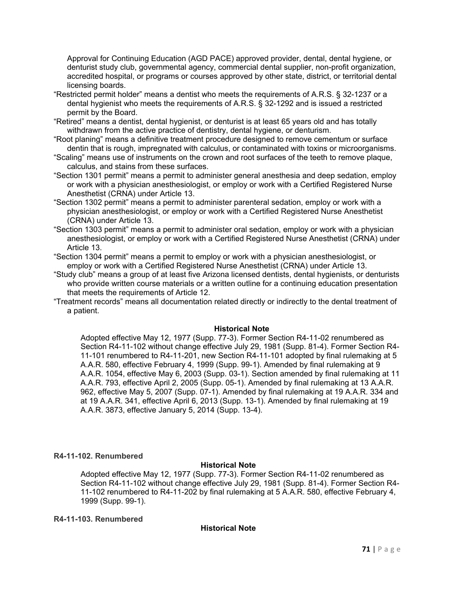Approval for Continuing Education (AGD PACE) approved provider, dental, dental hygiene, or denturist study club, governmental agency, commercial dental supplier, non-profit organization, accredited hospital, or programs or courses approved by other state, district, or territorial dental licensing boards.

- "Restricted permit holder" means a dentist who meets the requirements of A.R.S. § 32-1237 or a dental hygienist who meets the requirements of A.R.S. § 32-1292 and is issued a restricted permit by the Board.
- "Retired" means a dentist, dental hygienist, or denturist is at least 65 years old and has totally withdrawn from the active practice of dentistry, dental hygiene, or denturism.
- "Root planing" means a definitive treatment procedure designed to remove cementum or surface dentin that is rough, impregnated with calculus, or contaminated with toxins or microorganisms.
- "Scaling" means use of instruments on the crown and root surfaces of the teeth to remove plaque, calculus, and stains from these surfaces.
- "Section 1301 permit" means a permit to administer general anesthesia and deep sedation, employ or work with a physician anesthesiologist, or employ or work with a Certified Registered Nurse Anesthetist (CRNA) under Article 13.
- "Section 1302 permit" means a permit to administer parenteral sedation, employ or work with a physician anesthesiologist, or employ or work with a Certified Registered Nurse Anesthetist (CRNA) under Article 13.
- "Section 1303 permit" means a permit to administer oral sedation, employ or work with a physician anesthesiologist, or employ or work with a Certified Registered Nurse Anesthetist (CRNA) under Article 13.
- "Section 1304 permit" means a permit to employ or work with a physician anesthesiologist, or employ or work with a Certified Registered Nurse Anesthetist (CRNA) under Article 13.
- "Study club" means a group of at least five Arizona licensed dentists, dental hygienists, or denturists who provide written course materials or a written outline for a continuing education presentation that meets the requirements of Article 12.
- "Treatment records" means all documentation related directly or indirectly to the dental treatment of a patient.

#### **Historical Note**

Adopted effective May 12, 1977 (Supp. 77-3). Former Section R4-11-02 renumbered as Section R4-11-102 without change effective July 29, 1981 (Supp. 81-4). Former Section R4- 11-101 renumbered to R4-11-201, new Section R4-11-101 adopted by final rulemaking at 5 A.A.R. 580, effective February 4, 1999 (Supp. 99-1). Amended by final rulemaking at 9 A.A.R. 1054, effective May 6, 2003 (Supp. 03-1). Section amended by final rulemaking at 11 A.A.R. 793, effective April 2, 2005 (Supp. 05-1). Amended by final rulemaking at 13 A.A.R. 962, effective May 5, 2007 (Supp. 07-1). Amended by final rulemaking at 19 A.A.R. 334 and at 19 A.A.R. 341, effective April 6, 2013 (Supp. 13-1). Amended by final rulemaking at 19 A.A.R. 3873, effective January 5, 2014 (Supp. 13-4).

#### **R4-11-102. Renumbered**

#### **Historical Note**

Adopted effective May 12, 1977 (Supp. 77-3). Former Section R4-11-02 renumbered as Section R4-11-102 without change effective July 29, 1981 (Supp. 81-4). Former Section R4- 11-102 renumbered to R4-11-202 by final rulemaking at 5 A.A.R. 580, effective February 4, 1999 (Supp. 99-1).

#### **R4-11-103. Renumbered**

#### **Historical Note**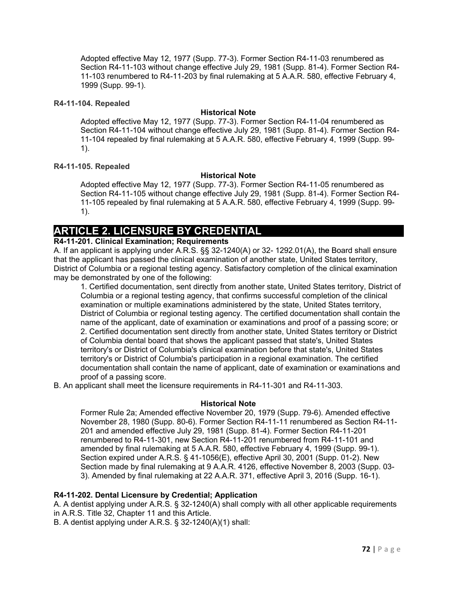Adopted effective May 12, 1977 (Supp. 77-3). Former Section R4-11-03 renumbered as Section R4-11-103 without change effective July 29, 1981 (Supp. 81-4). Former Section R4- 11-103 renumbered to R4-11-203 by final rulemaking at 5 A.A.R. 580, effective February 4, 1999 (Supp. 99-1).

## **R4-11-104. Repealed**

## **Historical Note**

Adopted effective May 12, 1977 (Supp. 77-3). Former Section R4-11-04 renumbered as Section R4-11-104 without change effective July 29, 1981 (Supp. 81-4). Former Section R4- 11-104 repealed by final rulemaking at 5 A.A.R. 580, effective February 4, 1999 (Supp. 99- 1).

## **R4-11-105. Repealed**

## **Historical Note**

Adopted effective May 12, 1977 (Supp. 77-3). Former Section R4-11-05 renumbered as Section R4-11-105 without change effective July 29, 1981 (Supp. 81-4). Former Section R4- 11-105 repealed by final rulemaking at 5 A.A.R. 580, effective February 4, 1999 (Supp. 99- 1).

# **ARTICLE 2. LICENSURE BY CREDENTIAL**

## **R4-11-201. Clinical Examination; Requirements**

A. If an applicant is applying under A.R.S. §§ 32-1240(A) or 32- 1292.01(A), the Board shall ensure that the applicant has passed the clinical examination of another state, United States territory, District of Columbia or a regional testing agency. Satisfactory completion of the clinical examination may be demonstrated by one of the following:

1. Certified documentation, sent directly from another state, United States territory, District of Columbia or a regional testing agency, that confirms successful completion of the clinical examination or multiple examinations administered by the state, United States territory, District of Columbia or regional testing agency. The certified documentation shall contain the name of the applicant, date of examination or examinations and proof of a passing score; or 2. Certified documentation sent directly from another state, United States territory or District of Columbia dental board that shows the applicant passed that state's, United States territory's or District of Columbia's clinical examination before that state's, United States territory's or District of Columbia's participation in a regional examination. The certified documentation shall contain the name of applicant, date of examination or examinations and proof of a passing score.

B. An applicant shall meet the licensure requirements in R4-11-301 and R4-11-303.

## **Historical Note**

Former Rule 2a; Amended effective November 20, 1979 (Supp. 79-6). Amended effective November 28, 1980 (Supp. 80-6). Former Section R4-11-11 renumbered as Section R4-11- 201 and amended effective July 29, 1981 (Supp. 81-4). Former Section R4-11-201 renumbered to R4-11-301, new Section R4-11-201 renumbered from R4-11-101 and amended by final rulemaking at 5 A.A.R. 580, effective February 4, 1999 (Supp. 99-1). Section expired under A.R.S. § 41-1056(E), effective April 30, 2001 (Supp. 01-2). New Section made by final rulemaking at 9 A.A.R. 4126, effective November 8, 2003 (Supp. 03- 3). Amended by final rulemaking at 22 A.A.R. 371, effective April 3, 2016 (Supp. 16-1).

## **R4-11-202. Dental Licensure by Credential; Application**

A. A dentist applying under A.R.S. § 32-1240(A) shall comply with all other applicable requirements in A.R.S. Title 32, Chapter 11 and this Article.

B. A dentist applying under A.R.S. § 32-1240(A)(1) shall: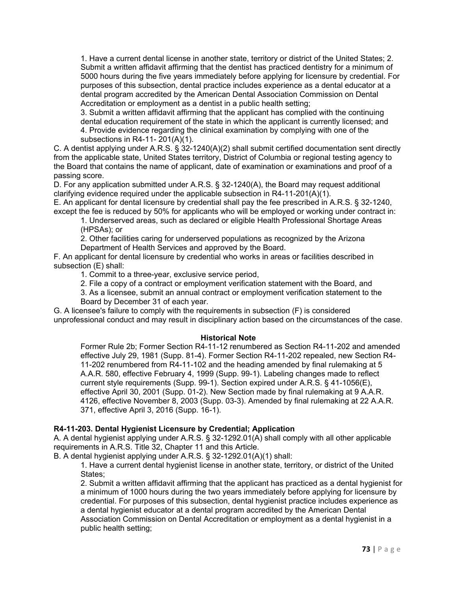1. Have a current dental license in another state, territory or district of the United States; 2. Submit a written affidavit affirming that the dentist has practiced dentistry for a minimum of 5000 hours during the five years immediately before applying for licensure by credential. For purposes of this subsection, dental practice includes experience as a dental educator at a dental program accredited by the American Dental Association Commission on Dental Accreditation or employment as a dentist in a public health setting;

3. Submit a written affidavit affirming that the applicant has complied with the continuing dental education requirement of the state in which the applicant is currently licensed; and 4. Provide evidence regarding the clinical examination by complying with one of the subsections in R4-11- 201(A)(1).

C. A dentist applying under A.R.S. § 32-1240(A)(2) shall submit certified documentation sent directly from the applicable state, United States territory, District of Columbia or regional testing agency to the Board that contains the name of applicant, date of examination or examinations and proof of a passing score.

D. For any application submitted under A.R.S. § 32-1240(A), the Board may request additional clarifying evidence required under the applicable subsection in R4-11-201(A)(1).

E. An applicant for dental licensure by credential shall pay the fee prescribed in A.R.S. § 32-1240, except the fee is reduced by 50% for applicants who will be employed or working under contract in:

1. Underserved areas, such as declared or eligible Health Professional Shortage Areas (HPSAs); or

2. Other facilities caring for underserved populations as recognized by the Arizona Department of Health Services and approved by the Board.

F. An applicant for dental licensure by credential who works in areas or facilities described in subsection (E) shall:

1. Commit to a three-year, exclusive service period,

2. File a copy of a contract or employment verification statement with the Board, and

3. As a licensee, submit an annual contract or employment verification statement to the Board by December 31 of each year.

G. A licensee's failure to comply with the requirements in subsection (F) is considered unprofessional conduct and may result in disciplinary action based on the circumstances of the case.

#### **Historical Note**

Former Rule 2b; Former Section R4-11-12 renumbered as Section R4-11-202 and amended effective July 29, 1981 (Supp. 81-4). Former Section R4-11-202 repealed, new Section R4- 11-202 renumbered from R4-11-102 and the heading amended by final rulemaking at 5 A.A.R. 580, effective February 4, 1999 (Supp. 99-1). Labeling changes made to reflect current style requirements (Supp. 99-1). Section expired under A.R.S. § 41-1056(E), effective April 30, 2001 (Supp. 01-2). New Section made by final rulemaking at 9 A.A.R. 4126, effective November 8, 2003 (Supp. 03-3). Amended by final rulemaking at 22 A.A.R. 371, effective April 3, 2016 (Supp. 16-1).

## **R4-11-203. Dental Hygienist Licensure by Credential; Application**

A. A dental hygienist applying under A.R.S. § 32-1292.01(A) shall comply with all other applicable requirements in A.R.S. Title 32, Chapter 11 and this Article.

B. A dental hygienist applying under A.R.S. § 32-1292.01(A)(1) shall:

1. Have a current dental hygienist license in another state, territory, or district of the United States;

2. Submit a written affidavit affirming that the applicant has practiced as a dental hygienist for a minimum of 1000 hours during the two years immediately before applying for licensure by credential. For purposes of this subsection, dental hygienist practice includes experience as a dental hygienist educator at a dental program accredited by the American Dental Association Commission on Dental Accreditation or employment as a dental hygienist in a public health setting;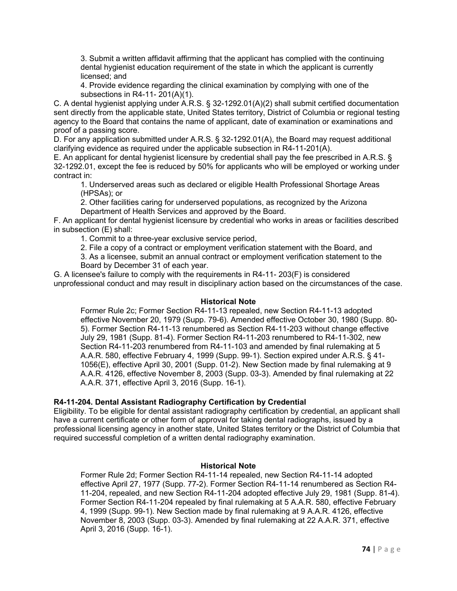3. Submit a written affidavit affirming that the applicant has complied with the continuing dental hygienist education requirement of the state in which the applicant is currently licensed; and

4. Provide evidence regarding the clinical examination by complying with one of the subsections in R4-11- 201(A)(1).

C. A dental hygienist applying under A.R.S. § 32-1292.01(A)(2) shall submit certified documentation sent directly from the applicable state, United States territory, District of Columbia or regional testing agency to the Board that contains the name of applicant, date of examination or examinations and proof of a passing score.

D. For any application submitted under A.R.S. § 32-1292.01(A), the Board may request additional clarifying evidence as required under the applicable subsection in R4-11-201(A).

E. An applicant for dental hygienist licensure by credential shall pay the fee prescribed in A.R.S. § 32-1292.01, except the fee is reduced by 50% for applicants who will be employed or working under contract in:

1. Underserved areas such as declared or eligible Health Professional Shortage Areas (HPSAs); or

2. Other facilities caring for underserved populations, as recognized by the Arizona Department of Health Services and approved by the Board.

F. An applicant for dental hygienist licensure by credential who works in areas or facilities described in subsection (E) shall:

1. Commit to a three-year exclusive service period,

2. File a copy of a contract or employment verification statement with the Board, and

3. As a licensee, submit an annual contract or employment verification statement to the Board by December 31 of each year.

G. A licensee's failure to comply with the requirements in R4-11- 203(F) is considered unprofessional conduct and may result in disciplinary action based on the circumstances of the case.

#### **Historical Note**

Former Rule 2c; Former Section R4-11-13 repealed, new Section R4-11-13 adopted effective November 20, 1979 (Supp. 79-6). Amended effective October 30, 1980 (Supp. 80- 5). Former Section R4-11-13 renumbered as Section R4-11-203 without change effective July 29, 1981 (Supp. 81-4). Former Section R4-11-203 renumbered to R4-11-302, new Section R4-11-203 renumbered from R4-11-103 and amended by final rulemaking at 5 A.A.R. 580, effective February 4, 1999 (Supp. 99-1). Section expired under A.R.S. § 41- 1056(E), effective April 30, 2001 (Supp. 01-2). New Section made by final rulemaking at 9 A.A.R. 4126, effective November 8, 2003 (Supp. 03-3). Amended by final rulemaking at 22 A.A.R. 371, effective April 3, 2016 (Supp. 16-1).

## **R4-11-204. Dental Assistant Radiography Certification by Credential**

Eligibility. To be eligible for dental assistant radiography certification by credential, an applicant shall have a current certificate or other form of approval for taking dental radiographs, issued by a professional licensing agency in another state, United States territory or the District of Columbia that required successful completion of a written dental radiography examination.

#### **Historical Note**

Former Rule 2d; Former Section R4-11-14 repealed, new Section R4-11-14 adopted effective April 27, 1977 (Supp. 77-2). Former Section R4-11-14 renumbered as Section R4- 11-204, repealed, and new Section R4-11-204 adopted effective July 29, 1981 (Supp. 81-4). Former Section R4-11-204 repealed by final rulemaking at 5 A.A.R. 580, effective February 4, 1999 (Supp. 99-1). New Section made by final rulemaking at 9 A.A.R. 4126, effective November 8, 2003 (Supp. 03-3). Amended by final rulemaking at 22 A.A.R. 371, effective April 3, 2016 (Supp. 16-1).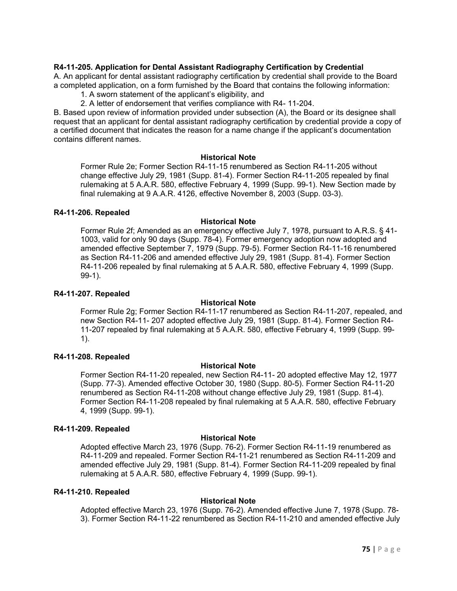## **R4-11-205. Application for Dental Assistant Radiography Certification by Credential**

A. An applicant for dental assistant radiography certification by credential shall provide to the Board a completed application, on a form furnished by the Board that contains the following information:

1. A sworn statement of the applicant's eligibility, and

2. A letter of endorsement that verifies compliance with R4- 11-204.

B. Based upon review of information provided under subsection (A), the Board or its designee shall request that an applicant for dental assistant radiography certification by credential provide a copy of a certified document that indicates the reason for a name change if the applicant's documentation contains different names.

#### **Historical Note**

Former Rule 2e; Former Section R4-11-15 renumbered as Section R4-11-205 without change effective July 29, 1981 (Supp. 81-4). Former Section R4-11-205 repealed by final rulemaking at 5 A.A.R. 580, effective February 4, 1999 (Supp. 99-1). New Section made by final rulemaking at 9 A.A.R. 4126, effective November 8, 2003 (Supp. 03-3).

#### **R4-11-206. Repealed**

#### **Historical Note**

Former Rule 2f; Amended as an emergency effective July 7, 1978, pursuant to A.R.S. § 41- 1003, valid for only 90 days (Supp. 78-4). Former emergency adoption now adopted and amended effective September 7, 1979 (Supp. 79-5). Former Section R4-11-16 renumbered as Section R4-11-206 and amended effective July 29, 1981 (Supp. 81-4). Former Section R4-11-206 repealed by final rulemaking at 5 A.A.R. 580, effective February 4, 1999 (Supp. 99-1).

## **R4-11-207. Repealed**

#### **Historical Note**

Former Rule 2g; Former Section R4-11-17 renumbered as Section R4-11-207, repealed, and new Section R4-11- 207 adopted effective July 29, 1981 (Supp. 81-4). Former Section R4- 11-207 repealed by final rulemaking at 5 A.A.R. 580, effective February 4, 1999 (Supp. 99- 1).

## **R4-11-208. Repealed**

## **Historical Note**

Former Section R4-11-20 repealed, new Section R4-11- 20 adopted effective May 12, 1977 (Supp. 77-3). Amended effective October 30, 1980 (Supp. 80-5). Former Section R4-11-20 renumbered as Section R4-11-208 without change effective July 29, 1981 (Supp. 81-4). Former Section R4-11-208 repealed by final rulemaking at 5 A.A.R. 580, effective February 4, 1999 (Supp. 99-1).

#### **R4-11-209. Repealed**

#### **Historical Note**

Adopted effective March 23, 1976 (Supp. 76-2). Former Section R4-11-19 renumbered as R4-11-209 and repealed. Former Section R4-11-21 renumbered as Section R4-11-209 and amended effective July 29, 1981 (Supp. 81-4). Former Section R4-11-209 repealed by final rulemaking at 5 A.A.R. 580, effective February 4, 1999 (Supp. 99-1).

#### **R4-11-210. Repealed**

## **Historical Note**

Adopted effective March 23, 1976 (Supp. 76-2). Amended effective June 7, 1978 (Supp. 78- 3). Former Section R4-11-22 renumbered as Section R4-11-210 and amended effective July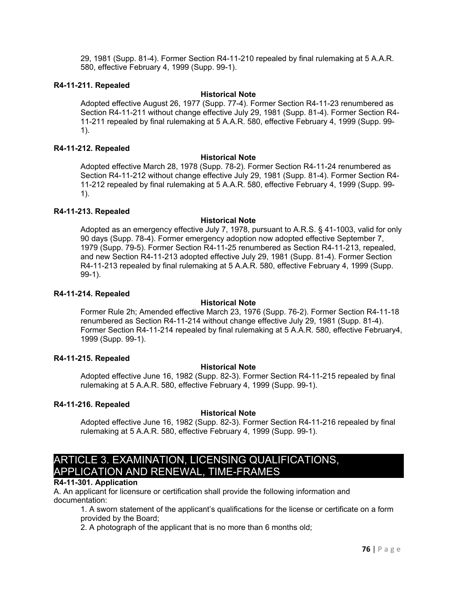29, 1981 (Supp. 81-4). Former Section R4-11-210 repealed by final rulemaking at 5 A.A.R. 580, effective February 4, 1999 (Supp. 99-1).

#### **R4-11-211. Repealed**

#### **Historical Note**

Adopted effective August 26, 1977 (Supp. 77-4). Former Section R4-11-23 renumbered as Section R4-11-211 without change effective July 29, 1981 (Supp. 81-4). Former Section R4- 11-211 repealed by final rulemaking at 5 A.A.R. 580, effective February 4, 1999 (Supp. 99- 1).

#### **R4-11-212. Repealed**

#### **Historical Note**

Adopted effective March 28, 1978 (Supp. 78-2). Former Section R4-11-24 renumbered as Section R4-11-212 without change effective July 29, 1981 (Supp. 81-4). Former Section R4- 11-212 repealed by final rulemaking at 5 A.A.R. 580, effective February 4, 1999 (Supp. 99- 1).

#### **R4-11-213. Repealed**

#### **Historical Note**

Adopted as an emergency effective July 7, 1978, pursuant to A.R.S. § 41-1003, valid for only 90 days (Supp. 78-4). Former emergency adoption now adopted effective September 7, 1979 (Supp. 79-5). Former Section R4-11-25 renumbered as Section R4-11-213, repealed, and new Section R4-11-213 adopted effective July 29, 1981 (Supp. 81-4). Former Section R4-11-213 repealed by final rulemaking at 5 A.A.R. 580, effective February 4, 1999 (Supp. 99-1).

#### **R4-11-214. Repealed**

#### **Historical Note**

Former Rule 2h; Amended effective March 23, 1976 (Supp. 76-2). Former Section R4-11-18 renumbered as Section R4-11-214 without change effective July 29, 1981 (Supp. 81-4). Former Section R4-11-214 repealed by final rulemaking at 5 A.A.R. 580, effective February4, 1999 (Supp. 99-1).

#### **R4-11-215. Repealed**

## **Historical Note**

Adopted effective June 16, 1982 (Supp. 82-3). Former Section R4-11-215 repealed by final rulemaking at 5 A.A.R. 580, effective February 4, 1999 (Supp. 99-1).

## **R4-11-216. Repealed**

## **Historical Note**

Adopted effective June 16, 1982 (Supp. 82-3). Former Section R4-11-216 repealed by final rulemaking at 5 A.A.R. 580, effective February 4, 1999 (Supp. 99-1).

# ARTICLE 3. EXAMINATION, LICENSING QUALIFICATIONS, APPLICATION AND RENEWAL, TIME-FRAMES

## **R4-11-301. Application**

A. An applicant for licensure or certification shall provide the following information and documentation:

1. A sworn statement of the applicant's qualifications for the license or certificate on a form provided by the Board;

2. A photograph of the applicant that is no more than 6 months old;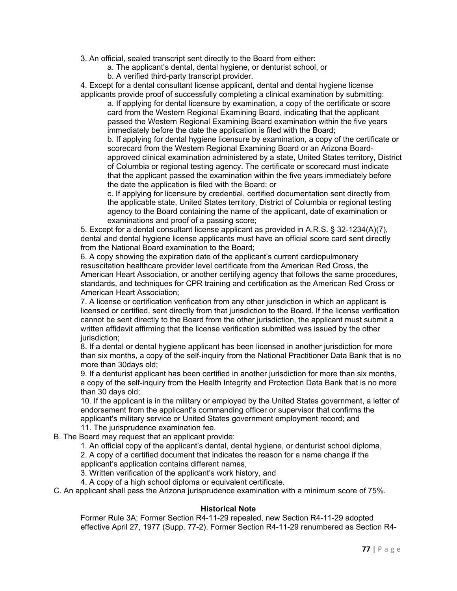3. An official, sealed transcript sent directly to the Board from either:

- a. The applicant's dental, dental hygiene, or denturist school, or
- b. A verified third-party transcript provider.

4. Except for a dental consultant license applicant, dental and dental hygiene license applicants provide proof of successfully completing a clinical examination by submitting:

a. If applying for dental licensure by examination, a copy of the certificate or score card from the Western Regional Examining Board, indicating that the applicant passed the Western Regional Examining Board examination within the five years immediately before the date the application is filed with the Board;

b. If applying for dental hygiene licensure by examination, a copy of the certificate or scorecard from the Western Regional Examining Board or an Arizona Boardapproved clinical examination administered by a state, United States territory, District of Columbia or regional testing agency. The certificate or scorecard must indicate that the applicant passed the examination within the five years immediately before the date the application is filed with the Board; or

c. If applying for licensure by credential, certified documentation sent directly from the applicable state, United States territory, District of Columbia or regional testing agency to the Board containing the name of the applicant, date of examination or examinations and proof of a passing score;

5. Except for a dental consultant license applicant as provided in A.R.S. § 32-1234(A)(7), dental and dental hygiene license applicants must have an official score card sent directly from the National Board examination to the Board;

6. A copy showing the expiration date of the applicant's current cardiopulmonary resuscitation healthcare provider level certificate from the American Red Cross, the American Heart Association, or another certifying agency that follows the same procedures, standards, and techniques for CPR training and certification as the American Red Cross or American Heart Association;

7. A license or certification verification from any other jurisdiction in which an applicant is licensed or certified, sent directly from that jurisdiction to the Board. If the license verification cannot be sent directly to the Board from the other jurisdiction, the applicant must submit a written affidavit affirming that the license verification submitted was issued by the other jurisdiction:

8. If a dental or dental hygiene applicant has been licensed in another jurisdiction for more than six months, a copy of the self-inquiry from the National Practitioner Data Bank that is no more than 30days old;

9. If a denturist applicant has been certified in another jurisdiction for more than six months, a copy of the self-inquiry from the Health Integrity and Protection Data Bank that is no more than 30 days old;

10. If the applicant is in the military or employed by the United States government, a letter of endorsement from the applicant's commanding officer or supervisor that confirms the applicant's military service or United States government employment record; and 11. The jurisprudence examination fee.

B. The Board may request that an applicant provide:

1. An official copy of the applicant's dental, dental hygiene, or denturist school diploma, 2. A copy of a certified document that indicates the reason for a name change if the applicant's application contains different names,

3. Written verification of the applicant's work history, and

4. A copy of a high school diploma or equivalent certificate.

C. An applicant shall pass the Arizona jurisprudence examination with a minimum score of 75%.

## **Historical Note**

Former Rule 3A; Former Section R4-11-29 repealed, new Section R4-11-29 adopted effective April 27, 1977 (Supp. 77-2). Former Section R4-11-29 renumbered as Section R4-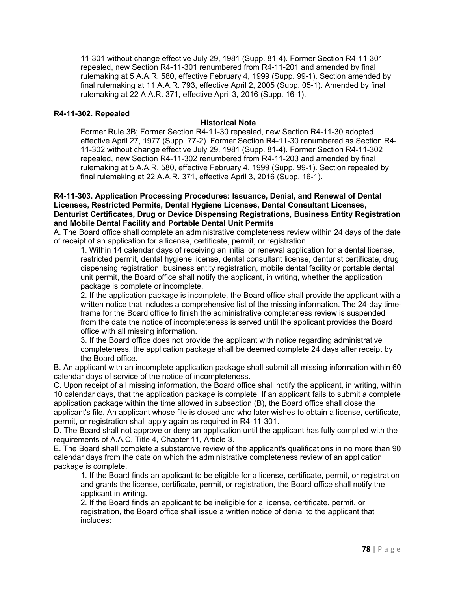11-301 without change effective July 29, 1981 (Supp. 81-4). Former Section R4-11-301 repealed, new Section R4-11-301 renumbered from R4-11-201 and amended by final rulemaking at 5 A.A.R. 580, effective February 4, 1999 (Supp. 99-1). Section amended by final rulemaking at 11 A.A.R. 793, effective April 2, 2005 (Supp. 05-1). Amended by final rulemaking at 22 A.A.R. 371, effective April 3, 2016 (Supp. 16-1).

#### **R4-11-302. Repealed**

#### **Historical Note**

Former Rule 3B; Former Section R4-11-30 repealed, new Section R4-11-30 adopted effective April 27, 1977 (Supp. 77-2). Former Section R4-11-30 renumbered as Section R4- 11-302 without change effective July 29, 1981 (Supp. 81-4). Former Section R4-11-302 repealed, new Section R4-11-302 renumbered from R4-11-203 and amended by final rulemaking at 5 A.A.R. 580, effective February 4, 1999 (Supp. 99-1). Section repealed by final rulemaking at 22 A.A.R. 371, effective April 3, 2016 (Supp. 16-1).

#### **R4-11-303. Application Processing Procedures: Issuance, Denial, and Renewal of Dental Licenses, Restricted Permits, Dental Hygiene Licenses, Dental Consultant Licenses, Denturist Certificates, Drug or Device Dispensing Registrations, Business Entity Registration and Mobile Dental Facility and Portable Dental Unit Permits**

A. The Board office shall complete an administrative completeness review within 24 days of the date of receipt of an application for a license, certificate, permit, or registration.

1. Within 14 calendar days of receiving an initial or renewal application for a dental license, restricted permit, dental hygiene license, dental consultant license, denturist certificate, drug dispensing registration, business entity registration, mobile dental facility or portable dental unit permit, the Board office shall notify the applicant, in writing, whether the application package is complete or incomplete.

2. If the application package is incomplete, the Board office shall provide the applicant with a written notice that includes a comprehensive list of the missing information. The 24-day timeframe for the Board office to finish the administrative completeness review is suspended from the date the notice of incompleteness is served until the applicant provides the Board office with all missing information.

3. If the Board office does not provide the applicant with notice regarding administrative completeness, the application package shall be deemed complete 24 days after receipt by the Board office.

B. An applicant with an incomplete application package shall submit all missing information within 60 calendar days of service of the notice of incompleteness.

C. Upon receipt of all missing information, the Board office shall notify the applicant, in writing, within 10 calendar days, that the application package is complete. If an applicant fails to submit a complete application package within the time allowed in subsection (B), the Board office shall close the applicant's file. An applicant whose file is closed and who later wishes to obtain a license, certificate,

permit, or registration shall apply again as required in R4-11-301.

D. The Board shall not approve or deny an application until the applicant has fully complied with the requirements of A.A.C. Title 4, Chapter 11, Article 3.

E. The Board shall complete a substantive review of the applicant's qualifications in no more than 90 calendar days from the date on which the administrative completeness review of an application package is complete.

1. If the Board finds an applicant to be eligible for a license, certificate, permit, or registration and grants the license, certificate, permit, or registration, the Board office shall notify the applicant in writing.

2. If the Board finds an applicant to be ineligible for a license, certificate, permit, or registration, the Board office shall issue a written notice of denial to the applicant that includes: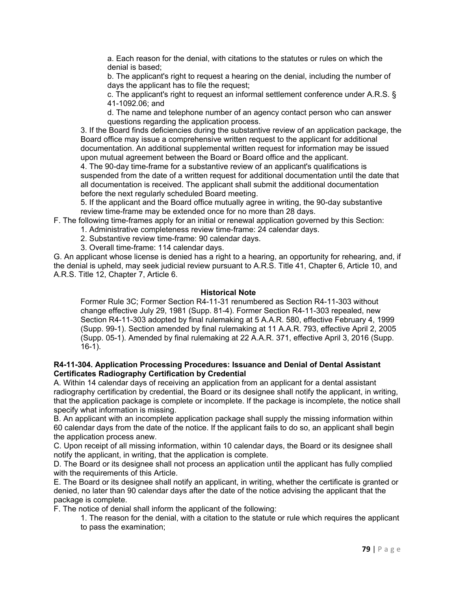a. Each reason for the denial, with citations to the statutes or rules on which the denial is based;

b. The applicant's right to request a hearing on the denial, including the number of days the applicant has to file the request;

c. The applicant's right to request an informal settlement conference under A.R.S. § 41-1092.06; and

d. The name and telephone number of an agency contact person who can answer questions regarding the application process.

3. If the Board finds deficiencies during the substantive review of an application package, the Board office may issue a comprehensive written request to the applicant for additional documentation. An additional supplemental written request for information may be issued upon mutual agreement between the Board or Board office and the applicant.

4. The 90-day time-frame for a substantive review of an applicant's qualifications is suspended from the date of a written request for additional documentation until the date that all documentation is received. The applicant shall submit the additional documentation before the next regularly scheduled Board meeting.

5. If the applicant and the Board office mutually agree in writing, the 90-day substantive review time-frame may be extended once for no more than 28 days.

F. The following time-frames apply for an initial or renewal application governed by this Section:

- 1. Administrative completeness review time-frame: 24 calendar days.
	- 2. Substantive review time-frame: 90 calendar days.
	- 3. Overall time-frame: 114 calendar days.

G. An applicant whose license is denied has a right to a hearing, an opportunity for rehearing, and, if the denial is upheld, may seek judicial review pursuant to A.R.S. Title 41, Chapter 6, Article 10, and A.R.S. Title 12, Chapter 7, Article 6.

#### **Historical Note**

Former Rule 3C; Former Section R4-11-31 renumbered as Section R4-11-303 without change effective July 29, 1981 (Supp. 81-4). Former Section R4-11-303 repealed, new Section R4-11-303 adopted by final rulemaking at 5 A.A.R. 580, effective February 4, 1999 (Supp. 99-1). Section amended by final rulemaking at 11 A.A.R. 793, effective April 2, 2005 (Supp. 05-1). Amended by final rulemaking at 22 A.A.R. 371, effective April 3, 2016 (Supp. 16-1).

#### **R4-11-304. Application Processing Procedures: Issuance and Denial of Dental Assistant Certificates Radiography Certification by Credential**

A. Within 14 calendar days of receiving an application from an applicant for a dental assistant radiography certification by credential, the Board or its designee shall notify the applicant, in writing, that the application package is complete or incomplete. If the package is incomplete, the notice shall specify what information is missing.

B. An applicant with an incomplete application package shall supply the missing information within 60 calendar days from the date of the notice. If the applicant fails to do so, an applicant shall begin the application process anew.

C. Upon receipt of all missing information, within 10 calendar days, the Board or its designee shall notify the applicant, in writing, that the application is complete.

D. The Board or its designee shall not process an application until the applicant has fully complied with the requirements of this Article.

E. The Board or its designee shall notify an applicant, in writing, whether the certificate is granted or denied, no later than 90 calendar days after the date of the notice advising the applicant that the package is complete.

F. The notice of denial shall inform the applicant of the following:

1. The reason for the denial, with a citation to the statute or rule which requires the applicant to pass the examination;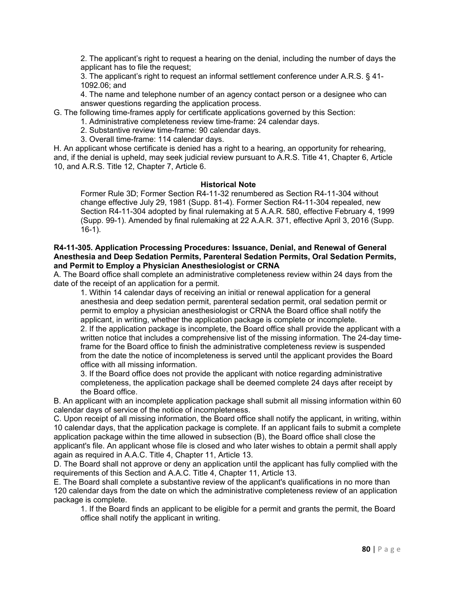2. The applicant's right to request a hearing on the denial, including the number of days the applicant has to file the request;

3. The applicant's right to request an informal settlement conference under A.R.S. § 41- 1092.06; and

4. The name and telephone number of an agency contact person or a designee who can answer questions regarding the application process.

G. The following time-frames apply for certificate applications governed by this Section:

1. Administrative completeness review time-frame: 24 calendar days.

- 2. Substantive review time-frame: 90 calendar days.
- 3. Overall time-frame: 114 calendar days.

H. An applicant whose certificate is denied has a right to a hearing, an opportunity for rehearing, and, if the denial is upheld, may seek judicial review pursuant to A.R.S. Title 41, Chapter 6, Article 10, and A.R.S. Title 12, Chapter 7, Article 6.

#### **Historical Note**

Former Rule 3D; Former Section R4-11-32 renumbered as Section R4-11-304 without change effective July 29, 1981 (Supp. 81-4). Former Section R4-11-304 repealed, new Section R4-11-304 adopted by final rulemaking at 5 A.A.R. 580, effective February 4, 1999 (Supp. 99-1). Amended by final rulemaking at 22 A.A.R. 371, effective April 3, 2016 (Supp. 16-1).

#### **R4-11-305. Application Processing Procedures: Issuance, Denial, and Renewal of General Anesthesia and Deep Sedation Permits, Parenteral Sedation Permits, Oral Sedation Permits, and Permit to Employ a Physician Anesthesiologist or CRNA**

A. The Board office shall complete an administrative completeness review within 24 days from the date of the receipt of an application for a permit.

1. Within 14 calendar days of receiving an initial or renewal application for a general anesthesia and deep sedation permit, parenteral sedation permit, oral sedation permit or permit to employ a physician anesthesiologist or CRNA the Board office shall notify the applicant, in writing, whether the application package is complete or incomplete.

2. If the application package is incomplete, the Board office shall provide the applicant with a written notice that includes a comprehensive list of the missing information. The 24-day timeframe for the Board office to finish the administrative completeness review is suspended from the date the notice of incompleteness is served until the applicant provides the Board office with all missing information.

3. If the Board office does not provide the applicant with notice regarding administrative completeness, the application package shall be deemed complete 24 days after receipt by the Board office.

B. An applicant with an incomplete application package shall submit all missing information within 60 calendar days of service of the notice of incompleteness.

C. Upon receipt of all missing information, the Board office shall notify the applicant, in writing, within 10 calendar days, that the application package is complete. If an applicant fails to submit a complete application package within the time allowed in subsection (B), the Board office shall close the applicant's file. An applicant whose file is closed and who later wishes to obtain a permit shall apply again as required in A.A.C. Title 4, Chapter 11, Article 13.

D. The Board shall not approve or deny an application until the applicant has fully complied with the requirements of this Section and A.A.C. Title 4, Chapter 11, Article 13.

E. The Board shall complete a substantive review of the applicant's qualifications in no more than 120 calendar days from the date on which the administrative completeness review of an application package is complete.

1. If the Board finds an applicant to be eligible for a permit and grants the permit, the Board office shall notify the applicant in writing.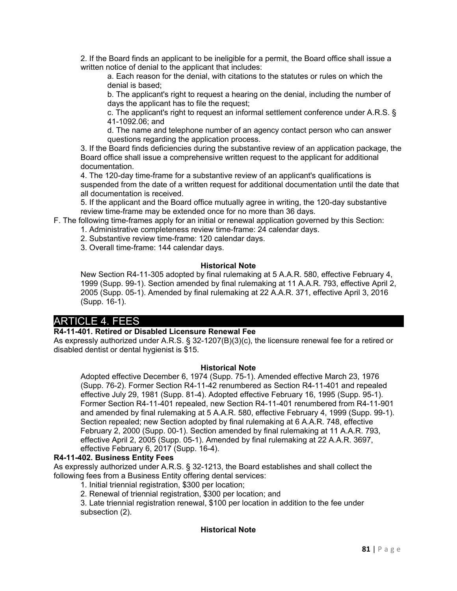2. If the Board finds an applicant to be ineligible for a permit, the Board office shall issue a written notice of denial to the applicant that includes:

a. Each reason for the denial, with citations to the statutes or rules on which the denial is based;

b. The applicant's right to request a hearing on the denial, including the number of days the applicant has to file the request;

c. The applicant's right to request an informal settlement conference under A.R.S. § 41-1092.06; and

d. The name and telephone number of an agency contact person who can answer questions regarding the application process.

3. If the Board finds deficiencies during the substantive review of an application package, the Board office shall issue a comprehensive written request to the applicant for additional documentation.

4. The 120-day time-frame for a substantive review of an applicant's qualifications is suspended from the date of a written request for additional documentation until the date that all documentation is received.

5. If the applicant and the Board office mutually agree in writing, the 120-day substantive review time-frame may be extended once for no more than 36 days.

F. The following time-frames apply for an initial or renewal application governed by this Section:

1. Administrative completeness review time-frame: 24 calendar days.

- 2. Substantive review time-frame: 120 calendar days.
- 3. Overall time-frame: 144 calendar days.

#### **Historical Note**

New Section R4-11-305 adopted by final rulemaking at 5 A.A.R. 580, effective February 4, 1999 (Supp. 99-1). Section amended by final rulemaking at 11 A.A.R. 793, effective April 2, 2005 (Supp. 05-1). Amended by final rulemaking at 22 A.A.R. 371, effective April 3, 2016 (Supp. 16-1).

# ARTICLE 4. FEES

## **R4-11-401. Retired or Disabled Licensure Renewal Fee**

As expressly authorized under A.R.S. § 32-1207(B)(3)(c), the licensure renewal fee for a retired or disabled dentist or dental hygienist is \$15.

#### **Historical Note**

Adopted effective December 6, 1974 (Supp. 75-1). Amended effective March 23, 1976 (Supp. 76-2). Former Section R4-11-42 renumbered as Section R4-11-401 and repealed effective July 29, 1981 (Supp. 81-4). Adopted effective February 16, 1995 (Supp. 95-1). Former Section R4-11-401 repealed, new Section R4-11-401 renumbered from R4-11-901 and amended by final rulemaking at 5 A.A.R. 580, effective February 4, 1999 (Supp. 99-1). Section repealed; new Section adopted by final rulemaking at 6 A.A.R. 748, effective February 2, 2000 (Supp. 00-1). Section amended by final rulemaking at 11 A.A.R. 793, effective April 2, 2005 (Supp. 05-1). Amended by final rulemaking at 22 A.A.R. 3697, effective February 6, 2017 (Supp. 16-4).

#### **R4-11-402. Business Entity Fees**

As expressly authorized under A.R.S. § 32-1213, the Board establishes and shall collect the following fees from a Business Entity offering dental services:

1. Initial triennial registration, \$300 per location;

2. Renewal of triennial registration, \$300 per location; and

3. Late triennial registration renewal, \$100 per location in addition to the fee under subsection (2).

## **Historical Note**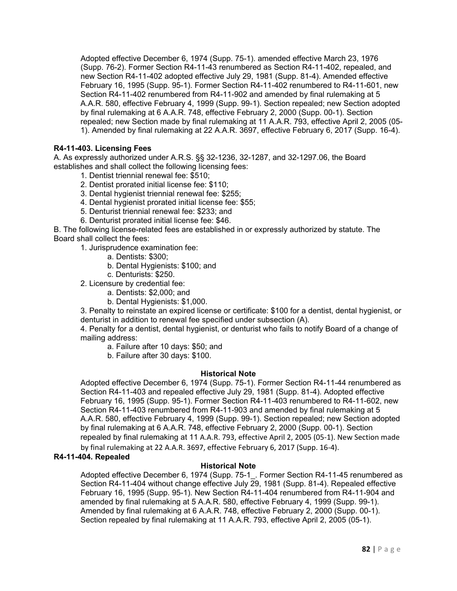Adopted effective December 6, 1974 (Supp. 75-1). amended effective March 23, 1976 (Supp. 76-2). Former Section R4-11-43 renumbered as Section R4-11-402, repealed, and new Section R4-11-402 adopted effective July 29, 1981 (Supp. 81-4). Amended effective February 16, 1995 (Supp. 95-1). Former Section R4-11-402 renumbered to R4-11-601, new Section R4-11-402 renumbered from R4-11-902 and amended by final rulemaking at 5 A.A.R. 580, effective February 4, 1999 (Supp. 99-1). Section repealed; new Section adopted by final rulemaking at 6 A.A.R. 748, effective February 2, 2000 (Supp. 00-1). Section repealed; new Section made by final rulemaking at 11 A.A.R. 793, effective April 2, 2005 (05- 1). Amended by final rulemaking at 22 A.A.R. 3697, effective February 6, 2017 (Supp. 16-4).

## **R4-11-403. Licensing Fees**

A. As expressly authorized under A.R.S. §§ 32-1236, 32-1287, and 32-1297.06, the Board establishes and shall collect the following licensing fees:

- 1. Dentist triennial renewal fee: \$510;
- 2. Dentist prorated initial license fee: \$110;
- 3. Dental hygienist triennial renewal fee: \$255;
- 4. Dental hygienist prorated initial license fee: \$55;
- 5. Denturist triennial renewal fee: \$233; and
- 6. Denturist prorated initial license fee: \$46.

B. The following license-related fees are established in or expressly authorized by statute. The Board shall collect the fees:

1. Jurisprudence examination fee:

- a. Dentists: \$300;
- b. Dental Hygienists: \$100; and
- c. Denturists: \$250.

2. Licensure by credential fee:

- a. Dentists: \$2,000; and
- b. Dental Hygienists: \$1,000.

3. Penalty to reinstate an expired license or certificate: \$100 for a dentist, dental hygienist, or denturist in addition to renewal fee specified under subsection (A).

4. Penalty for a dentist, dental hygienist, or denturist who fails to notify Board of a change of mailing address:

a. Failure after 10 days: \$50; and

b. Failure after 30 days: \$100.

## **Historical Note**

Adopted effective December 6, 1974 (Supp. 75-1). Former Section R4-11-44 renumbered as Section R4-11-403 and repealed effective July 29, 1981 (Supp. 81-4). Adopted effective February 16, 1995 (Supp. 95-1). Former Section R4-11-403 renumbered to R4-11-602, new Section R4-11-403 renumbered from R4-11-903 and amended by final rulemaking at 5 A.A.R. 580, effective February 4, 1999 (Supp. 99-1). Section repealed; new Section adopted by final rulemaking at 6 A.A.R. 748, effective February 2, 2000 (Supp. 00-1). Section repealed by final rulemaking at 11 A.A.R. 793, effective April 2, 2005 (05-1). New Section made by final rulemaking at 22 A.A.R. 3697, effective February 6, 2017 (Supp. 16-4).

#### **R4-11-404. Repealed**

## **Historical Note**

Adopted effective December 6, 1974 (Supp. 75-1\_. Former Section R4-11-45 renumbered as Section R4-11-404 without change effective July 29, 1981 (Supp. 81-4). Repealed effective February 16, 1995 (Supp. 95-1). New Section R4-11-404 renumbered from R4-11-904 and amended by final rulemaking at 5 A.A.R. 580, effective February 4, 1999 (Supp. 99-1). Amended by final rulemaking at 6 A.A.R. 748, effective February 2, 2000 (Supp. 00-1). Section repealed by final rulemaking at 11 A.A.R. 793, effective April 2, 2005 (05-1).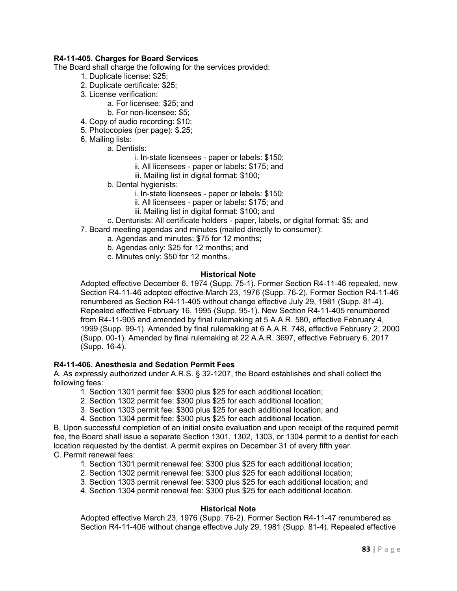#### **R4-11-405. Charges for Board Services**

The Board shall charge the following for the services provided:

- 1. Duplicate license: \$25;
- 2. Duplicate certificate: \$25;
- 3. License verification:
	- a. For licensee: \$25; and
	- b. For non-licensee: \$5;
- 4. Copy of audio recording: \$10;
- 5. Photocopies (per page): \$.25;
- 6. Mailing lists:
	- a. Dentists:
		- i. In-state licensees paper or labels: \$150;
		- ii. All licensees paper or labels: \$175; and
		- iii. Mailing list in digital format: \$100;
	- b. Dental hygienists:
		- i. In-state licensees paper or labels: \$150;
		- ii. All licensees paper or labels: \$175; and
		- iii. Mailing list in digital format: \$100; and
	- c. Denturists: All certificate holders paper, labels, or digital format: \$5; and
- 7. Board meeting agendas and minutes (mailed directly to consumer):
	- a. Agendas and minutes: \$75 for 12 months;
	- b. Agendas only: \$25 for 12 months; and
	- c. Minutes only: \$50 for 12 months.

#### **Historical Note**

Adopted effective December 6, 1974 (Supp. 75-1). Former Section R4-11-46 repealed, new Section R4-11-46 adopted effective March 23, 1976 (Supp. 76-2). Former Section R4-11-46 renumbered as Section R4-11-405 without change effective July 29, 1981 (Supp. 81-4). Repealed effective February 16, 1995 (Supp. 95-1). New Section R4-11-405 renumbered from R4-11-905 and amended by final rulemaking at 5 A.A.R. 580, effective February 4, 1999 (Supp. 99-1). Amended by final rulemaking at 6 A.A.R. 748, effective February 2, 2000 (Supp. 00-1). Amended by final rulemaking at 22 A.A.R. 3697, effective February 6, 2017 (Supp. 16-4).

#### **R4-11-406. Anesthesia and Sedation Permit Fees**

A. As expressly authorized under A.R.S. § 32-1207, the Board establishes and shall collect the following fees:

- 1. Section 1301 permit fee: \$300 plus \$25 for each additional location;
- 2. Section 1302 permit fee: \$300 plus \$25 for each additional location;
- 3. Section 1303 permit fee: \$300 plus \$25 for each additional location; and
- 4. Section 1304 permit fee: \$300 plus \$25 for each additional location.

B. Upon successful completion of an initial onsite evaluation and upon receipt of the required permit fee, the Board shall issue a separate Section 1301, 1302, 1303, or 1304 permit to a dentist for each location requested by the dentist. A permit expires on December 31 of every fifth year. C. Permit renewal fees:

- 1. Section 1301 permit renewal fee: \$300 plus \$25 for each additional location;
- 2. Section 1302 permit renewal fee: \$300 plus \$25 for each additional location;
- 3. Section 1303 permit renewal fee: \$300 plus \$25 for each additional location; and

4. Section 1304 permit renewal fee: \$300 plus \$25 for each additional location.

#### **Historical Note**

Adopted effective March 23, 1976 (Supp. 76-2). Former Section R4-11-47 renumbered as Section R4-11-406 without change effective July 29, 1981 (Supp. 81-4). Repealed effective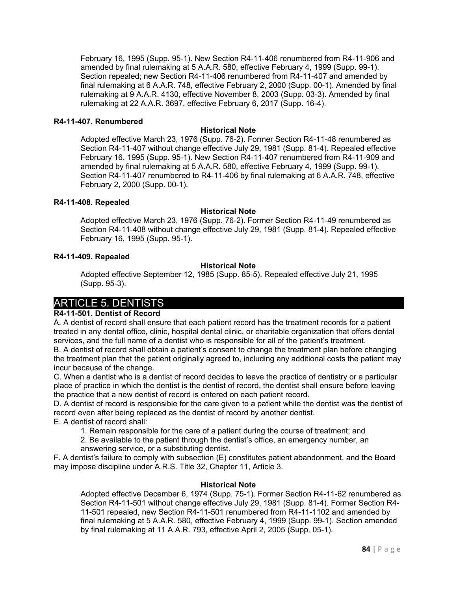February 16, 1995 (Supp. 95-1). New Section R4-11-406 renumbered from R4-11-906 and amended by final rulemaking at 5 A.A.R. 580, effective February 4, 1999 (Supp. 99-1). Section repealed; new Section R4-11-406 renumbered from R4-11-407 and amended by final rulemaking at 6 A.A.R. 748, effective February 2, 2000 (Supp. 00-1). Amended by final rulemaking at 9 A.A.R. 4130, effective November 8, 2003 (Supp. 03-3). Amended by final rulemaking at 22 A.A.R. 3697, effective February 6, 2017 (Supp. 16-4).

#### **R4-11-407. Renumbered**

#### **Historical Note**

Adopted effective March 23, 1976 (Supp. 76-2). Former Section R4-11-48 renumbered as Section R4-11-407 without change effective July 29, 1981 (Supp. 81-4). Repealed effective February 16, 1995 (Supp. 95-1). New Section R4-11-407 renumbered from R4-11-909 and amended by final rulemaking at 5 A.A.R. 580, effective February 4, 1999 (Supp. 99-1). Section R4-11-407 renumbered to R4-11-406 by final rulemaking at 6 A.A.R. 748, effective February 2, 2000 (Supp. 00-1).

#### **R4-11-408. Repealed**

#### **Historical Note**

Adopted effective March 23, 1976 (Supp. 76-2). Former Section R4-11-49 renumbered as Section R4-11-408 without change effective July 29, 1981 (Supp. 81-4). Repealed effective February 16, 1995 (Supp. 95-1).

#### **R4-11-409. Repealed**

#### **Historical Note**

Adopted effective September 12, 1985 (Supp. 85-5). Repealed effective July 21, 1995 (Supp. 95-3).

# ARTICLE 5. DENTISTS

## **R4-11-501. Dentist of Record**

A. A dentist of record shall ensure that each patient record has the treatment records for a patient treated in any dental office, clinic, hospital dental clinic, or charitable organization that offers dental services, and the full name of a dentist who is responsible for all of the patient's treatment.

B. A dentist of record shall obtain a patient's consent to change the treatment plan before changing the treatment plan that the patient originally agreed to, including any additional costs the patient may incur because of the change.

C. When a dentist who is a dentist of record decides to leave the practice of dentistry or a particular place of practice in which the dentist is the dentist of record, the dentist shall ensure before leaving the practice that a new dentist of record is entered on each patient record.

D. A dentist of record is responsible for the care given to a patient while the dentist was the dentist of record even after being replaced as the dentist of record by another dentist.

E. A dentist of record shall:

- 1. Remain responsible for the care of a patient during the course of treatment; and
- 2. Be available to the patient through the dentist's office, an emergency number, an answering service, or a substituting dentist.

F. A dentist's failure to comply with subsection (E) constitutes patient abandonment, and the Board may impose discipline under A.R.S. Title 32, Chapter 11, Article 3.

## **Historical Note**

Adopted effective December 6, 1974 (Supp. 75-1). Former Section R4-11-62 renumbered as Section R4-11-501 without change effective July 29, 1981 (Supp. 81-4). Former Section R4- 11-501 repealed, new Section R4-11-501 renumbered from R4-11-1102 and amended by final rulemaking at 5 A.A.R. 580, effective February 4, 1999 (Supp. 99-1). Section amended by final rulemaking at 11 A.A.R. 793, effective April 2, 2005 (Supp. 05-1).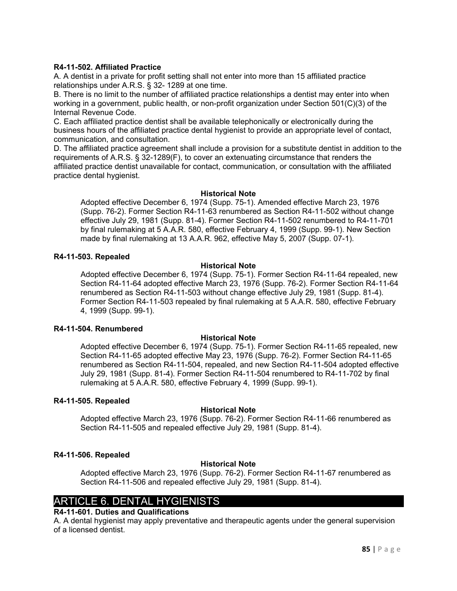#### **R4-11-502. Affiliated Practice**

A. A dentist in a private for profit setting shall not enter into more than 15 affiliated practice relationships under A.R.S. § 32- 1289 at one time.

B. There is no limit to the number of affiliated practice relationships a dentist may enter into when working in a government, public health, or non-profit organization under Section 501(C)(3) of the Internal Revenue Code.

C. Each affiliated practice dentist shall be available telephonically or electronically during the business hours of the affiliated practice dental hygienist to provide an appropriate level of contact, communication, and consultation.

D. The affiliated practice agreement shall include a provision for a substitute dentist in addition to the requirements of A.R.S. § 32-1289(F), to cover an extenuating circumstance that renders the affiliated practice dentist unavailable for contact, communication, or consultation with the affiliated practice dental hygienist.

#### **Historical Note**

Adopted effective December 6, 1974 (Supp. 75-1). Amended effective March 23, 1976 (Supp. 76-2). Former Section R4-11-63 renumbered as Section R4-11-502 without change effective July 29, 1981 (Supp. 81-4). Former Section R4-11-502 renumbered to R4-11-701 by final rulemaking at 5 A.A.R. 580, effective February 4, 1999 (Supp. 99-1). New Section made by final rulemaking at 13 A.A.R. 962, effective May 5, 2007 (Supp. 07-1).

#### **R4-11-503. Repealed**

#### **Historical Note**

Adopted effective December 6, 1974 (Supp. 75-1). Former Section R4-11-64 repealed, new Section R4-11-64 adopted effective March 23, 1976 (Supp. 76-2). Former Section R4-11-64 renumbered as Section R4-11-503 without change effective July 29, 1981 (Supp. 81-4). Former Section R4-11-503 repealed by final rulemaking at 5 A.A.R. 580, effective February 4, 1999 (Supp. 99-1).

#### **R4-11-504. Renumbered**

## **Historical Note**

Adopted effective December 6, 1974 (Supp. 75-1). Former Section R4-11-65 repealed, new Section R4-11-65 adopted effective May 23, 1976 (Supp. 76-2). Former Section R4-11-65 renumbered as Section R4-11-504, repealed, and new Section R4-11-504 adopted effective July 29, 1981 (Supp. 81-4). Former Section R4-11-504 renumbered to R4-11-702 by final rulemaking at 5 A.A.R. 580, effective February 4, 1999 (Supp. 99-1).

#### **R4-11-505. Repealed**

## **Historical Note**

Adopted effective March 23, 1976 (Supp. 76-2). Former Section R4-11-66 renumbered as Section R4-11-505 and repealed effective July 29, 1981 (Supp. 81-4).

## **R4-11-506. Repealed**

## **Historical Note**

Adopted effective March 23, 1976 (Supp. 76-2). Former Section R4-11-67 renumbered as Section R4-11-506 and repealed effective July 29, 1981 (Supp. 81-4).

# ARTICLE 6. DENTAL HYGIENISTS

## **R4-11-601. Duties and Qualifications**

A. A dental hygienist may apply preventative and therapeutic agents under the general supervision of a licensed dentist.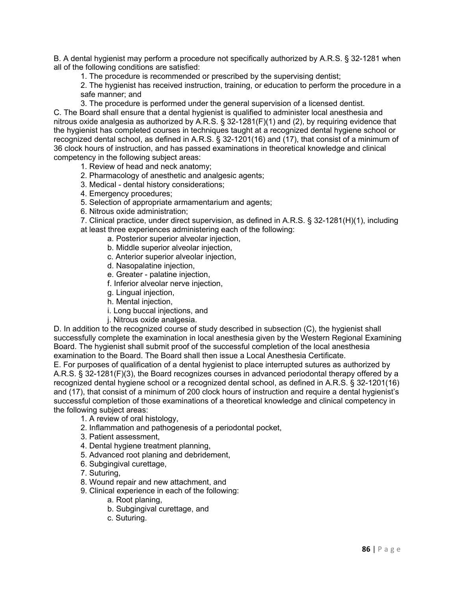B. A dental hygienist may perform a procedure not specifically authorized by A.R.S. § 32-1281 when all of the following conditions are satisfied:

1. The procedure is recommended or prescribed by the supervising dentist;

2. The hygienist has received instruction, training, or education to perform the procedure in a safe manner; and

3. The procedure is performed under the general supervision of a licensed dentist.

C. The Board shall ensure that a dental hygienist is qualified to administer local anesthesia and nitrous oxide analgesia as authorized by A.R.S.  $\S$  32-1281(F)(1) and (2), by requiring evidence that the hygienist has completed courses in techniques taught at a recognized dental hygiene school or recognized dental school, as defined in A.R.S. § 32-1201(16) and (17), that consist of a minimum of 36 clock hours of instruction, and has passed examinations in theoretical knowledge and clinical competency in the following subject areas:

- 1. Review of head and neck anatomy;
- 2. Pharmacology of anesthetic and analgesic agents;
- 3. Medical dental history considerations;
- 4. Emergency procedures;
- 5. Selection of appropriate armamentarium and agents;
- 6. Nitrous oxide administration;

7. Clinical practice, under direct supervision, as defined in A.R.S. § 32-1281(H)(1), including at least three experiences administering each of the following:

- a. Posterior superior alveolar injection,
- b. Middle superior alveolar injection,
- c. Anterior superior alveolar injection,
- d. Nasopalatine injection,
- e. Greater palatine injection,
- f. Inferior alveolar nerve injection,
- g. Lingual injection,
- h. Mental injection,
- i. Long buccal injections, and
- j. Nitrous oxide analgesia.

D. In addition to the recognized course of study described in subsection (C), the hygienist shall successfully complete the examination in local anesthesia given by the Western Regional Examining Board. The hygienist shall submit proof of the successful completion of the local anesthesia

examination to the Board. The Board shall then issue a Local Anesthesia Certificate.

E. For purposes of qualification of a dental hygienist to place interrupted sutures as authorized by A.R.S. § 32-1281(F)(3), the Board recognizes courses in advanced periodontal therapy offered by a recognized dental hygiene school or a recognized dental school, as defined in A.R.S. § 32-1201(16) and (17), that consist of a minimum of 200 clock hours of instruction and require a dental hygienist's successful completion of those examinations of a theoretical knowledge and clinical competency in the following subject areas:

- 1. A review of oral histology,
- 2. Inflammation and pathogenesis of a periodontal pocket,
- 3. Patient assessment,
- 4. Dental hygiene treatment planning,
- 5. Advanced root planing and debridement,
- 6. Subgingival curettage,
- 7. Suturing,
- 8. Wound repair and new attachment, and
- 9. Clinical experience in each of the following:
	- a. Root planing,
	- b. Subgingival curettage, and
	- c. Suturing.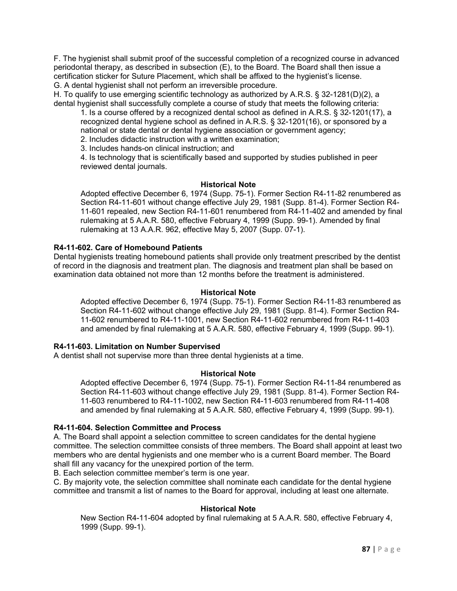F. The hygienist shall submit proof of the successful completion of a recognized course in advanced periodontal therapy, as described in subsection (E), to the Board. The Board shall then issue a certification sticker for Suture Placement, which shall be affixed to the hygienist's license. G. A dental hygienist shall not perform an irreversible procedure.

H. To qualify to use emerging scientific technology as authorized by A.R.S. § 32-1281(D)(2), a dental hygienist shall successfully complete a course of study that meets the following criteria:

1. Is a course offered by a recognized dental school as defined in A.R.S. § 32-1201(17), a recognized dental hygiene school as defined in A.R.S. § 32-1201(16), or sponsored by a national or state dental or dental hygiene association or government agency;

2. Includes didactic instruction with a written examination;

3. Includes hands-on clinical instruction; and

4. Is technology that is scientifically based and supported by studies published in peer reviewed dental journals.

#### **Historical Note**

Adopted effective December 6, 1974 (Supp. 75-1). Former Section R4-11-82 renumbered as Section R4-11-601 without change effective July 29, 1981 (Supp. 81-4). Former Section R4- 11-601 repealed, new Section R4-11-601 renumbered from R4-11-402 and amended by final rulemaking at 5 A.A.R. 580, effective February 4, 1999 (Supp. 99-1). Amended by final rulemaking at 13 A.A.R. 962, effective May 5, 2007 (Supp. 07-1).

## **R4-11-602. Care of Homebound Patients**

Dental hygienists treating homebound patients shall provide only treatment prescribed by the dentist of record in the diagnosis and treatment plan. The diagnosis and treatment plan shall be based on examination data obtained not more than 12 months before the treatment is administered.

#### **Historical Note**

Adopted effective December 6, 1974 (Supp. 75-1). Former Section R4-11-83 renumbered as Section R4-11-602 without change effective July 29, 1981 (Supp. 81-4). Former Section R4- 11-602 renumbered to R4-11-1001, new Section R4-11-602 renumbered from R4-11-403 and amended by final rulemaking at 5 A.A.R. 580, effective February 4, 1999 (Supp. 99-1).

## **R4-11-603. Limitation on Number Supervised**

A dentist shall not supervise more than three dental hygienists at a time.

## **Historical Note**

Adopted effective December 6, 1974 (Supp. 75-1). Former Section R4-11-84 renumbered as Section R4-11-603 without change effective July 29, 1981 (Supp. 81-4). Former Section R4- 11-603 renumbered to R4-11-1002, new Section R4-11-603 renumbered from R4-11-408 and amended by final rulemaking at 5 A.A.R. 580, effective February 4, 1999 (Supp. 99-1).

#### **R4-11-604. Selection Committee and Process**

A. The Board shall appoint a selection committee to screen candidates for the dental hygiene committee. The selection committee consists of three members. The Board shall appoint at least two members who are dental hygienists and one member who is a current Board member. The Board shall fill any vacancy for the unexpired portion of the term.

B. Each selection committee member's term is one year.

C. By majority vote, the selection committee shall nominate each candidate for the dental hygiene committee and transmit a list of names to the Board for approval, including at least one alternate.

## **Historical Note**

New Section R4-11-604 adopted by final rulemaking at 5 A.A.R. 580, effective February 4, 1999 (Supp. 99-1).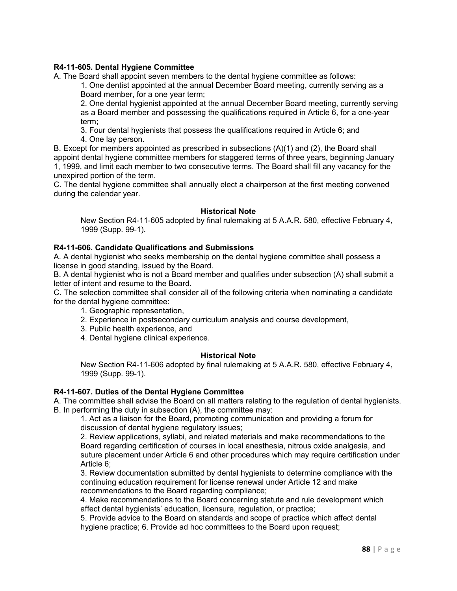## **R4-11-605. Dental Hygiene Committee**

A. The Board shall appoint seven members to the dental hygiene committee as follows:

1. One dentist appointed at the annual December Board meeting, currently serving as a Board member, for a one year term;

2. One dental hygienist appointed at the annual December Board meeting, currently serving as a Board member and possessing the qualifications required in Article 6, for a one-year term;

3. Four dental hygienists that possess the qualifications required in Article 6; and 4. One lay person.

B. Except for members appointed as prescribed in subsections (A)(1) and (2), the Board shall appoint dental hygiene committee members for staggered terms of three years, beginning January 1, 1999, and limit each member to two consecutive terms. The Board shall fill any vacancy for the unexpired portion of the term.

C. The dental hygiene committee shall annually elect a chairperson at the first meeting convened during the calendar year.

#### **Historical Note**

New Section R4-11-605 adopted by final rulemaking at 5 A.A.R. 580, effective February 4, 1999 (Supp. 99-1).

#### **R4-11-606. Candidate Qualifications and Submissions**

A. A dental hygienist who seeks membership on the dental hygiene committee shall possess a license in good standing, issued by the Board.

B. A dental hygienist who is not a Board member and qualifies under subsection (A) shall submit a letter of intent and resume to the Board.

C. The selection committee shall consider all of the following criteria when nominating a candidate for the dental hygiene committee:

- 1. Geographic representation,
- 2. Experience in postsecondary curriculum analysis and course development,
- 3. Public health experience, and
- 4. Dental hygiene clinical experience.

#### **Historical Note**

New Section R4-11-606 adopted by final rulemaking at 5 A.A.R. 580, effective February 4, 1999 (Supp. 99-1).

#### **R4-11-607. Duties of the Dental Hygiene Committee**

A. The committee shall advise the Board on all matters relating to the regulation of dental hygienists. B. In performing the duty in subsection (A), the committee may:

1. Act as a liaison for the Board, promoting communication and providing a forum for discussion of dental hygiene regulatory issues;

2. Review applications, syllabi, and related materials and make recommendations to the Board regarding certification of courses in local anesthesia, nitrous oxide analgesia, and suture placement under Article 6 and other procedures which may require certification under Article 6;

3. Review documentation submitted by dental hygienists to determine compliance with the continuing education requirement for license renewal under Article 12 and make recommendations to the Board regarding compliance;

4. Make recommendations to the Board concerning statute and rule development which affect dental hygienists' education, licensure, regulation, or practice;

5. Provide advice to the Board on standards and scope of practice which affect dental hygiene practice; 6. Provide ad hoc committees to the Board upon request;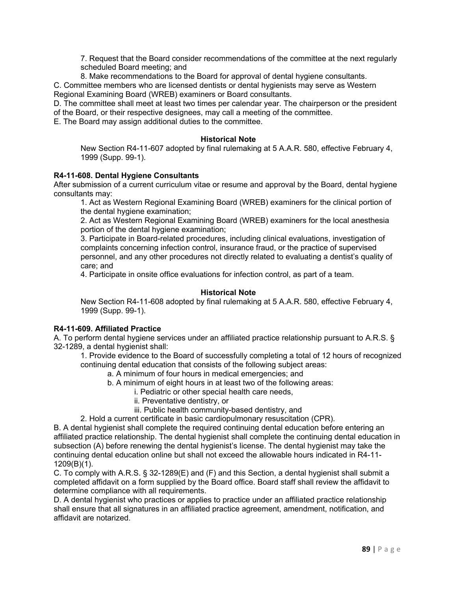7. Request that the Board consider recommendations of the committee at the next regularly scheduled Board meeting; and

8. Make recommendations to the Board for approval of dental hygiene consultants.

C. Committee members who are licensed dentists or dental hygienists may serve as Western Regional Examining Board (WREB) examiners or Board consultants.

D. The committee shall meet at least two times per calendar year. The chairperson or the president of the Board, or their respective designees, may call a meeting of the committee.

E. The Board may assign additional duties to the committee.

#### **Historical Note**

New Section R4-11-607 adopted by final rulemaking at 5 A.A.R. 580, effective February 4, 1999 (Supp. 99-1).

#### **R4-11-608. Dental Hygiene Consultants**

After submission of a current curriculum vitae or resume and approval by the Board, dental hygiene consultants may:

1. Act as Western Regional Examining Board (WREB) examiners for the clinical portion of the dental hygiene examination;

2. Act as Western Regional Examining Board (WREB) examiners for the local anesthesia portion of the dental hygiene examination;

3. Participate in Board-related procedures, including clinical evaluations, investigation of complaints concerning infection control, insurance fraud, or the practice of supervised personnel, and any other procedures not directly related to evaluating a dentist's quality of care; and

4. Participate in onsite office evaluations for infection control, as part of a team.

## **Historical Note**

New Section R4-11-608 adopted by final rulemaking at 5 A.A.R. 580, effective February 4, 1999 (Supp. 99-1).

## **R4-11-609. Affiliated Practice**

A. To perform dental hygiene services under an affiliated practice relationship pursuant to A.R.S. § 32-1289, a dental hygienist shall:

1. Provide evidence to the Board of successfully completing a total of 12 hours of recognized continuing dental education that consists of the following subject areas:

a. A minimum of four hours in medical emergencies; and

b. A minimum of eight hours in at least two of the following areas:

i. Pediatric or other special health care needs,

- ii. Preventative dentistry, or
- iii. Public health community-based dentistry, and
- 2. Hold a current certificate in basic cardiopulmonary resuscitation (CPR).

B. A dental hygienist shall complete the required continuing dental education before entering an affiliated practice relationship. The dental hygienist shall complete the continuing dental education in subsection (A) before renewing the dental hygienist's license. The dental hygienist may take the continuing dental education online but shall not exceed the allowable hours indicated in R4-11- 1209(B)(1).

C. To comply with A.R.S. § 32-1289(E) and (F) and this Section, a dental hygienist shall submit a completed affidavit on a form supplied by the Board office. Board staff shall review the affidavit to determine compliance with all requirements.

D. A dental hygienist who practices or applies to practice under an affiliated practice relationship shall ensure that all signatures in an affiliated practice agreement, amendment, notification, and affidavit are notarized.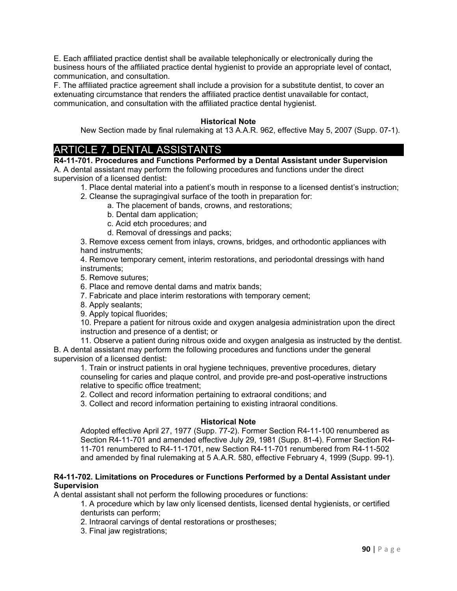E. Each affiliated practice dentist shall be available telephonically or electronically during the business hours of the affiliated practice dental hygienist to provide an appropriate level of contact, communication, and consultation.

F. The affiliated practice agreement shall include a provision for a substitute dentist, to cover an extenuating circumstance that renders the affiliated practice dentist unavailable for contact, communication, and consultation with the affiliated practice dental hygienist.

## **Historical Note**

New Section made by final rulemaking at 13 A.A.R. 962, effective May 5, 2007 (Supp. 07-1).

# ARTICLE 7. DENTAL ASSISTANTS

**R4-11-701. Procedures and Functions Performed by a Dental Assistant under Supervision** A. A dental assistant may perform the following procedures and functions under the direct supervision of a licensed dentist:

1. Place dental material into a patient's mouth in response to a licensed dentist's instruction;

- 2. Cleanse the supragingival surface of the tooth in preparation for:
	- a. The placement of bands, crowns, and restorations;
		- b. Dental dam application;
		- c. Acid etch procedures; and
		- d. Removal of dressings and packs;

3. Remove excess cement from inlays, crowns, bridges, and orthodontic appliances with hand instruments;

4. Remove temporary cement, interim restorations, and periodontal dressings with hand instruments;

- 5. Remove sutures;
- 6. Place and remove dental dams and matrix bands;
- 7. Fabricate and place interim restorations with temporary cement;
- 8. Apply sealants;
- 9. Apply topical fluorides;

10. Prepare a patient for nitrous oxide and oxygen analgesia administration upon the direct instruction and presence of a dentist; or

11. Observe a patient during nitrous oxide and oxygen analgesia as instructed by the dentist.

B. A dental assistant may perform the following procedures and functions under the general supervision of a licensed dentist:

1. Train or instruct patients in oral hygiene techniques, preventive procedures, dietary counseling for caries and plaque control, and provide pre-and post-operative instructions relative to specific office treatment;

2. Collect and record information pertaining to extraoral conditions; and

3. Collect and record information pertaining to existing intraoral conditions.

## **Historical Note**

Adopted effective April 27, 1977 (Supp. 77-2). Former Section R4-11-100 renumbered as Section R4-11-701 and amended effective July 29, 1981 (Supp. 81-4). Former Section R4- 11-701 renumbered to R4-11-1701, new Section R4-11-701 renumbered from R4-11-502 and amended by final rulemaking at 5 A.A.R. 580, effective February 4, 1999 (Supp. 99-1).

#### **R4-11-702. Limitations on Procedures or Functions Performed by a Dental Assistant under Supervision**

A dental assistant shall not perform the following procedures or functions:

1. A procedure which by law only licensed dentists, licensed dental hygienists, or certified denturists can perform;

- 2. Intraoral carvings of dental restorations or prostheses;
- 3. Final jaw registrations;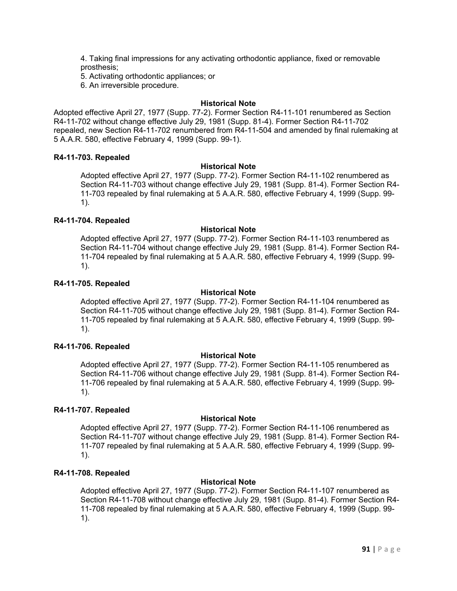4. Taking final impressions for any activating orthodontic appliance, fixed or removable prosthesis;

5. Activating orthodontic appliances; or

6. An irreversible procedure.

#### **Historical Note**

Adopted effective April 27, 1977 (Supp. 77-2). Former Section R4-11-101 renumbered as Section R4-11-702 without change effective July 29, 1981 (Supp. 81-4). Former Section R4-11-702 repealed, new Section R4-11-702 renumbered from R4-11-504 and amended by final rulemaking at 5 A.A.R. 580, effective February 4, 1999 (Supp. 99-1).

#### **R4-11-703. Repealed**

#### **Historical Note**

Adopted effective April 27, 1977 (Supp. 77-2). Former Section R4-11-102 renumbered as Section R4-11-703 without change effective July 29, 1981 (Supp. 81-4). Former Section R4- 11-703 repealed by final rulemaking at 5 A.A.R. 580, effective February 4, 1999 (Supp. 99- 1).

#### **R4-11-704. Repealed**

#### **Historical Note**

Adopted effective April 27, 1977 (Supp. 77-2). Former Section R4-11-103 renumbered as Section R4-11-704 without change effective July 29, 1981 (Supp. 81-4). Former Section R4- 11-704 repealed by final rulemaking at 5 A.A.R. 580, effective February 4, 1999 (Supp. 99- 1).

#### **R4-11-705. Repealed**

#### **Historical Note**

Adopted effective April 27, 1977 (Supp. 77-2). Former Section R4-11-104 renumbered as Section R4-11-705 without change effective July 29, 1981 (Supp. 81-4). Former Section R4- 11-705 repealed by final rulemaking at 5 A.A.R. 580, effective February 4, 1999 (Supp. 99- 1).

#### **R4-11-706. Repealed**

## **Historical Note**

Adopted effective April 27, 1977 (Supp. 77-2). Former Section R4-11-105 renumbered as Section R4-11-706 without change effective July 29, 1981 (Supp. 81-4). Former Section R4- 11-706 repealed by final rulemaking at 5 A.A.R. 580, effective February 4, 1999 (Supp. 99- 1).

## **R4-11-707. Repealed**

## **Historical Note**

Adopted effective April 27, 1977 (Supp. 77-2). Former Section R4-11-106 renumbered as Section R4-11-707 without change effective July 29, 1981 (Supp. 81-4). Former Section R4- 11-707 repealed by final rulemaking at 5 A.A.R. 580, effective February 4, 1999 (Supp. 99- 1).

## **R4-11-708. Repealed**

## **Historical Note**

Adopted effective April 27, 1977 (Supp. 77-2). Former Section R4-11-107 renumbered as Section R4-11-708 without change effective July 29, 1981 (Supp. 81-4). Former Section R4- 11-708 repealed by final rulemaking at 5 A.A.R. 580, effective February 4, 1999 (Supp. 99- 1).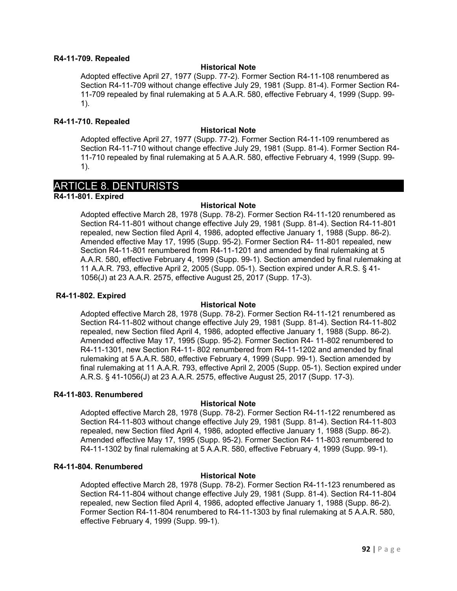#### **R4-11-709. Repealed**

#### **Historical Note**

Adopted effective April 27, 1977 (Supp. 77-2). Former Section R4-11-108 renumbered as Section R4-11-709 without change effective July 29, 1981 (Supp. 81-4). Former Section R4- 11-709 repealed by final rulemaking at 5 A.A.R. 580, effective February 4, 1999 (Supp. 99- 1).

#### **R4-11-710. Repealed**

#### **Historical Note**

Adopted effective April 27, 1977 (Supp. 77-2). Former Section R4-11-109 renumbered as Section R4-11-710 without change effective July 29, 1981 (Supp. 81-4). Former Section R4- 11-710 repealed by final rulemaking at 5 A.A.R. 580, effective February 4, 1999 (Supp. 99- 1).

# ARTICLE 8. DENTURISTS

**R4-11-801. Expired**

#### **Historical Note**

Adopted effective March 28, 1978 (Supp. 78-2). Former Section R4-11-120 renumbered as Section R4-11-801 without change effective July 29, 1981 (Supp. 81-4). Section R4-11-801 repealed, new Section filed April 4, 1986, adopted effective January 1, 1988 (Supp. 86-2). Amended effective May 17, 1995 (Supp. 95-2). Former Section R4- 11-801 repealed, new Section R4-11-801 renumbered from R4-11-1201 and amended by final rulemaking at 5 A.A.R. 580, effective February 4, 1999 (Supp. 99-1). Section amended by final rulemaking at 11 A.A.R. 793, effective April 2, 2005 (Supp. 05-1). Section expired under A.R.S. § 41- 1056(J) at 23 A.A.R. 2575, effective August 25, 2017 (Supp. 17-3).

#### **R4-11-802. Expired**

## **Historical Note**

Adopted effective March 28, 1978 (Supp. 78-2). Former Section R4-11-121 renumbered as Section R4-11-802 without change effective July 29, 1981 (Supp. 81-4). Section R4-11-802 repealed, new Section filed April 4, 1986, adopted effective January 1, 1988 (Supp. 86-2). Amended effective May 17, 1995 (Supp. 95-2). Former Section R4- 11-802 renumbered to R4-11-1301, new Section R4-11- 802 renumbered from R4-11-1202 and amended by final rulemaking at 5 A.A.R. 580, effective February 4, 1999 (Supp. 99-1). Section amended by final rulemaking at 11 A.A.R. 793, effective April 2, 2005 (Supp. 05-1). Section expired under A.R.S. § 41-1056(J) at 23 A.A.R. 2575, effective August 25, 2017 (Supp. 17-3).

#### **R4-11-803. Renumbered**

## **Historical Note**

Adopted effective March 28, 1978 (Supp. 78-2). Former Section R4-11-122 renumbered as Section R4-11-803 without change effective July 29, 1981 (Supp. 81-4). Section R4-11-803 repealed, new Section filed April 4, 1986, adopted effective January 1, 1988 (Supp. 86-2). Amended effective May 17, 1995 (Supp. 95-2). Former Section R4- 11-803 renumbered to R4-11-1302 by final rulemaking at 5 A.A.R. 580, effective February 4, 1999 (Supp. 99-1).

## **R4-11-804. Renumbered**

## **Historical Note**

Adopted effective March 28, 1978 (Supp. 78-2). Former Section R4-11-123 renumbered as Section R4-11-804 without change effective July 29, 1981 (Supp. 81-4). Section R4-11-804 repealed, new Section filed April 4, 1986, adopted effective January 1, 1988 (Supp. 86-2). Former Section R4-11-804 renumbered to R4-11-1303 by final rulemaking at 5 A.A.R. 580, effective February 4, 1999 (Supp. 99-1).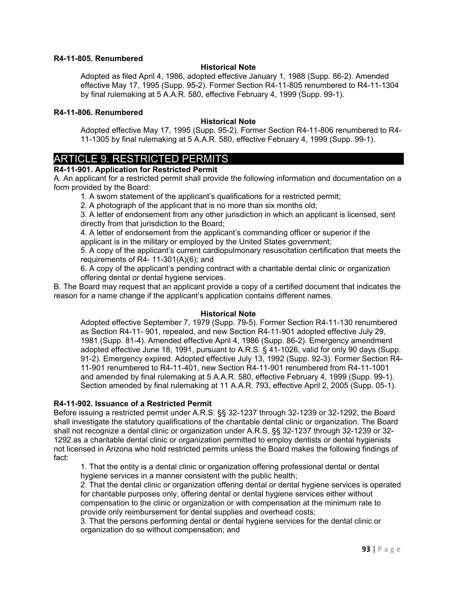#### **R4-11-805. Renumbered**

#### **Historical Note**

Adopted as filed April 4, 1986, adopted effective January 1, 1988 (Supp. 86-2). Amended effective May 17, 1995 (Supp. 95-2). Former Section R4-11-805 renumbered to R4-11-1304 by final rulemaking at 5 A.A.R. 580, effective February 4, 1999 (Supp. 99-1).

#### **R4-11-806. Renumbered**

#### **Historical Note**

Adopted effective May 17, 1995 (Supp. 95-2). Former Section R4-11-806 renumbered to R4- 11-1305 by final rulemaking at 5 A.A.R. 580, effective February 4, 1999 (Supp. 99-1).

# ARTICLE 9. RESTRICTED PERMITS

## **R4-11-901. Application for Restricted Permit**

A. An applicant for a restricted permit shall provide the following information and documentation on a form provided by the Board:

1. A sworn statement of the applicant's qualifications for a restricted permit;

2. A photograph of the applicant that is no more than six months old;

3. A letter of endorsement from any other jurisdiction in which an applicant is licensed, sent directly from that jurisdiction to the Board;

4. A letter of endorsement from the applicant's commanding officer or superior if the applicant is in the military or employed by the United States government;

5. A copy of the applicant's current cardiopulmonary resuscitation certification that meets the requirements of R4- 11-301(A)(6); and

6. A copy of the applicant's pending contract with a charitable dental clinic or organization offering dental or dental hygiene services.

B. The Board may request that an applicant provide a copy of a certified document that indicates the reason for a name change if the applicant's application contains different names.

#### **Historical Note**

Adopted effective September 7, 1979 (Supp. 79-5). Former Section R4-11-130 renumbered as Section R4-11- 901, repealed, and new Section R4-11-901 adopted effective July 29, 1981 (Supp. 81-4). Amended effective April 4, 1986 (Supp. 86-2). Emergency amendment adopted effective June 18, 1991, pursuant to A.R.S. § 41-1026, valid for only 90 days (Supp. 91-2). Emergency expired. Adopted effective July 13, 1992 (Supp. 92-3). Former Section R4- 11-901 renumbered to R4-11-401, new Section R4-11-901 renumbered from R4-11-1001 and amended by final rulemaking at 5 A.A.R. 580, effective February 4, 1999 (Supp. 99-1). Section amended by final rulemaking at 11 A.A.R. 793, effective April 2, 2005 (Supp. 05-1).

## **R4-11-902. Issuance of a Restricted Permit**

Before issuing a restricted permit under A.R.S. §§ 32-1237 through 32-1239 or 32-1292, the Board shall investigate the statutory qualifications of the charitable dental clinic or organization. The Board shall not recognize a dental clinic or organization under A.R.S. §§ 32-1237 through 32-1239 or 32- 1292 as a charitable dental clinic or organization permitted to employ dentists or dental hygienists not licensed in Arizona who hold restricted permits unless the Board makes the following findings of fact:

1. That the entity is a dental clinic or organization offering professional dental or dental hygiene services in a manner consistent with the public health;

2. That the dental clinic or organization offering dental or dental hygiene services is operated for charitable purposes only, offering dental or dental hygiene services either without compensation to the clinic or organization or with compensation at the minimum rate to provide only reimbursement for dental supplies and overhead costs;

3. That the persons performing dental or dental hygiene services for the dental clinic or organization do so without compensation; and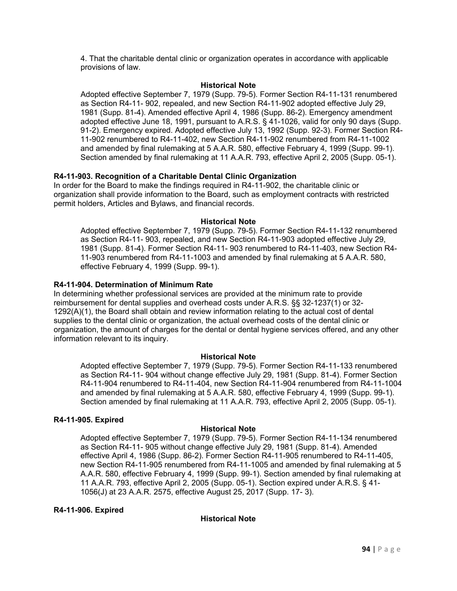4. That the charitable dental clinic or organization operates in accordance with applicable provisions of law.

#### **Historical Note**

Adopted effective September 7, 1979 (Supp. 79-5). Former Section R4-11-131 renumbered as Section R4-11- 902, repealed, and new Section R4-11-902 adopted effective July 29, 1981 (Supp. 81-4). Amended effective April 4, 1986 (Supp. 86-2). Emergency amendment adopted effective June 18, 1991, pursuant to A.R.S. § 41-1026, valid for only 90 days (Supp. 91-2). Emergency expired. Adopted effective July 13, 1992 (Supp. 92-3). Former Section R4- 11-902 renumbered to R4-11-402, new Section R4-11-902 renumbered from R4-11-1002 and amended by final rulemaking at 5 A.A.R. 580, effective February 4, 1999 (Supp. 99-1). Section amended by final rulemaking at 11 A.A.R. 793, effective April 2, 2005 (Supp. 05-1).

## **R4-11-903. Recognition of a Charitable Dental Clinic Organization**

In order for the Board to make the findings required in R4-11-902, the charitable clinic or organization shall provide information to the Board, such as employment contracts with restricted permit holders, Articles and Bylaws, and financial records.

#### **Historical Note**

Adopted effective September 7, 1979 (Supp. 79-5). Former Section R4-11-132 renumbered as Section R4-11- 903, repealed, and new Section R4-11-903 adopted effective July 29, 1981 (Supp. 81-4). Former Section R4-11- 903 renumbered to R4-11-403, new Section R4- 11-903 renumbered from R4-11-1003 and amended by final rulemaking at 5 A.A.R. 580, effective February 4, 1999 (Supp. 99-1).

#### **R4-11-904. Determination of Minimum Rate**

In determining whether professional services are provided at the minimum rate to provide reimbursement for dental supplies and overhead costs under A.R.S. §§ 32-1237(1) or 32- 1292(A)(1), the Board shall obtain and review information relating to the actual cost of dental supplies to the dental clinic or organization, the actual overhead costs of the dental clinic or organization, the amount of charges for the dental or dental hygiene services offered, and any other information relevant to its inquiry.

#### **Historical Note**

Adopted effective September 7, 1979 (Supp. 79-5). Former Section R4-11-133 renumbered as Section R4-11- 904 without change effective July 29, 1981 (Supp. 81-4). Former Section R4-11-904 renumbered to R4-11-404, new Section R4-11-904 renumbered from R4-11-1004 and amended by final rulemaking at 5 A.A.R. 580, effective February 4, 1999 (Supp. 99-1). Section amended by final rulemaking at 11 A.A.R. 793, effective April 2, 2005 (Supp. 05-1).

#### **R4-11-905. Expired**

## **Historical Note**

Adopted effective September 7, 1979 (Supp. 79-5). Former Section R4-11-134 renumbered as Section R4-11- 905 without change effective July 29, 1981 (Supp. 81-4). Amended effective April 4, 1986 (Supp. 86-2). Former Section R4-11-905 renumbered to R4-11-405, new Section R4-11-905 renumbered from R4-11-1005 and amended by final rulemaking at 5 A.A.R. 580, effective February 4, 1999 (Supp. 99-1). Section amended by final rulemaking at 11 A.A.R. 793, effective April 2, 2005 (Supp. 05-1). Section expired under A.R.S. § 41- 1056(J) at 23 A.A.R. 2575, effective August 25, 2017 (Supp. 17- 3).

## **R4-11-906. Expired**

## **Historical Note**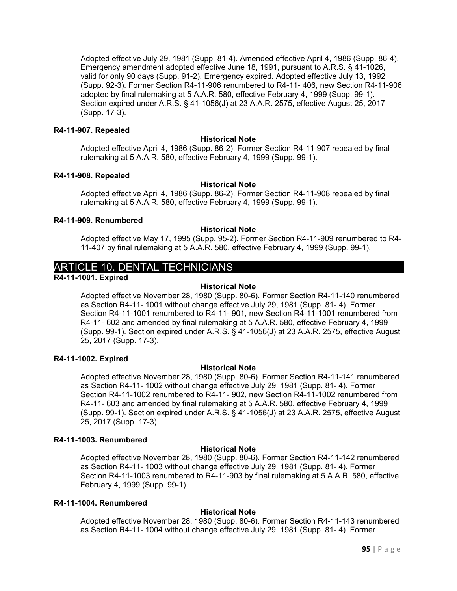Adopted effective July 29, 1981 (Supp. 81-4). Amended effective April 4, 1986 (Supp. 86-4). Emergency amendment adopted effective June 18, 1991, pursuant to A.R.S. § 41-1026, valid for only 90 days (Supp. 91-2). Emergency expired. Adopted effective July 13, 1992 (Supp. 92-3). Former Section R4-11-906 renumbered to R4-11- 406, new Section R4-11-906 adopted by final rulemaking at 5 A.A.R. 580, effective February 4, 1999 (Supp. 99-1). Section expired under A.R.S. § 41-1056(J) at 23 A.A.R. 2575, effective August 25, 2017 (Supp. 17-3).

#### **R4-11-907. Repealed**

#### **Historical Note**

Adopted effective April 4, 1986 (Supp. 86-2). Former Section R4-11-907 repealed by final rulemaking at 5 A.A.R. 580, effective February 4, 1999 (Supp. 99-1).

#### **R4-11-908. Repealed**

#### **Historical Note**

Adopted effective April 4, 1986 (Supp. 86-2). Former Section R4-11-908 repealed by final rulemaking at 5 A.A.R. 580, effective February 4, 1999 (Supp. 99-1).

#### **R4-11-909. Renumbered**

#### **Historical Note**

Adopted effective May 17, 1995 (Supp. 95-2). Former Section R4-11-909 renumbered to R4- 11-407 by final rulemaking at 5 A.A.R. 580, effective February 4, 1999 (Supp. 99-1).

# ARTICLE 10. DENTAL TECHNICIANS

**R4-11-1001. Expired**

## **Historical Note**

Adopted effective November 28, 1980 (Supp. 80-6). Former Section R4-11-140 renumbered as Section R4-11- 1001 without change effective July 29, 1981 (Supp. 81- 4). Former Section R4-11-1001 renumbered to R4-11- 901, new Section R4-11-1001 renumbered from R4-11- 602 and amended by final rulemaking at 5 A.A.R. 580, effective February 4, 1999 (Supp. 99-1). Section expired under A.R.S. § 41-1056(J) at 23 A.A.R. 2575, effective August 25, 2017 (Supp. 17-3).

## **R4-11-1002. Expired**

## **Historical Note**

Adopted effective November 28, 1980 (Supp. 80-6). Former Section R4-11-141 renumbered as Section R4-11- 1002 without change effective July 29, 1981 (Supp. 81- 4). Former Section R4-11-1002 renumbered to R4-11- 902, new Section R4-11-1002 renumbered from R4-11- 603 and amended by final rulemaking at 5 A.A.R. 580, effective February 4, 1999 (Supp. 99-1). Section expired under A.R.S. § 41-1056(J) at 23 A.A.R. 2575, effective August 25, 2017 (Supp. 17-3).

#### **R4-11-1003. Renumbered**

## **Historical Note**

Adopted effective November 28, 1980 (Supp. 80-6). Former Section R4-11-142 renumbered as Section R4-11- 1003 without change effective July 29, 1981 (Supp. 81- 4). Former Section R4-11-1003 renumbered to R4-11-903 by final rulemaking at 5 A.A.R. 580, effective February 4, 1999 (Supp. 99-1).

#### **R4-11-1004. Renumbered**

## **Historical Note**

Adopted effective November 28, 1980 (Supp. 80-6). Former Section R4-11-143 renumbered as Section R4-11- 1004 without change effective July 29, 1981 (Supp. 81- 4). Former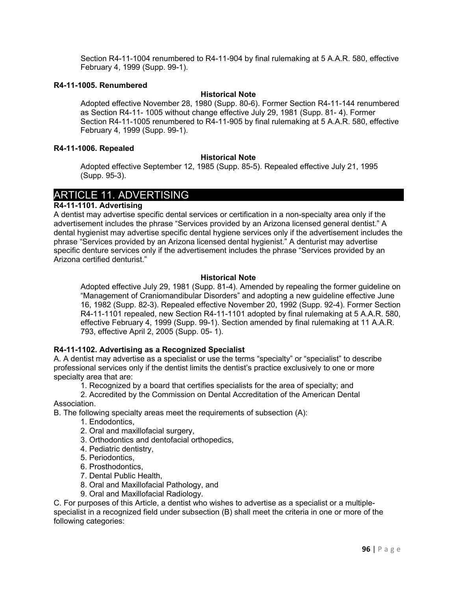Section R4-11-1004 renumbered to R4-11-904 by final rulemaking at 5 A.A.R. 580, effective February 4, 1999 (Supp. 99-1).

#### **R4-11-1005. Renumbered**

#### **Historical Note**

Adopted effective November 28, 1980 (Supp. 80-6). Former Section R4-11-144 renumbered as Section R4-11- 1005 without change effective July 29, 1981 (Supp. 81- 4). Former Section R4-11-1005 renumbered to R4-11-905 by final rulemaking at 5 A.A.R. 580, effective February 4, 1999 (Supp. 99-1).

#### **R4-11-1006. Repealed**

#### **Historical Note**

Adopted effective September 12, 1985 (Supp. 85-5). Repealed effective July 21, 1995 (Supp. 95-3).

# ARTICLE 11. ADVERTISING

## **R4-11-1101. Advertising**

A dentist may advertise specific dental services or certification in a non-specialty area only if the advertisement includes the phrase "Services provided by an Arizona licensed general dentist." A dental hygienist may advertise specific dental hygiene services only if the advertisement includes the phrase "Services provided by an Arizona licensed dental hygienist." A denturist may advertise specific denture services only if the advertisement includes the phrase "Services provided by an Arizona certified denturist."

#### **Historical Note**

Adopted effective July 29, 1981 (Supp. 81-4). Amended by repealing the former guideline on "Management of Craniomandibular Disorders" and adopting a new guideline effective June 16, 1982 (Supp. 82-3). Repealed effective November 20, 1992 (Supp. 92-4). Former Section R4-11-1101 repealed, new Section R4-11-1101 adopted by final rulemaking at 5 A.A.R. 580, effective February 4, 1999 (Supp. 99-1). Section amended by final rulemaking at 11 A.A.R. 793, effective April 2, 2005 (Supp. 05- 1).

## **R4-11-1102. Advertising as a Recognized Specialist**

A. A dentist may advertise as a specialist or use the terms "specialty" or "specialist" to describe professional services only if the dentist limits the dentist's practice exclusively to one or more specialty area that are:

1. Recognized by a board that certifies specialists for the area of specialty; and

#### 2. Accredited by the Commission on Dental Accreditation of the American Dental Association.

B. The following specialty areas meet the requirements of subsection (A):

- 1. Endodontics,
- 2. Oral and maxillofacial surgery,
- 3. Orthodontics and dentofacial orthopedics,
- 4. Pediatric dentistry,
- 5. Periodontics,
- 6. Prosthodontics,
- 7. Dental Public Health,
- 8. Oral and Maxillofacial Pathology, and
- 9. Oral and Maxillofacial Radiology.

C. For purposes of this Article, a dentist who wishes to advertise as a specialist or a multiplespecialist in a recognized field under subsection (B) shall meet the criteria in one or more of the following categories: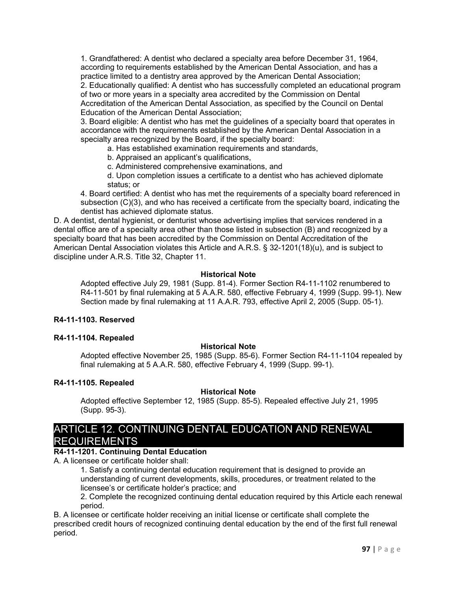1. Grandfathered: A dentist who declared a specialty area before December 31, 1964, according to requirements established by the American Dental Association, and has a practice limited to a dentistry area approved by the American Dental Association; 2. Educationally qualified: A dentist who has successfully completed an educational program

of two or more years in a specialty area accredited by the Commission on Dental Accreditation of the American Dental Association, as specified by the Council on Dental Education of the American Dental Association;

3. Board eligible: A dentist who has met the guidelines of a specialty board that operates in accordance with the requirements established by the American Dental Association in a specialty area recognized by the Board, if the specialty board:

a. Has established examination requirements and standards,

b. Appraised an applicant's qualifications,

c. Administered comprehensive examinations, and

d. Upon completion issues a certificate to a dentist who has achieved diplomate status; or

4. Board certified: A dentist who has met the requirements of a specialty board referenced in subsection (C)(3), and who has received a certificate from the specialty board, indicating the dentist has achieved diplomate status.

D. A dentist, dental hygienist, or denturist whose advertising implies that services rendered in a dental office are of a specialty area other than those listed in subsection (B) and recognized by a specialty board that has been accredited by the Commission on Dental Accreditation of the American Dental Association violates this Article and A.R.S. § 32-1201(18)(u), and is subject to discipline under A.R.S. Title 32, Chapter 11.

## **Historical Note**

Adopted effective July 29, 1981 (Supp. 81-4). Former Section R4-11-1102 renumbered to R4-11-501 by final rulemaking at 5 A.A.R. 580, effective February 4, 1999 (Supp. 99-1). New Section made by final rulemaking at 11 A.A.R. 793, effective April 2, 2005 (Supp. 05-1).

## **R4-11-1103. Reserved**

## **R4-11-1104. Repealed**

## **Historical Note**

Adopted effective November 25, 1985 (Supp. 85-6). Former Section R4-11-1104 repealed by final rulemaking at 5 A.A.R. 580, effective February 4, 1999 (Supp. 99-1).

#### **R4-11-1105. Repealed**

#### **Historical Note**

Adopted effective September 12, 1985 (Supp. 85-5). Repealed effective July 21, 1995 (Supp. 95-3).

# ARTICLE 12. CONTINUING DENTAL EDUCATION AND RENEWAL **REQUIREMENTS**

## **R4-11-1201. Continuing Dental Education**

A. A licensee or certificate holder shall:

1. Satisfy a continuing dental education requirement that is designed to provide an understanding of current developments, skills, procedures, or treatment related to the licensee's or certificate holder's practice; and

2. Complete the recognized continuing dental education required by this Article each renewal period.

B. A licensee or certificate holder receiving an initial license or certificate shall complete the prescribed credit hours of recognized continuing dental education by the end of the first full renewal period.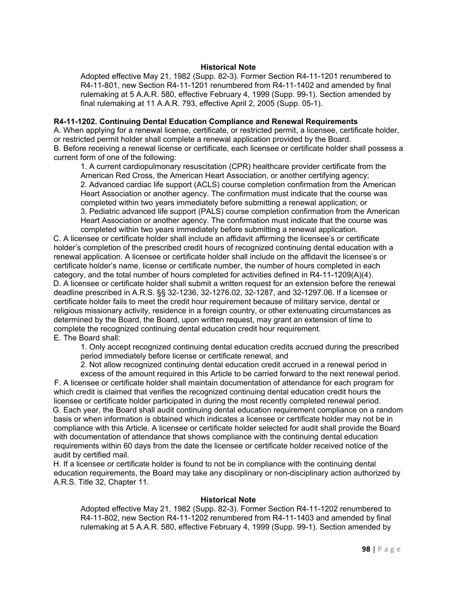#### **Historical Note**

Adopted effective May 21, 1982 (Supp. 82-3). Former Section R4-11-1201 renumbered to R4-11-801, new Section R4-11-1201 renumbered from R4-11-1402 and amended by final rulemaking at 5 A.A.R. 580, effective February 4, 1999 (Supp. 99-1). Section amended by final rulemaking at 11 A.A.R. 793, effective April 2, 2005 (Supp. 05-1).

#### **R4-11-1202. Continuing Dental Education Compliance and Renewal Requirements**

A. When applying for a renewal license, certificate, or restricted permit, a licensee, certificate holder, or restricted permit holder shall complete a renewal application provided by the Board. B. Before receiving a renewal license or certificate, each licensee or certificate holder shall possess a current form of one of the following:

1. A current cardiopulmonary resuscitation (CPR) healthcare provider certificate from the American Red Cross, the American Heart Association, or another certifying agency; 2. Advanced cardiac life support (ACLS) course completion confirmation from the American Heart Association or another agency. The confirmation must indicate that the course was completed within two years immediately before submitting a renewal application; or 3. Pediatric advanced life support (PALS) course completion confirmation from the American Heart Association or another agency. The confirmation must indicate that the course was completed within two years immediately before submitting a renewal application.

C. A licensee or certificate holder shall include an affidavit affirming the licensee's or certificate holder's completion of the prescribed credit hours of recognized continuing dental education with a renewal application. A licensee or certificate holder shall include on the affidavit the licensee's or certificate holder's name, license or certificate number, the number of hours completed in each category, and the total number of hours completed for activities defined in R4-11-1209(A)(4). D. A licensee or certificate holder shall submit a written request for an extension before the renewal deadline prescribed in A.R.S. §§ 32-1236, 32-1276.02, 32-1287, and 32-1297.06. If a licensee or certificate holder fails to meet the credit hour requirement because of military service, dental or religious missionary activity, residence in a foreign country, or other extenuating circumstances as determined by the Board, the Board, upon written request, may grant an extension of time to complete the recognized continuing dental education credit hour requirement. E. The Board shall:

1. Only accept recognized continuing dental education credits accrued during the prescribed period immediately before license or certificate renewal, and

2. Not allow recognized continuing dental education credit accrued in a renewal period in

excess of the amount required in this Article to be carried forward to the next renewal period. F. A licensee or certificate holder shall maintain documentation of attendance for each program for which credit is claimed that verifies the recognized continuing dental education credit hours the licensee or certificate holder participated in during the most recently completed renewal period. G. Each year, the Board shall audit continuing dental education requirement compliance on a random basis or when information is obtained which indicates a licensee or certificate holder may not be in compliance with this Article. A licensee or certificate holder selected for audit shall provide the Board with documentation of attendance that shows compliance with the continuing dental education requirements within 60 days from the date the licensee or certificate holder received notice of the audit by certified mail.

H. If a licensee or certificate holder is found to not be in compliance with the continuing dental education requirements, the Board may take any disciplinary or non-disciplinary action authorized by A.R.S. Title 32, Chapter 11.

#### **Historical Note**

Adopted effective May 21, 1982 (Supp. 82-3). Former Section R4-11-1202 renumbered to R4-11-802, new Section R4-11-1202 renumbered from R4-11-1403 and amended by final rulemaking at 5 A.A.R. 580, effective February 4, 1999 (Supp. 99-1). Section amended by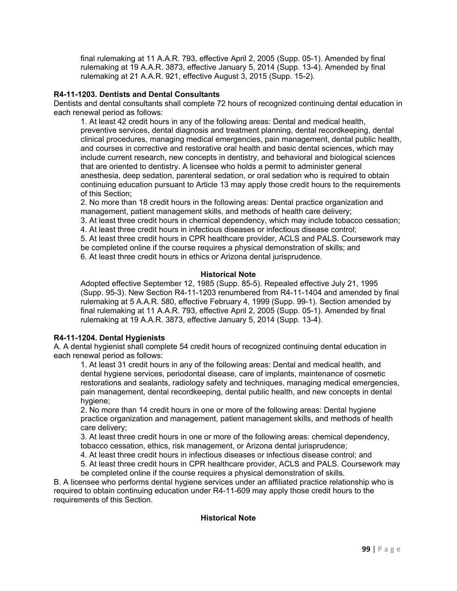final rulemaking at 11 A.A.R. 793, effective April 2, 2005 (Supp. 05-1). Amended by final rulemaking at 19 A.A.R. 3873, effective January 5, 2014 (Supp. 13-4). Amended by final rulemaking at 21 A.A.R. 921, effective August 3, 2015 (Supp. 15-2).

## **R4-11-1203. Dentists and Dental Consultants**

Dentists and dental consultants shall complete 72 hours of recognized continuing dental education in each renewal period as follows:

1. At least 42 credit hours in any of the following areas: Dental and medical health, preventive services, dental diagnosis and treatment planning, dental recordkeeping, dental clinical procedures, managing medical emergencies, pain management, dental public health, and courses in corrective and restorative oral health and basic dental sciences, which may include current research, new concepts in dentistry, and behavioral and biological sciences that are oriented to dentistry. A licensee who holds a permit to administer general anesthesia, deep sedation, parenteral sedation, or oral sedation who is required to obtain continuing education pursuant to Article 13 may apply those credit hours to the requirements of this Section;

2. No more than 18 credit hours in the following areas: Dental practice organization and management, patient management skills, and methods of health care delivery;

3. At least three credit hours in chemical dependency, which may include tobacco cessation; 4. At least three credit hours in infectious diseases or infectious disease control;

5. At least three credit hours in CPR healthcare provider, ACLS and PALS. Coursework may be completed online if the course requires a physical demonstration of skills; and 6. At least three credit hours in ethics or Arizona dental jurisprudence.

## **Historical Note**

Adopted effective September 12, 1985 (Supp. 85-5). Repealed effective July 21, 1995 (Supp. 95-3). New Section R4-11-1203 renumbered from R4-11-1404 and amended by final rulemaking at 5 A.A.R. 580, effective February 4, 1999 (Supp. 99-1). Section amended by final rulemaking at 11 A.A.R. 793, effective April 2, 2005 (Supp. 05-1). Amended by final rulemaking at 19 A.A.R. 3873, effective January 5, 2014 (Supp. 13-4).

## **R4-11-1204. Dental Hygienists**

A. A dental hygienist shall complete 54 credit hours of recognized continuing dental education in each renewal period as follows:

1. At least 31 credit hours in any of the following areas: Dental and medical health, and dental hygiene services, periodontal disease, care of implants, maintenance of cosmetic restorations and sealants, radiology safety and techniques, managing medical emergencies, pain management, dental recordkeeping, dental public health, and new concepts in dental hygiene;

2. No more than 14 credit hours in one or more of the following areas: Dental hygiene practice organization and management, patient management skills, and methods of health care delivery;

3. At least three credit hours in one or more of the following areas: chemical dependency, tobacco cessation, ethics, risk management, or Arizona dental jurisprudence;

4. At least three credit hours in infectious diseases or infectious disease control; and

5. At least three credit hours in CPR healthcare provider, ACLS and PALS. Coursework may be completed online if the course requires a physical demonstration of skills.

B. A licensee who performs dental hygiene services under an affiliated practice relationship who is required to obtain continuing education under R4-11-609 may apply those credit hours to the requirements of this Section.

## **Historical Note**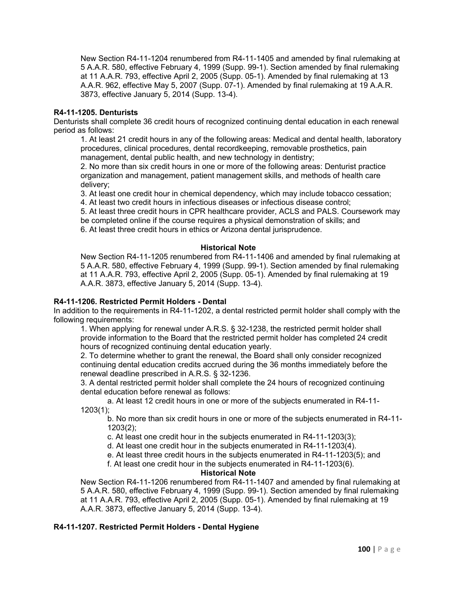New Section R4-11-1204 renumbered from R4-11-1405 and amended by final rulemaking at 5 A.A.R. 580, effective February 4, 1999 (Supp. 99-1). Section amended by final rulemaking at 11 A.A.R. 793, effective April 2, 2005 (Supp. 05-1). Amended by final rulemaking at 13 A.A.R. 962, effective May 5, 2007 (Supp. 07-1). Amended by final rulemaking at 19 A.A.R. 3873, effective January 5, 2014 (Supp. 13-4).

#### **R4-11-1205. Denturists**

Denturists shall complete 36 credit hours of recognized continuing dental education in each renewal period as follows:

1. At least 21 credit hours in any of the following areas: Medical and dental health, laboratory procedures, clinical procedures, dental recordkeeping, removable prosthetics, pain management, dental public health, and new technology in dentistry;

2. No more than six credit hours in one or more of the following areas: Denturist practice organization and management, patient management skills, and methods of health care delivery;

3. At least one credit hour in chemical dependency, which may include tobacco cessation;

4. At least two credit hours in infectious diseases or infectious disease control;

5. At least three credit hours in CPR healthcare provider, ACLS and PALS. Coursework may be completed online if the course requires a physical demonstration of skills; and 6. At least three credit hours in ethics or Arizona dental jurisprudence.

#### **Historical Note**

New Section R4-11-1205 renumbered from R4-11-1406 and amended by final rulemaking at 5 A.A.R. 580, effective February 4, 1999 (Supp. 99-1). Section amended by final rulemaking at 11 A.A.R. 793, effective April 2, 2005 (Supp. 05-1). Amended by final rulemaking at 19 A.A.R. 3873, effective January 5, 2014 (Supp. 13-4).

## **R4-11-1206. Restricted Permit Holders - Dental**

In addition to the requirements in R4-11-1202, a dental restricted permit holder shall comply with the following requirements:

1. When applying for renewal under A.R.S. § 32-1238, the restricted permit holder shall provide information to the Board that the restricted permit holder has completed 24 credit hours of recognized continuing dental education yearly.

2. To determine whether to grant the renewal, the Board shall only consider recognized continuing dental education credits accrued during the 36 months immediately before the renewal deadline prescribed in A.R.S. § 32-1236.

3. A dental restricted permit holder shall complete the 24 hours of recognized continuing dental education before renewal as follows:

a. At least 12 credit hours in one or more of the subjects enumerated in R4-11- 1203(1);

b. No more than six credit hours in one or more of the subjects enumerated in R4-11- 1203(2);

c. At least one credit hour in the subjects enumerated in R4-11-1203(3);

d. At least one credit hour in the subjects enumerated in R4-11-1203(4).

e. At least three credit hours in the subjects enumerated in R4-11-1203(5); and

f. At least one credit hour in the subjects enumerated in R4-11-1203(6).

#### **Historical Note**

New Section R4-11-1206 renumbered from R4-11-1407 and amended by final rulemaking at 5 A.A.R. 580, effective February 4, 1999 (Supp. 99-1). Section amended by final rulemaking at 11 A.A.R. 793, effective April 2, 2005 (Supp. 05-1). Amended by final rulemaking at 19 A.A.R. 3873, effective January 5, 2014 (Supp. 13-4).

## **R4-11-1207. Restricted Permit Holders - Dental Hygiene**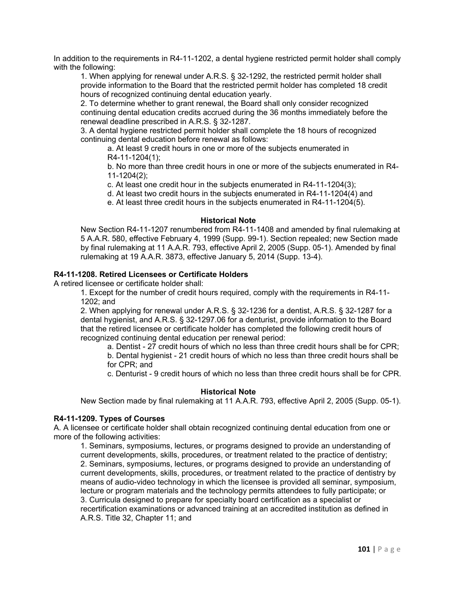In addition to the requirements in R4-11-1202, a dental hygiene restricted permit holder shall comply with the following:

1. When applying for renewal under A.R.S. § 32-1292, the restricted permit holder shall provide information to the Board that the restricted permit holder has completed 18 credit hours of recognized continuing dental education yearly.

2. To determine whether to grant renewal, the Board shall only consider recognized continuing dental education credits accrued during the 36 months immediately before the renewal deadline prescribed in A.R.S. § 32-1287.

3. A dental hygiene restricted permit holder shall complete the 18 hours of recognized continuing dental education before renewal as follows:

a. At least 9 credit hours in one or more of the subjects enumerated in R4-11-1204(1);

b. No more than three credit hours in one or more of the subjects enumerated in R4- 11-1204(2);

c. At least one credit hour in the subjects enumerated in R4-11-1204(3);

d. At least two credit hours in the subjects enumerated in R4-11-1204(4) and

e. At least three credit hours in the subjects enumerated in R4-11-1204(5).

#### **Historical Note**

New Section R4-11-1207 renumbered from R4-11-1408 and amended by final rulemaking at 5 A.A.R. 580, effective February 4, 1999 (Supp. 99-1). Section repealed; new Section made by final rulemaking at 11 A.A.R. 793, effective April 2, 2005 (Supp. 05-1). Amended by final rulemaking at 19 A.A.R. 3873, effective January 5, 2014 (Supp. 13-4).

## **R4-11-1208. Retired Licensees or Certificate Holders**

A retired licensee or certificate holder shall:

1. Except for the number of credit hours required, comply with the requirements in R4-11- 1202; and

2. When applying for renewal under A.R.S. § 32-1236 for a dentist, A.R.S. § 32-1287 for a dental hygienist, and A.R.S. § 32-1297.06 for a denturist, provide information to the Board that the retired licensee or certificate holder has completed the following credit hours of recognized continuing dental education per renewal period:

a. Dentist - 27 credit hours of which no less than three credit hours shall be for CPR; b. Dental hygienist - 21 credit hours of which no less than three credit hours shall be

for CPR; and

c. Denturist - 9 credit hours of which no less than three credit hours shall be for CPR.

#### **Historical Note**

New Section made by final rulemaking at 11 A.A.R. 793, effective April 2, 2005 (Supp. 05-1).

#### **R4-11-1209. Types of Courses**

A. A licensee or certificate holder shall obtain recognized continuing dental education from one or more of the following activities:

1. Seminars, symposiums, lectures, or programs designed to provide an understanding of current developments, skills, procedures, or treatment related to the practice of dentistry; 2. Seminars, symposiums, lectures, or programs designed to provide an understanding of current developments, skills, procedures, or treatment related to the practice of dentistry by means of audio-video technology in which the licensee is provided all seminar, symposium, lecture or program materials and the technology permits attendees to fully participate; or 3. Curricula designed to prepare for specialty board certification as a specialist or recertification examinations or advanced training at an accredited institution as defined in A.R.S. Title 32, Chapter 11; and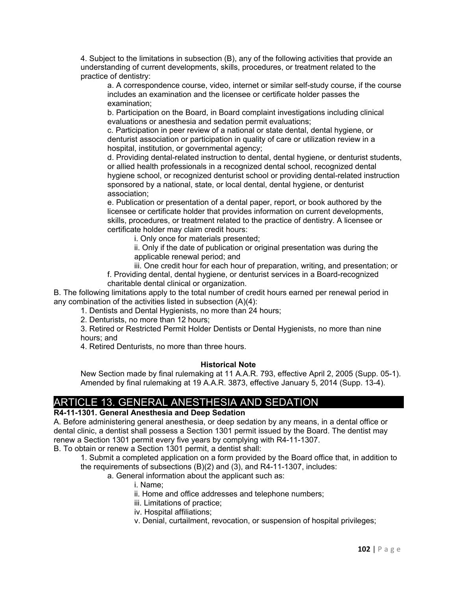4. Subject to the limitations in subsection (B), any of the following activities that provide an understanding of current developments, skills, procedures, or treatment related to the practice of dentistry:

a. A correspondence course, video, internet or similar self-study course, if the course includes an examination and the licensee or certificate holder passes the examination;

b. Participation on the Board, in Board complaint investigations including clinical evaluations or anesthesia and sedation permit evaluations;

c. Participation in peer review of a national or state dental, dental hygiene, or denturist association or participation in quality of care or utilization review in a hospital, institution, or governmental agency;

d. Providing dental-related instruction to dental, dental hygiene, or denturist students, or allied health professionals in a recognized dental school, recognized dental hygiene school, or recognized denturist school or providing dental-related instruction sponsored by a national, state, or local dental, dental hygiene, or denturist association;

e. Publication or presentation of a dental paper, report, or book authored by the licensee or certificate holder that provides information on current developments, skills, procedures, or treatment related to the practice of dentistry. A licensee or certificate holder may claim credit hours:

i. Only once for materials presented;

ii. Only if the date of publication or original presentation was during the applicable renewal period; and

iii. One credit hour for each hour of preparation, writing, and presentation; or

f. Providing dental, dental hygiene, or denturist services in a Board-recognized charitable dental clinical or organization.

B. The following limitations apply to the total number of credit hours earned per renewal period in any combination of the activities listed in subsection (A)(4):

1. Dentists and Dental Hygienists, no more than 24 hours;

2. Denturists, no more than 12 hours;

3. Retired or Restricted Permit Holder Dentists or Dental Hygienists, no more than nine hours; and

4. Retired Denturists, no more than three hours.

#### **Historical Note**

New Section made by final rulemaking at 11 A.A.R. 793, effective April 2, 2005 (Supp. 05-1). Amended by final rulemaking at 19 A.A.R. 3873, effective January 5, 2014 (Supp. 13-4).

# ARTICLE 13. GENERAL ANESTHESIA AND SEDATION

## **R4-11-1301. General Anesthesia and Deep Sedation**

A. Before administering general anesthesia, or deep sedation by any means, in a dental office or dental clinic, a dentist shall possess a Section 1301 permit issued by the Board. The dentist may renew a Section 1301 permit every five years by complying with R4-11-1307.

B. To obtain or renew a Section 1301 permit, a dentist shall:

1. Submit a completed application on a form provided by the Board office that, in addition to the requirements of subsections (B)(2) and (3), and R4-11-1307, includes:

## a. General information about the applicant such as:

- i. Name;
- ii. Home and office addresses and telephone numbers;
- iii. Limitations of practice;
- iv. Hospital affiliations;
- v. Denial, curtailment, revocation, or suspension of hospital privileges;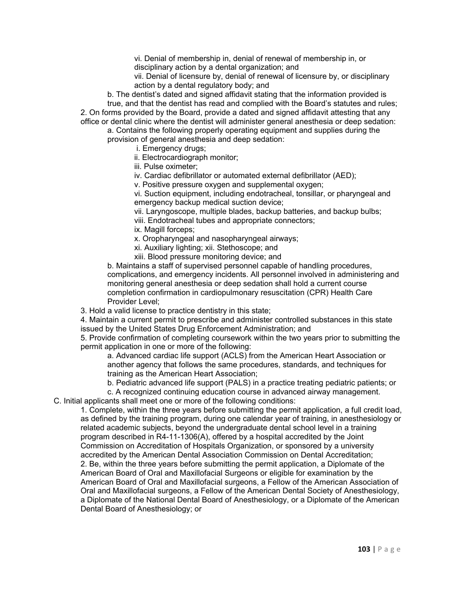vi. Denial of membership in, denial of renewal of membership in, or disciplinary action by a dental organization; and vii. Denial of licensure by, denial of renewal of licensure by, or disciplinary

action by a dental regulatory body; and

b. The dentist's dated and signed affidavit stating that the information provided is true, and that the dentist has read and complied with the Board's statutes and rules; 2. On forms provided by the Board, provide a dated and signed affidavit attesting that any office or dental clinic where the dentist will administer general anesthesia or deep sedation:

a. Contains the following properly operating equipment and supplies during the provision of general anesthesia and deep sedation:

i. Emergency drugs;

ii. Electrocardiograph monitor;

iii. Pulse oximeter;

iv. Cardiac defibrillator or automated external defibrillator (AED);

v. Positive pressure oxygen and supplemental oxygen;

vi. Suction equipment, including endotracheal, tonsillar, or pharyngeal and emergency backup medical suction device;

vii. Laryngoscope, multiple blades, backup batteries, and backup bulbs; viii. Endotracheal tubes and appropriate connectors;

ix. Magill forceps;

x. Oropharyngeal and nasopharyngeal airways;

xi. Auxiliary lighting; xii. Stethoscope; and

xiii. Blood pressure monitoring device; and

b. Maintains a staff of supervised personnel capable of handling procedures, complications, and emergency incidents. All personnel involved in administering and monitoring general anesthesia or deep sedation shall hold a current course completion confirmation in cardiopulmonary resuscitation (CPR) Health Care Provider Level;

3. Hold a valid license to practice dentistry in this state;

4. Maintain a current permit to prescribe and administer controlled substances in this state issued by the United States Drug Enforcement Administration; and

5. Provide confirmation of completing coursework within the two years prior to submitting the permit application in one or more of the following:

a. Advanced cardiac life support (ACLS) from the American Heart Association or another agency that follows the same procedures, standards, and techniques for training as the American Heart Association;

b. Pediatric advanced life support (PALS) in a practice treating pediatric patients; or

c. A recognized continuing education course in advanced airway management. C. Initial applicants shall meet one or more of the following conditions:

1. Complete, within the three years before submitting the permit application, a full credit load, as defined by the training program, during one calendar year of training, in anesthesiology or related academic subjects, beyond the undergraduate dental school level in a training program described in R4-11-1306(A), offered by a hospital accredited by the Joint Commission on Accreditation of Hospitals Organization, or sponsored by a university accredited by the American Dental Association Commission on Dental Accreditation; 2. Be, within the three years before submitting the permit application, a Diplomate of the American Board of Oral and Maxillofacial Surgeons or eligible for examination by the American Board of Oral and Maxillofacial surgeons, a Fellow of the American Association of Oral and Maxillofacial surgeons, a Fellow of the American Dental Society of Anesthesiology, a Diplomate of the National Dental Board of Anesthesiology, or a Diplomate of the American Dental Board of Anesthesiology; or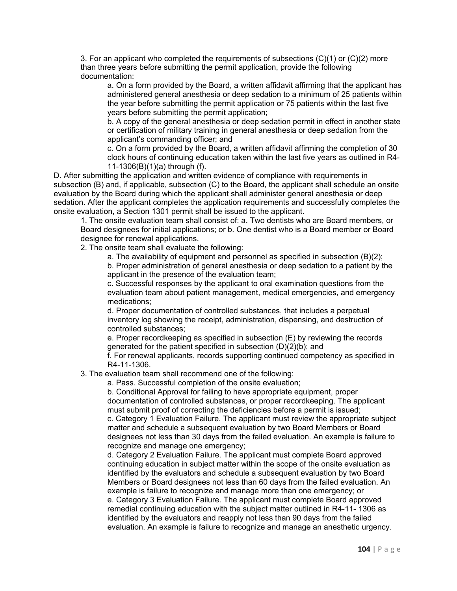3. For an applicant who completed the requirements of subsections  $(C)(1)$  or  $(C)(2)$  more than three years before submitting the permit application, provide the following documentation:

a. On a form provided by the Board, a written affidavit affirming that the applicant has administered general anesthesia or deep sedation to a minimum of 25 patients within the year before submitting the permit application or 75 patients within the last five years before submitting the permit application;

b. A copy of the general anesthesia or deep sedation permit in effect in another state or certification of military training in general anesthesia or deep sedation from the applicant's commanding officer; and

c. On a form provided by the Board, a written affidavit affirming the completion of 30 clock hours of continuing education taken within the last five years as outlined in R4- 11-1306(B)(1)(a) through (f).

D. After submitting the application and written evidence of compliance with requirements in subsection (B) and, if applicable, subsection (C) to the Board, the applicant shall schedule an onsite evaluation by the Board during which the applicant shall administer general anesthesia or deep sedation. After the applicant completes the application requirements and successfully completes the onsite evaluation, a Section 1301 permit shall be issued to the applicant.

1. The onsite evaluation team shall consist of: a. Two dentists who are Board members, or Board designees for initial applications; or b. One dentist who is a Board member or Board designee for renewal applications.

2. The onsite team shall evaluate the following:

a. The availability of equipment and personnel as specified in subsection (B)(2);

b. Proper administration of general anesthesia or deep sedation to a patient by the applicant in the presence of the evaluation team;

c. Successful responses by the applicant to oral examination questions from the evaluation team about patient management, medical emergencies, and emergency medications;

d. Proper documentation of controlled substances, that includes a perpetual inventory log showing the receipt, administration, dispensing, and destruction of controlled substances;

e. Proper recordkeeping as specified in subsection (E) by reviewing the records generated for the patient specified in subsection (D)(2)(b); and

f. For renewal applicants, records supporting continued competency as specified in R4-11-1306.

3. The evaluation team shall recommend one of the following:

a. Pass. Successful completion of the onsite evaluation;

b. Conditional Approval for failing to have appropriate equipment, proper documentation of controlled substances, or proper recordkeeping. The applicant must submit proof of correcting the deficiencies before a permit is issued; c. Category 1 Evaluation Failure. The applicant must review the appropriate subject matter and schedule a subsequent evaluation by two Board Members or Board designees not less than 30 days from the failed evaluation. An example is failure to recognize and manage one emergency;

d. Category 2 Evaluation Failure. The applicant must complete Board approved continuing education in subject matter within the scope of the onsite evaluation as identified by the evaluators and schedule a subsequent evaluation by two Board Members or Board designees not less than 60 days from the failed evaluation. An example is failure to recognize and manage more than one emergency; or e. Category 3 Evaluation Failure. The applicant must complete Board approved remedial continuing education with the subject matter outlined in R4-11- 1306 as identified by the evaluators and reapply not less than 90 days from the failed evaluation. An example is failure to recognize and manage an anesthetic urgency.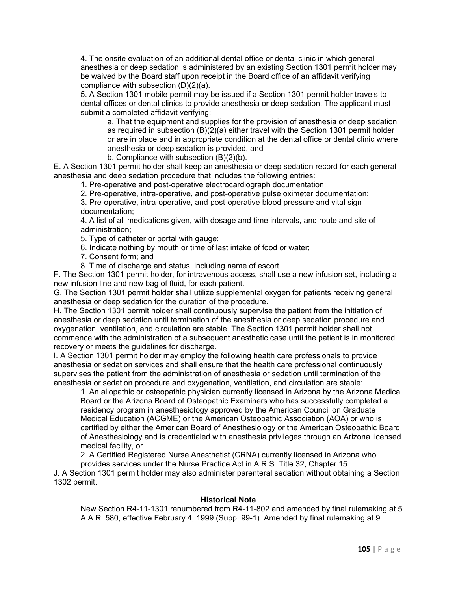4. The onsite evaluation of an additional dental office or dental clinic in which general anesthesia or deep sedation is administered by an existing Section 1301 permit holder may be waived by the Board staff upon receipt in the Board office of an affidavit verifying compliance with subsection (D)(2)(a).

5. A Section 1301 mobile permit may be issued if a Section 1301 permit holder travels to dental offices or dental clinics to provide anesthesia or deep sedation. The applicant must submit a completed affidavit verifying:

a. That the equipment and supplies for the provision of anesthesia or deep sedation as required in subsection (B)(2)(a) either travel with the Section 1301 permit holder or are in place and in appropriate condition at the dental office or dental clinic where anesthesia or deep sedation is provided, and

b. Compliance with subsection (B)(2)(b).

E. A Section 1301 permit holder shall keep an anesthesia or deep sedation record for each general anesthesia and deep sedation procedure that includes the following entries:

1. Pre-operative and post-operative electrocardiograph documentation;

2. Pre-operative, intra-operative, and post-operative pulse oximeter documentation;

3. Pre-operative, intra-operative, and post-operative blood pressure and vital sign documentation;

4. A list of all medications given, with dosage and time intervals, and route and site of administration;

5. Type of catheter or portal with gauge;

6. Indicate nothing by mouth or time of last intake of food or water;

7. Consent form; and

8. Time of discharge and status, including name of escort.

F. The Section 1301 permit holder, for intravenous access, shall use a new infusion set, including a new infusion line and new bag of fluid, for each patient.

G. The Section 1301 permit holder shall utilize supplemental oxygen for patients receiving general anesthesia or deep sedation for the duration of the procedure.

H. The Section 1301 permit holder shall continuously supervise the patient from the initiation of anesthesia or deep sedation until termination of the anesthesia or deep sedation procedure and oxygenation, ventilation, and circulation are stable. The Section 1301 permit holder shall not commence with the administration of a subsequent anesthetic case until the patient is in monitored recovery or meets the guidelines for discharge.

I. A Section 1301 permit holder may employ the following health care professionals to provide anesthesia or sedation services and shall ensure that the health care professional continuously supervises the patient from the administration of anesthesia or sedation until termination of the anesthesia or sedation procedure and oxygenation, ventilation, and circulation are stable:

1. An allopathic or osteopathic physician currently licensed in Arizona by the Arizona Medical Board or the Arizona Board of Osteopathic Examiners who has successfully completed a residency program in anesthesiology approved by the American Council on Graduate Medical Education (ACGME) or the American Osteopathic Association (AOA) or who is certified by either the American Board of Anesthesiology or the American Osteopathic Board of Anesthesiology and is credentialed with anesthesia privileges through an Arizona licensed medical facility, or

2. A Certified Registered Nurse Anesthetist (CRNA) currently licensed in Arizona who provides services under the Nurse Practice Act in A.R.S. Title 32, Chapter 15.

J. A Section 1301 permit holder may also administer parenteral sedation without obtaining a Section 1302 permit.

#### **Historical Note**

New Section R4-11-1301 renumbered from R4-11-802 and amended by final rulemaking at 5 A.A.R. 580, effective February 4, 1999 (Supp. 99-1). Amended by final rulemaking at 9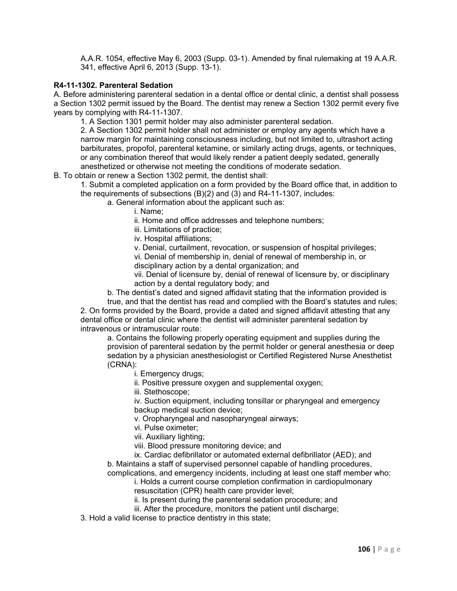A.A.R. 1054, effective May 6, 2003 (Supp. 03-1). Amended by final rulemaking at 19 A.A.R. 341, effective April 6, 2013 (Supp. 13-1).

#### **R4-11-1302. Parenteral Sedation**

A. Before administering parenteral sedation in a dental office or dental clinic, a dentist shall possess a Section 1302 permit issued by the Board. The dentist may renew a Section 1302 permit every five years by complying with R4-11-1307.

1. A Section 1301 permit holder may also administer parenteral sedation.

2. A Section 1302 permit holder shall not administer or employ any agents which have a narrow margin for maintaining consciousness including, but not limited to, ultrashort acting barbiturates, propofol, parenteral ketamine, or similarly acting drugs, agents, or techniques, or any combination thereof that would likely render a patient deeply sedated, generally anesthetized or otherwise not meeting the conditions of moderate sedation.

B. To obtain or renew a Section 1302 permit, the dentist shall:

1. Submit a completed application on a form provided by the Board office that, in addition to the requirements of subsections (B)(2) and (3) and R4-11-1307, includes:

a. General information about the applicant such as:

i. Name;

ii. Home and office addresses and telephone numbers;

iii. Limitations of practice;

iv. Hospital affiliations;

v. Denial, curtailment, revocation, or suspension of hospital privileges;

vi. Denial of membership in, denial of renewal of membership in, or disciplinary action by a dental organization; and

vii. Denial of licensure by, denial of renewal of licensure by, or disciplinary action by a dental regulatory body; and

b. The dentist's dated and signed affidavit stating that the information provided is true, and that the dentist has read and complied with the Board's statutes and rules;

2. On forms provided by the Board, provide a dated and signed affidavit attesting that any dental office or dental clinic where the dentist will administer parenteral sedation by intravenous or intramuscular route:

a. Contains the following properly operating equipment and supplies during the provision of parenteral sedation by the permit holder or general anesthesia or deep sedation by a physician anesthesiologist or Certified Registered Nurse Anesthetist (CRNA):

i. Emergency drugs;

ii. Positive pressure oxygen and supplemental oxygen;

iii. Stethoscope;

iv. Suction equipment, including tonsillar or pharyngeal and emergency backup medical suction device;

v. Oropharyngeal and nasopharyngeal airways;

vi. Pulse oximeter;

vii. Auxiliary lighting;

viii. Blood pressure monitoring device; and

ix. Cardiac defibrillator or automated external defibrillator (AED); and b. Maintains a staff of supervised personnel capable of handling procedures,

complications, and emergency incidents, including at least one staff member who: i. Holds a current course completion confirmation in cardiopulmonary

resuscitation (CPR) health care provider level;

ii. Is present during the parenteral sedation procedure; and

iii. After the procedure, monitors the patient until discharge;

3. Hold a valid license to practice dentistry in this state;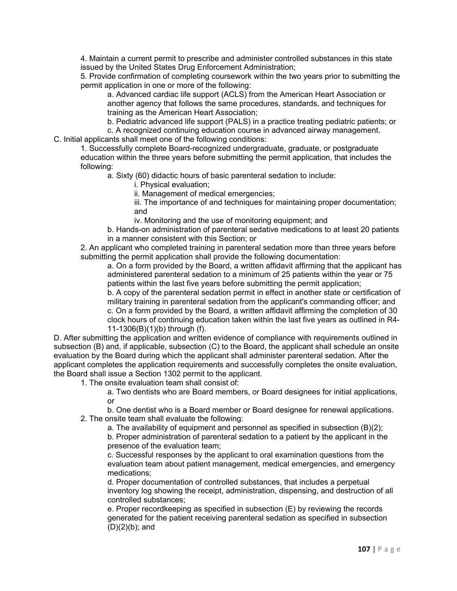4. Maintain a current permit to prescribe and administer controlled substances in this state issued by the United States Drug Enforcement Administration;

5. Provide confirmation of completing coursework within the two years prior to submitting the permit application in one or more of the following:

a. Advanced cardiac life support (ACLS) from the American Heart Association or another agency that follows the same procedures, standards, and techniques for training as the American Heart Association;

b. Pediatric advanced life support (PALS) in a practice treating pediatric patients; or

c. A recognized continuing education course in advanced airway management.

C. Initial applicants shall meet one of the following conditions:

1. Successfully complete Board-recognized undergraduate, graduate, or postgraduate education within the three years before submitting the permit application, that includes the following:

a. Sixty (60) didactic hours of basic parenteral sedation to include:

i. Physical evaluation;

ii. Management of medical emergencies;

iii. The importance of and techniques for maintaining proper documentation; and

iv. Monitoring and the use of monitoring equipment; and

b. Hands-on administration of parenteral sedative medications to at least 20 patients in a manner consistent with this Section; or

2. An applicant who completed training in parenteral sedation more than three years before submitting the permit application shall provide the following documentation:

a. On a form provided by the Board, a written affidavit affirming that the applicant has administered parenteral sedation to a minimum of 25 patients within the year or 75 patients within the last five years before submitting the permit application;

b. A copy of the parenteral sedation permit in effect in another state or certification of military training in parenteral sedation from the applicant's commanding officer; and c. On a form provided by the Board, a written affidavit affirming the completion of 30 clock hours of continuing education taken within the last five years as outlined in R4- 11-1306(B)(1)(b) through (f).

D. After submitting the application and written evidence of compliance with requirements outlined in subsection (B) and, if applicable, subsection (C) to the Board, the applicant shall schedule an onsite evaluation by the Board during which the applicant shall administer parenteral sedation. After the applicant completes the application requirements and successfully completes the onsite evaluation, the Board shall issue a Section 1302 permit to the applicant.

1. The onsite evaluation team shall consist of:

a. Two dentists who are Board members, or Board designees for initial applications, or

b. One dentist who is a Board member or Board designee for renewal applications. 2. The onsite team shall evaluate the following:

a. The availability of equipment and personnel as specified in subsection (B)(2);

b. Proper administration of parenteral sedation to a patient by the applicant in the presence of the evaluation team;

c. Successful responses by the applicant to oral examination questions from the evaluation team about patient management, medical emergencies, and emergency medications;

d. Proper documentation of controlled substances, that includes a perpetual inventory log showing the receipt, administration, dispensing, and destruction of all controlled substances;

e. Proper recordkeeping as specified in subsection (E) by reviewing the records generated for the patient receiving parenteral sedation as specified in subsection (D)(2)(b); and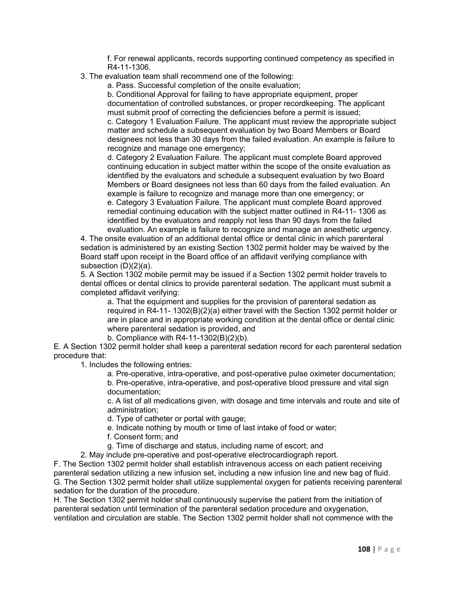f. For renewal applicants, records supporting continued competency as specified in R4-11-1306.

3. The evaluation team shall recommend one of the following:

a. Pass. Successful completion of the onsite evaluation;

b. Conditional Approval for failing to have appropriate equipment, proper documentation of controlled substances, or proper recordkeeping. The applicant must submit proof of correcting the deficiencies before a permit is issued; c. Category 1 Evaluation Failure. The applicant must review the appropriate subject matter and schedule a subsequent evaluation by two Board Members or Board designees not less than 30 days from the failed evaluation. An example is failure to recognize and manage one emergency;

d. Category 2 Evaluation Failure. The applicant must complete Board approved continuing education in subject matter within the scope of the onsite evaluation as identified by the evaluators and schedule a subsequent evaluation by two Board Members or Board designees not less than 60 days from the failed evaluation. An example is failure to recognize and manage more than one emergency; or

e. Category 3 Evaluation Failure. The applicant must complete Board approved remedial continuing education with the subject matter outlined in R4-11- 1306 as identified by the evaluators and reapply not less than 90 days from the failed evaluation. An example is failure to recognize and manage an anesthetic urgency.

4. The onsite evaluation of an additional dental office or dental clinic in which parenteral sedation is administered by an existing Section 1302 permit holder may be waived by the Board staff upon receipt in the Board office of an affidavit verifying compliance with subsection (D)(2)(a).

5. A Section 1302 mobile permit may be issued if a Section 1302 permit holder travels to dental offices or dental clinics to provide parenteral sedation. The applicant must submit a completed affidavit verifying:

a. That the equipment and supplies for the provision of parenteral sedation as required in R4-11- 1302(B)(2)(a) either travel with the Section 1302 permit holder or are in place and in appropriate working condition at the dental office or dental clinic where parenteral sedation is provided, and

b. Compliance with R4-11-1302(B)(2)(b).

E. A Section 1302 permit holder shall keep a parenteral sedation record for each parenteral sedation procedure that:

1. Includes the following entries:

a. Pre-operative, intra-operative, and post-operative pulse oximeter documentation; b. Pre-operative, intra-operative, and post-operative blood pressure and vital sign documentation;

c. A list of all medications given, with dosage and time intervals and route and site of administration;

d. Type of catheter or portal with gauge;

e. Indicate nothing by mouth or time of last intake of food or water;

f. Consent form; and

g. Time of discharge and status, including name of escort; and

2. May include pre-operative and post-operative electrocardiograph report.

F. The Section 1302 permit holder shall establish intravenous access on each patient receiving parenteral sedation utilizing a new infusion set, including a new infusion line and new bag of fluid. G. The Section 1302 permit holder shall utilize supplemental oxygen for patients receiving parenteral sedation for the duration of the procedure.

H. The Section 1302 permit holder shall continuously supervise the patient from the initiation of parenteral sedation until termination of the parenteral sedation procedure and oxygenation, ventilation and circulation are stable. The Section 1302 permit holder shall not commence with the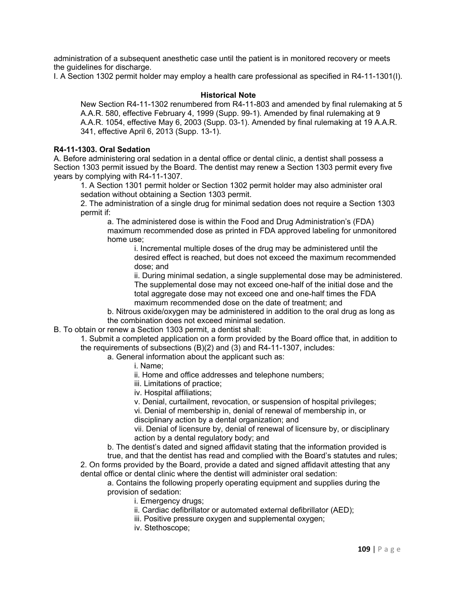administration of a subsequent anesthetic case until the patient is in monitored recovery or meets the guidelines for discharge.

I. A Section 1302 permit holder may employ a health care professional as specified in R4-11-1301(I).

# **Historical Note**

New Section R4-11-1302 renumbered from R4-11-803 and amended by final rulemaking at 5 A.A.R. 580, effective February 4, 1999 (Supp. 99-1). Amended by final rulemaking at 9 A.A.R. 1054, effective May 6, 2003 (Supp. 03-1). Amended by final rulemaking at 19 A.A.R. 341, effective April 6, 2013 (Supp. 13-1).

# **R4-11-1303. Oral Sedation**

A. Before administering oral sedation in a dental office or dental clinic, a dentist shall possess a Section 1303 permit issued by the Board. The dentist may renew a Section 1303 permit every five years by complying with R4-11-1307.

1. A Section 1301 permit holder or Section 1302 permit holder may also administer oral sedation without obtaining a Section 1303 permit.

2. The administration of a single drug for minimal sedation does not require a Section 1303 permit if:

a. The administered dose is within the Food and Drug Administration's (FDA) maximum recommended dose as printed in FDA approved labeling for unmonitored home use;

i. Incremental multiple doses of the drug may be administered until the desired effect is reached, but does not exceed the maximum recommended dose; and

ii. During minimal sedation, a single supplemental dose may be administered. The supplemental dose may not exceed one-half of the initial dose and the total aggregate dose may not exceed one and one-half times the FDA maximum recommended dose on the date of treatment; and

b. Nitrous oxide/oxygen may be administered in addition to the oral drug as long as the combination does not exceed minimal sedation.

B. To obtain or renew a Section 1303 permit, a dentist shall:

1. Submit a completed application on a form provided by the Board office that, in addition to the requirements of subsections (B)(2) and (3) and R4-11-1307, includes:

- a. General information about the applicant such as:
	- i. Name;
	- ii. Home and office addresses and telephone numbers;
	- iii. Limitations of practice;
	- iv. Hospital affiliations;
	- v. Denial, curtailment, revocation, or suspension of hospital privileges;

vi. Denial of membership in, denial of renewal of membership in, or disciplinary action by a dental organization; and

vii. Denial of licensure by, denial of renewal of licensure by, or disciplinary action by a dental regulatory body; and

b. The dentist's dated and signed affidavit stating that the information provided is true, and that the dentist has read and complied with the Board's statutes and rules; 2. On forms provided by the Board, provide a dated and signed affidavit attesting that any dental office or dental clinic where the dentist will administer oral sedation:

a. Contains the following properly operating equipment and supplies during the provision of sedation:

- i. Emergency drugs;
- ii. Cardiac defibrillator or automated external defibrillator (AED);
- iii. Positive pressure oxygen and supplemental oxygen;
- iv. Stethoscope;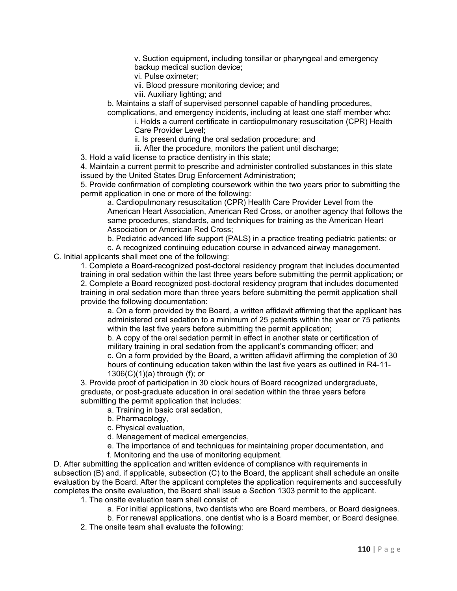v. Suction equipment, including tonsillar or pharyngeal and emergency backup medical suction device;

vi. Pulse oximeter;

vii. Blood pressure monitoring device; and

viii. Auxiliary lighting; and

b. Maintains a staff of supervised personnel capable of handling procedures, complications, and emergency incidents, including at least one staff member who:

i. Holds a current certificate in cardiopulmonary resuscitation (CPR) Health Care Provider Level;

ii. Is present during the oral sedation procedure; and

iii. After the procedure, monitors the patient until discharge;

3. Hold a valid license to practice dentistry in this state;

4. Maintain a current permit to prescribe and administer controlled substances in this state issued by the United States Drug Enforcement Administration;

5. Provide confirmation of completing coursework within the two years prior to submitting the permit application in one or more of the following:

a. Cardiopulmonary resuscitation (CPR) Health Care Provider Level from the American Heart Association, American Red Cross, or another agency that follows the same procedures, standards, and techniques for training as the American Heart Association or American Red Cross;

b. Pediatric advanced life support (PALS) in a practice treating pediatric patients; or

c. A recognized continuing education course in advanced airway management.

C. Initial applicants shall meet one of the following:

1. Complete a Board-recognized post-doctoral residency program that includes documented training in oral sedation within the last three years before submitting the permit application; or 2. Complete a Board recognized post-doctoral residency program that includes documented training in oral sedation more than three years before submitting the permit application shall provide the following documentation:

a. On a form provided by the Board, a written affidavit affirming that the applicant has administered oral sedation to a minimum of 25 patients within the year or 75 patients within the last five years before submitting the permit application;

b. A copy of the oral sedation permit in effect in another state or certification of military training in oral sedation from the applicant's commanding officer; and c. On a form provided by the Board, a written affidavit affirming the completion of 30 hours of continuing education taken within the last five years as outlined in R4-11-  $1306(C)(1)(a)$  through (f); or

3. Provide proof of participation in 30 clock hours of Board recognized undergraduate, graduate, or post-graduate education in oral sedation within the three years before submitting the permit application that includes:

a. Training in basic oral sedation,

b. Pharmacology,

c. Physical evaluation,

d. Management of medical emergencies,

e. The importance of and techniques for maintaining proper documentation, and

f. Monitoring and the use of monitoring equipment.

D. After submitting the application and written evidence of compliance with requirements in subsection (B) and, if applicable, subsection (C) to the Board, the applicant shall schedule an onsite evaluation by the Board. After the applicant completes the application requirements and successfully completes the onsite evaluation, the Board shall issue a Section 1303 permit to the applicant.

1. The onsite evaluation team shall consist of:

a. For initial applications, two dentists who are Board members, or Board designees.

b. For renewal applications, one dentist who is a Board member, or Board designee.

2. The onsite team shall evaluate the following: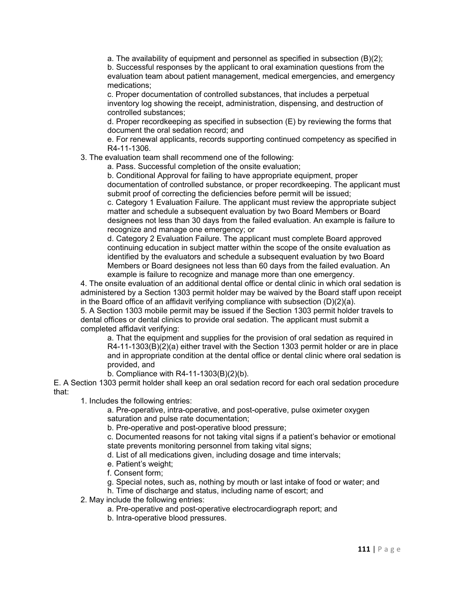a. The availability of equipment and personnel as specified in subsection (B)(2); b. Successful responses by the applicant to oral examination questions from the evaluation team about patient management, medical emergencies, and emergency medications;

c. Proper documentation of controlled substances, that includes a perpetual inventory log showing the receipt, administration, dispensing, and destruction of controlled substances;

d. Proper recordkeeping as specified in subsection (E) by reviewing the forms that document the oral sedation record; and

e. For renewal applicants, records supporting continued competency as specified in R4-11-1306.

3. The evaluation team shall recommend one of the following:

a. Pass. Successful completion of the onsite evaluation;

b. Conditional Approval for failing to have appropriate equipment, proper documentation of controlled substance, or proper recordkeeping. The applicant must submit proof of correcting the deficiencies before permit will be issued;

c. Category 1 Evaluation Failure. The applicant must review the appropriate subject matter and schedule a subsequent evaluation by two Board Members or Board designees not less than 30 days from the failed evaluation. An example is failure to recognize and manage one emergency; or

d. Category 2 Evaluation Failure. The applicant must complete Board approved continuing education in subject matter within the scope of the onsite evaluation as identified by the evaluators and schedule a subsequent evaluation by two Board Members or Board designees not less than 60 days from the failed evaluation. An example is failure to recognize and manage more than one emergency.

4. The onsite evaluation of an additional dental office or dental clinic in which oral sedation is administered by a Section 1303 permit holder may be waived by the Board staff upon receipt in the Board office of an affidavit verifying compliance with subsection (D)(2)(a).

5. A Section 1303 mobile permit may be issued if the Section 1303 permit holder travels to dental offices or dental clinics to provide oral sedation. The applicant must submit a completed affidavit verifying:

a. That the equipment and supplies for the provision of oral sedation as required in  $R4-11-1303(B)(2)(a)$  either travel with the Section 1303 permit holder or are in place and in appropriate condition at the dental office or dental clinic where oral sedation is provided, and

b. Compliance with R4-11-1303(B)(2)(b).

E. A Section 1303 permit holder shall keep an oral sedation record for each oral sedation procedure that:

1. Includes the following entries:

a. Pre-operative, intra-operative, and post-operative, pulse oximeter oxygen saturation and pulse rate documentation;

b. Pre-operative and post-operative blood pressure;

c. Documented reasons for not taking vital signs if a patient's behavior or emotional state prevents monitoring personnel from taking vital signs;

d. List of all medications given, including dosage and time intervals;

- e. Patient's weight;
- f. Consent form;
- g. Special notes, such as, nothing by mouth or last intake of food or water; and
- h. Time of discharge and status, including name of escort; and

2. May include the following entries:

- a. Pre-operative and post-operative electrocardiograph report; and
- b. Intra-operative blood pressures.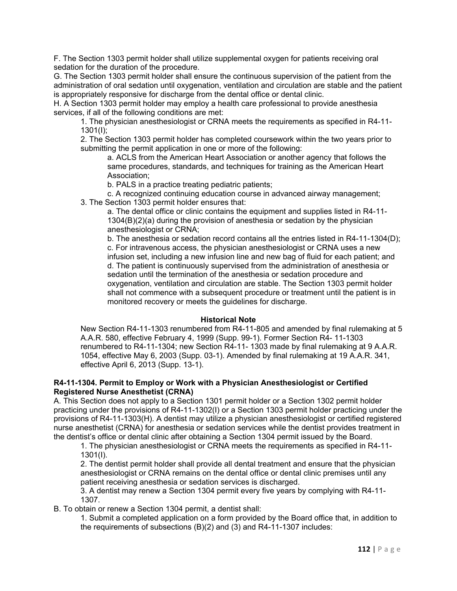F. The Section 1303 permit holder shall utilize supplemental oxygen for patients receiving oral sedation for the duration of the procedure.

G. The Section 1303 permit holder shall ensure the continuous supervision of the patient from the administration of oral sedation until oxygenation, ventilation and circulation are stable and the patient is appropriately responsive for discharge from the dental office or dental clinic.

H. A Section 1303 permit holder may employ a health care professional to provide anesthesia services, if all of the following conditions are met:

1. The physician anesthesiologist or CRNA meets the requirements as specified in R4-11- 1301(I);

2. The Section 1303 permit holder has completed coursework within the two years prior to submitting the permit application in one or more of the following:

a. ACLS from the American Heart Association or another agency that follows the same procedures, standards, and techniques for training as the American Heart Association;

b. PALS in a practice treating pediatric patients;

c. A recognized continuing education course in advanced airway management;

3. The Section 1303 permit holder ensures that:

a. The dental office or clinic contains the equipment and supplies listed in R4-11- 1304(B)(2)(a) during the provision of anesthesia or sedation by the physician anesthesiologist or CRNA;

b. The anesthesia or sedation record contains all the entries listed in R4-11-1304(D); c. For intravenous access, the physician anesthesiologist or CRNA uses a new infusion set, including a new infusion line and new bag of fluid for each patient; and d. The patient is continuously supervised from the administration of anesthesia or sedation until the termination of the anesthesia or sedation procedure and oxygenation, ventilation and circulation are stable. The Section 1303 permit holder shall not commence with a subsequent procedure or treatment until the patient is in monitored recovery or meets the guidelines for discharge.

# **Historical Note**

New Section R4-11-1303 renumbered from R4-11-805 and amended by final rulemaking at 5 A.A.R. 580, effective February 4, 1999 (Supp. 99-1). Former Section R4- 11-1303 renumbered to R4-11-1304; new Section R4-11- 1303 made by final rulemaking at 9 A.A.R. 1054, effective May 6, 2003 (Supp. 03-1). Amended by final rulemaking at 19 A.A.R. 341, effective April 6, 2013 (Supp. 13-1).

## **R4-11-1304. Permit to Employ or Work with a Physician Anesthesiologist or Certified Registered Nurse Anesthetist (CRNA)**

A. This Section does not apply to a Section 1301 permit holder or a Section 1302 permit holder practicing under the provisions of R4-11-1302(I) or a Section 1303 permit holder practicing under the provisions of R4-11-1303(H). A dentist may utilize a physician anesthesiologist or certified registered nurse anesthetist (CRNA) for anesthesia or sedation services while the dentist provides treatment in the dentist's office or dental clinic after obtaining a Section 1304 permit issued by the Board.

1. The physician anesthesiologist or CRNA meets the requirements as specified in R4-11- 1301(I).

2. The dentist permit holder shall provide all dental treatment and ensure that the physician anesthesiologist or CRNA remains on the dental office or dental clinic premises until any patient receiving anesthesia or sedation services is discharged.

3. A dentist may renew a Section 1304 permit every five years by complying with R4-11- 1307.

B. To obtain or renew a Section 1304 permit, a dentist shall:

1. Submit a completed application on a form provided by the Board office that, in addition to the requirements of subsections (B)(2) and (3) and R4-11-1307 includes: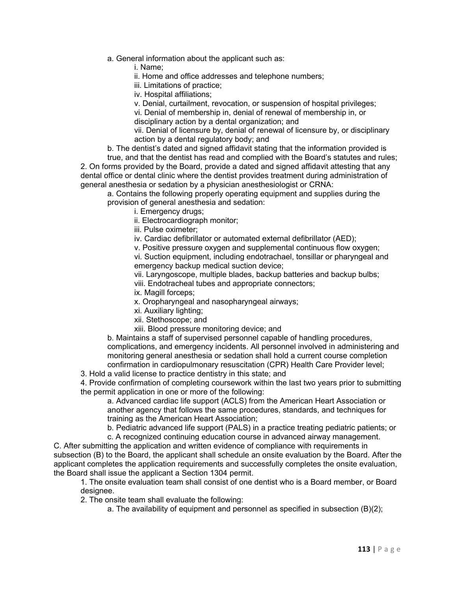a. General information about the applicant such as:

i. Name;

ii. Home and office addresses and telephone numbers;

iii. Limitations of practice;

iv. Hospital affiliations;

v. Denial, curtailment, revocation, or suspension of hospital privileges;

vi. Denial of membership in, denial of renewal of membership in, or disciplinary action by a dental organization; and

vii. Denial of licensure by, denial of renewal of licensure by, or disciplinary action by a dental regulatory body; and

b. The dentist's dated and signed affidavit stating that the information provided is

true, and that the dentist has read and complied with the Board's statutes and rules; 2. On forms provided by the Board, provide a dated and signed affidavit attesting that any dental office or dental clinic where the dentist provides treatment during administration of general anesthesia or sedation by a physician anesthesiologist or CRNA:

a. Contains the following properly operating equipment and supplies during the provision of general anesthesia and sedation:

i. Emergency drugs;

ii. Electrocardiograph monitor;

iii. Pulse oximeter;

iv. Cardiac defibrillator or automated external defibrillator (AED);

v. Positive pressure oxygen and supplemental continuous flow oxygen;

vi. Suction equipment, including endotrachael, tonsillar or pharyngeal and emergency backup medical suction device;

vii. Laryngoscope, multiple blades, backup batteries and backup bulbs; viii. Endotracheal tubes and appropriate connectors;

ix. Magill forceps;

x. Oropharyngeal and nasopharyngeal airways;

xi. Auxiliary lighting;

xii. Stethoscope; and

xiii. Blood pressure monitoring device; and

b. Maintains a staff of supervised personnel capable of handling procedures, complications, and emergency incidents. All personnel involved in administering and monitoring general anesthesia or sedation shall hold a current course completion confirmation in cardiopulmonary resuscitation (CPR) Health Care Provider level;

3. Hold a valid license to practice dentistry in this state; and

4. Provide confirmation of completing coursework within the last two years prior to submitting the permit application in one or more of the following:

a. Advanced cardiac life support (ACLS) from the American Heart Association or another agency that follows the same procedures, standards, and techniques for training as the American Heart Association;

b. Pediatric advanced life support (PALS) in a practice treating pediatric patients; or

c. A recognized continuing education course in advanced airway management.

C. After submitting the application and written evidence of compliance with requirements in subsection (B) to the Board, the applicant shall schedule an onsite evaluation by the Board. After the applicant completes the application requirements and successfully completes the onsite evaluation, the Board shall issue the applicant a Section 1304 permit.

1. The onsite evaluation team shall consist of one dentist who is a Board member, or Board designee.

2. The onsite team shall evaluate the following:

a. The availability of equipment and personnel as specified in subsection (B)(2);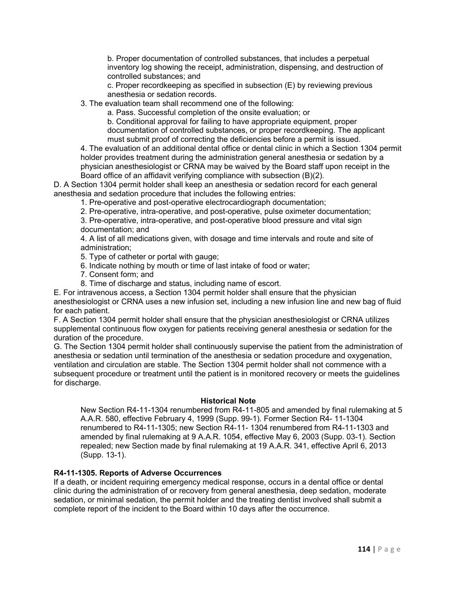b. Proper documentation of controlled substances, that includes a perpetual inventory log showing the receipt, administration, dispensing, and destruction of controlled substances; and

c. Proper recordkeeping as specified in subsection (E) by reviewing previous anesthesia or sedation records.

3. The evaluation team shall recommend one of the following:

a. Pass. Successful completion of the onsite evaluation; or

b. Conditional approval for failing to have appropriate equipment, proper documentation of controlled substances, or proper recordkeeping. The applicant must submit proof of correcting the deficiencies before a permit is issued.

4. The evaluation of an additional dental office or dental clinic in which a Section 1304 permit holder provides treatment during the administration general anesthesia or sedation by a physician anesthesiologist or CRNA may be waived by the Board staff upon receipt in the Board office of an affidavit verifying compliance with subsection (B)(2).

D. A Section 1304 permit holder shall keep an anesthesia or sedation record for each general anesthesia and sedation procedure that includes the following entries:

1. Pre-operative and post-operative electrocardiograph documentation;

2. Pre-operative, intra-operative, and post-operative, pulse oximeter documentation;

3. Pre-operative, intra-operative, and post-operative blood pressure and vital sign documentation; and

4. A list of all medications given, with dosage and time intervals and route and site of administration;

5. Type of catheter or portal with gauge;

- 6. Indicate nothing by mouth or time of last intake of food or water;
- 7. Consent form; and
- 8. Time of discharge and status, including name of escort.

E. For intravenous access, a Section 1304 permit holder shall ensure that the physician anesthesiologist or CRNA uses a new infusion set, including a new infusion line and new bag of fluid for each patient.

F. A Section 1304 permit holder shall ensure that the physician anesthesiologist or CRNA utilizes supplemental continuous flow oxygen for patients receiving general anesthesia or sedation for the duration of the procedure.

G. The Section 1304 permit holder shall continuously supervise the patient from the administration of anesthesia or sedation until termination of the anesthesia or sedation procedure and oxygenation, ventilation and circulation are stable. The Section 1304 permit holder shall not commence with a subsequent procedure or treatment until the patient is in monitored recovery or meets the guidelines for discharge.

#### **Historical Note**

New Section R4-11-1304 renumbered from R4-11-805 and amended by final rulemaking at 5 A.A.R. 580, effective February 4, 1999 (Supp. 99-1). Former Section R4- 11-1304 renumbered to R4-11-1305; new Section R4-11- 1304 renumbered from R4-11-1303 and amended by final rulemaking at 9 A.A.R. 1054, effective May 6, 2003 (Supp. 03-1). Section repealed; new Section made by final rulemaking at 19 A.A.R. 341, effective April 6, 2013 (Supp. 13-1).

# **R4-11-1305. Reports of Adverse Occurrences**

If a death, or incident requiring emergency medical response, occurs in a dental office or dental clinic during the administration of or recovery from general anesthesia, deep sedation, moderate sedation, or minimal sedation, the permit holder and the treating dentist involved shall submit a complete report of the incident to the Board within 10 days after the occurrence.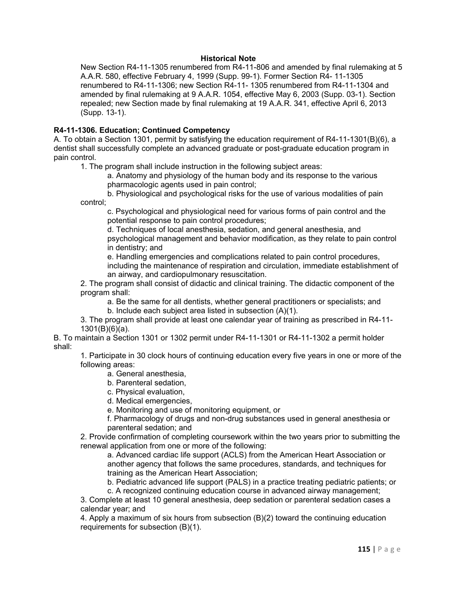## **Historical Note**

New Section R4-11-1305 renumbered from R4-11-806 and amended by final rulemaking at 5 A.A.R. 580, effective February 4, 1999 (Supp. 99-1). Former Section R4- 11-1305 renumbered to R4-11-1306; new Section R4-11- 1305 renumbered from R4-11-1304 and amended by final rulemaking at 9 A.A.R. 1054, effective May 6, 2003 (Supp. 03-1). Section repealed; new Section made by final rulemaking at 19 A.A.R. 341, effective April 6, 2013 (Supp. 13-1).

# **R4-11-1306. Education; Continued Competency**

A. To obtain a Section 1301, permit by satisfying the education requirement of R4-11-1301(B)(6), a dentist shall successfully complete an advanced graduate or post-graduate education program in pain control.

1. The program shall include instruction in the following subject areas:

a. Anatomy and physiology of the human body and its response to the various pharmacologic agents used in pain control;

b. Physiological and psychological risks for the use of various modalities of pain control;

c. Psychological and physiological need for various forms of pain control and the potential response to pain control procedures;

d. Techniques of local anesthesia, sedation, and general anesthesia, and psychological management and behavior modification, as they relate to pain control in dentistry; and

e. Handling emergencies and complications related to pain control procedures, including the maintenance of respiration and circulation, immediate establishment of an airway, and cardiopulmonary resuscitation.

2. The program shall consist of didactic and clinical training. The didactic component of the program shall:

a. Be the same for all dentists, whether general practitioners or specialists; and b. Include each subject area listed in subsection (A)(1).

3. The program shall provide at least one calendar year of training as prescribed in R4-11- 1301(B)(6)(a).

B. To maintain a Section 1301 or 1302 permit under R4-11-1301 or R4-11-1302 a permit holder shall:

1. Participate in 30 clock hours of continuing education every five years in one or more of the following areas:

a. General anesthesia,

b. Parenteral sedation,

c. Physical evaluation,

d. Medical emergencies,

e. Monitoring and use of monitoring equipment, or

f. Pharmacology of drugs and non-drug substances used in general anesthesia or parenteral sedation; and

2. Provide confirmation of completing coursework within the two years prior to submitting the renewal application from one or more of the following:

a. Advanced cardiac life support (ACLS) from the American Heart Association or another agency that follows the same procedures, standards, and techniques for training as the American Heart Association;

b. Pediatric advanced life support (PALS) in a practice treating pediatric patients; or

c. A recognized continuing education course in advanced airway management;

3. Complete at least 10 general anesthesia, deep sedation or parenteral sedation cases a calendar year; and

4. Apply a maximum of six hours from subsection (B)(2) toward the continuing education requirements for subsection (B)(1).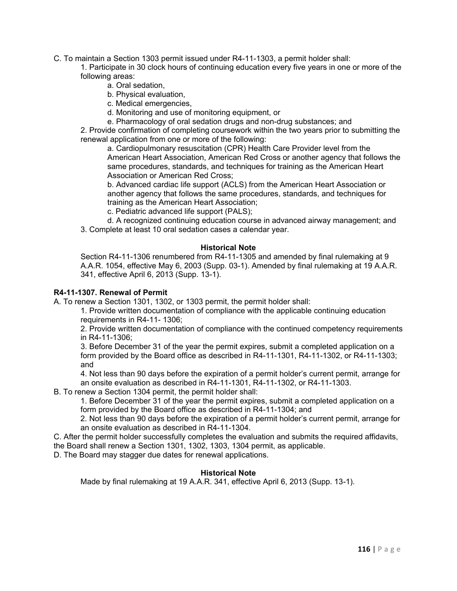C. To maintain a Section 1303 permit issued under R4-11-1303, a permit holder shall:

1. Participate in 30 clock hours of continuing education every five years in one or more of the following areas:

- a. Oral sedation,
- b. Physical evaluation,
- c. Medical emergencies,
- d. Monitoring and use of monitoring equipment, or
- e. Pharmacology of oral sedation drugs and non-drug substances; and

2. Provide confirmation of completing coursework within the two years prior to submitting the renewal application from one or more of the following:

a. Cardiopulmonary resuscitation (CPR) Health Care Provider level from the American Heart Association, American Red Cross or another agency that follows the same procedures, standards, and techniques for training as the American Heart Association or American Red Cross;

b. Advanced cardiac life support (ACLS) from the American Heart Association or another agency that follows the same procedures, standards, and techniques for training as the American Heart Association;

c. Pediatric advanced life support (PALS);

d. A recognized continuing education course in advanced airway management; and 3. Complete at least 10 oral sedation cases a calendar year.

# **Historical Note**

Section R4-11-1306 renumbered from R4-11-1305 and amended by final rulemaking at 9 A.A.R. 1054, effective May 6, 2003 (Supp. 03-1). Amended by final rulemaking at 19 A.A.R. 341, effective April 6, 2013 (Supp. 13-1).

# **R4-11-1307. Renewal of Permit**

A. To renew a Section 1301, 1302, or 1303 permit, the permit holder shall:

1. Provide written documentation of compliance with the applicable continuing education requirements in R4-11- 1306;

2. Provide written documentation of compliance with the continued competency requirements in R4-11-1306;

3. Before December 31 of the year the permit expires, submit a completed application on a form provided by the Board office as described in R4-11-1301, R4-11-1302, or R4-11-1303; and

4. Not less than 90 days before the expiration of a permit holder's current permit, arrange for an onsite evaluation as described in R4-11-1301, R4-11-1302, or R4-11-1303.

B. To renew a Section 1304 permit, the permit holder shall:

1. Before December 31 of the year the permit expires, submit a completed application on a form provided by the Board office as described in R4-11-1304; and

2. Not less than 90 days before the expiration of a permit holder's current permit, arrange for an onsite evaluation as described in R4-11-1304.

C. After the permit holder successfully completes the evaluation and submits the required affidavits, the Board shall renew a Section 1301, 1302, 1303, 1304 permit, as applicable.

D. The Board may stagger due dates for renewal applications.

# **Historical Note**

Made by final rulemaking at 19 A.A.R. 341, effective April 6, 2013 (Supp. 13-1).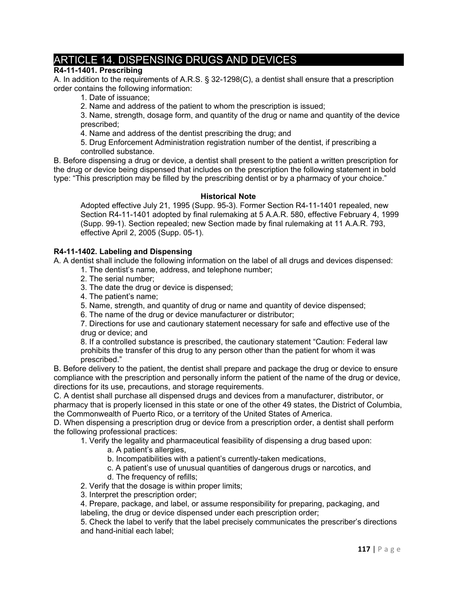# ARTICLE 14. DISPENSING DRUGS AND DEVICES

# **R4-11-1401. Prescribing**

A. In addition to the requirements of A.R.S. § 32-1298(C), a dentist shall ensure that a prescription order contains the following information:

1. Date of issuance;

2. Name and address of the patient to whom the prescription is issued;

3. Name, strength, dosage form, and quantity of the drug or name and quantity of the device prescribed;

4. Name and address of the dentist prescribing the drug; and

5. Drug Enforcement Administration registration number of the dentist, if prescribing a controlled substance.

B. Before dispensing a drug or device, a dentist shall present to the patient a written prescription for the drug or device being dispensed that includes on the prescription the following statement in bold type: "This prescription may be filled by the prescribing dentist or by a pharmacy of your choice."

#### **Historical Note**

Adopted effective July 21, 1995 (Supp. 95-3). Former Section R4-11-1401 repealed, new Section R4-11-1401 adopted by final rulemaking at 5 A.A.R. 580, effective February 4, 1999 (Supp. 99-1). Section repealed; new Section made by final rulemaking at 11 A.A.R. 793, effective April 2, 2005 (Supp. 05-1).

# **R4-11-1402. Labeling and Dispensing**

A. A dentist shall include the following information on the label of all drugs and devices dispensed:

- 1. The dentist's name, address, and telephone number;
- 2. The serial number;
- 3. The date the drug or device is dispensed;
- 4. The patient's name;
- 5. Name, strength, and quantity of drug or name and quantity of device dispensed;

6. The name of the drug or device manufacturer or distributor;

7. Directions for use and cautionary statement necessary for safe and effective use of the drug or device; and

8. If a controlled substance is prescribed, the cautionary statement "Caution: Federal law prohibits the transfer of this drug to any person other than the patient for whom it was prescribed."

B. Before delivery to the patient, the dentist shall prepare and package the drug or device to ensure compliance with the prescription and personally inform the patient of the name of the drug or device, directions for its use, precautions, and storage requirements.

C. A dentist shall purchase all dispensed drugs and devices from a manufacturer, distributor, or pharmacy that is properly licensed in this state or one of the other 49 states, the District of Columbia, the Commonwealth of Puerto Rico, or a territory of the United States of America.

D. When dispensing a prescription drug or device from a prescription order, a dentist shall perform the following professional practices:

1. Verify the legality and pharmaceutical feasibility of dispensing a drug based upon:

- a. A patient's allergies,
- b. Incompatibilities with a patient's currently-taken medications,
- c. A patient's use of unusual quantities of dangerous drugs or narcotics, and
- d. The frequency of refills;

2. Verify that the dosage is within proper limits;

3. Interpret the prescription order;

4. Prepare, package, and label, or assume responsibility for preparing, packaging, and labeling, the drug or device dispensed under each prescription order;

5. Check the label to verify that the label precisely communicates the prescriber's directions and hand-initial each label;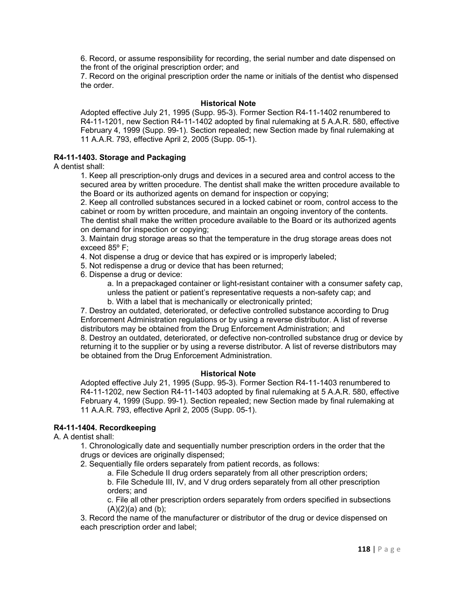6. Record, or assume responsibility for recording, the serial number and date dispensed on the front of the original prescription order; and

7. Record on the original prescription order the name or initials of the dentist who dispensed the order.

#### **Historical Note**

Adopted effective July 21, 1995 (Supp. 95-3). Former Section R4-11-1402 renumbered to R4-11-1201, new Section R4-11-1402 adopted by final rulemaking at 5 A.A.R. 580, effective February 4, 1999 (Supp. 99-1). Section repealed; new Section made by final rulemaking at 11 A.A.R. 793, effective April 2, 2005 (Supp. 05-1).

# **R4-11-1403. Storage and Packaging**

A dentist shall:

1. Keep all prescription-only drugs and devices in a secured area and control access to the secured area by written procedure. The dentist shall make the written procedure available to the Board or its authorized agents on demand for inspection or copying;

2. Keep all controlled substances secured in a locked cabinet or room, control access to the cabinet or room by written procedure, and maintain an ongoing inventory of the contents. The dentist shall make the written procedure available to the Board or its authorized agents on demand for inspection or copying;

3. Maintain drug storage areas so that the temperature in the drug storage areas does not exceed 85º F;

4. Not dispense a drug or device that has expired or is improperly labeled;

5. Not redispense a drug or device that has been returned;

6. Dispense a drug or device:

a. In a prepackaged container or light-resistant container with a consumer safety cap, unless the patient or patient's representative requests a non-safety cap; and

b. With a label that is mechanically or electronically printed;

7. Destroy an outdated, deteriorated, or defective controlled substance according to Drug Enforcement Administration regulations or by using a reverse distributor. A list of reverse distributors may be obtained from the Drug Enforcement Administration; and 8. Destroy an outdated, deteriorated, or defective non-controlled substance drug or device by

returning it to the supplier or by using a reverse distributor. A list of reverse distributors may be obtained from the Drug Enforcement Administration.

# **Historical Note**

Adopted effective July 21, 1995 (Supp. 95-3). Former Section R4-11-1403 renumbered to R4-11-1202, new Section R4-11-1403 adopted by final rulemaking at 5 A.A.R. 580, effective February 4, 1999 (Supp. 99-1). Section repealed; new Section made by final rulemaking at 11 A.A.R. 793, effective April 2, 2005 (Supp. 05-1).

# **R4-11-1404. Recordkeeping**

A. A dentist shall:

1. Chronologically date and sequentially number prescription orders in the order that the drugs or devices are originally dispensed;

2. Sequentially file orders separately from patient records, as follows:

a. File Schedule II drug orders separately from all other prescription orders;

b. File Schedule III, IV, and V drug orders separately from all other prescription orders; and

c. File all other prescription orders separately from orders specified in subsections  $(A)(2)(a)$  and  $(b)$ ;

3. Record the name of the manufacturer or distributor of the drug or device dispensed on each prescription order and label;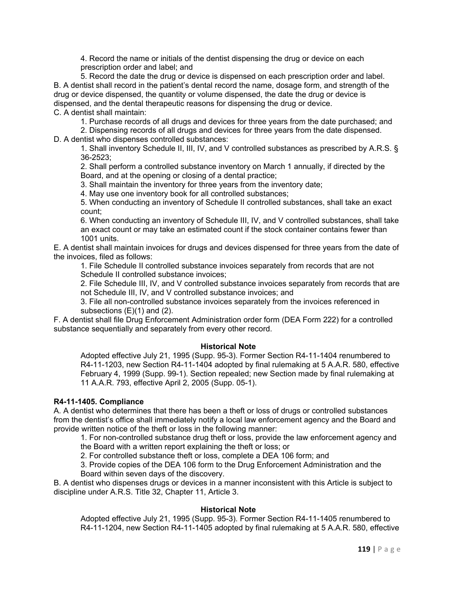4. Record the name or initials of the dentist dispensing the drug or device on each prescription order and label; and

5. Record the date the drug or device is dispensed on each prescription order and label. B. A dentist shall record in the patient's dental record the name, dosage form, and strength of the drug or device dispensed, the quantity or volume dispensed, the date the drug or device is dispensed, and the dental therapeutic reasons for dispensing the drug or device. C. A dentist shall maintain:

1. Purchase records of all drugs and devices for three years from the date purchased; and

2. Dispensing records of all drugs and devices for three years from the date dispensed. D. A dentist who dispenses controlled substances:

1. Shall inventory Schedule II, III, IV, and V controlled substances as prescribed by A.R.S. § 36-2523;

2. Shall perform a controlled substance inventory on March 1 annually, if directed by the Board, and at the opening or closing of a dental practice;

3. Shall maintain the inventory for three years from the inventory date;

4. May use one inventory book for all controlled substances;

5. When conducting an inventory of Schedule II controlled substances, shall take an exact count;

6. When conducting an inventory of Schedule III, IV, and V controlled substances, shall take an exact count or may take an estimated count if the stock container contains fewer than 1001 units.

E. A dentist shall maintain invoices for drugs and devices dispensed for three years from the date of the invoices, filed as follows:

1. File Schedule II controlled substance invoices separately from records that are not Schedule II controlled substance invoices;

2. File Schedule III, IV, and V controlled substance invoices separately from records that are not Schedule III, IV, and V controlled substance invoices; and

3. File all non-controlled substance invoices separately from the invoices referenced in subsections (E)(1) and (2).

F. A dentist shall file Drug Enforcement Administration order form (DEA Form 222) for a controlled substance sequentially and separately from every other record.

# **Historical Note**

Adopted effective July 21, 1995 (Supp. 95-3). Former Section R4-11-1404 renumbered to R4-11-1203, new Section R4-11-1404 adopted by final rulemaking at 5 A.A.R. 580, effective February 4, 1999 (Supp. 99-1). Section repealed; new Section made by final rulemaking at 11 A.A.R. 793, effective April 2, 2005 (Supp. 05-1).

# **R4-11-1405. Compliance**

A. A dentist who determines that there has been a theft or loss of drugs or controlled substances from the dentist's office shall immediately notify a local law enforcement agency and the Board and provide written notice of the theft or loss in the following manner:

1. For non-controlled substance drug theft or loss, provide the law enforcement agency and the Board with a written report explaining the theft or loss; or

2. For controlled substance theft or loss, complete a DEA 106 form; and

3. Provide copies of the DEA 106 form to the Drug Enforcement Administration and the Board within seven days of the discovery.

B. A dentist who dispenses drugs or devices in a manner inconsistent with this Article is subject to discipline under A.R.S. Title 32, Chapter 11, Article 3.

#### **Historical Note**

Adopted effective July 21, 1995 (Supp. 95-3). Former Section R4-11-1405 renumbered to R4-11-1204, new Section R4-11-1405 adopted by final rulemaking at 5 A.A.R. 580, effective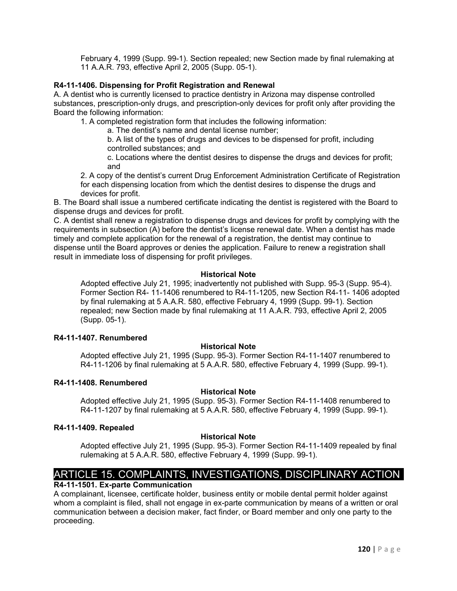February 4, 1999 (Supp. 99-1). Section repealed; new Section made by final rulemaking at 11 A.A.R. 793, effective April 2, 2005 (Supp. 05-1).

# **R4-11-1406. Dispensing for Profit Registration and Renewal**

A. A dentist who is currently licensed to practice dentistry in Arizona may dispense controlled substances, prescription-only drugs, and prescription-only devices for profit only after providing the Board the following information:

1. A completed registration form that includes the following information:

a. The dentist's name and dental license number;

b. A list of the types of drugs and devices to be dispensed for profit, including controlled substances; and

c. Locations where the dentist desires to dispense the drugs and devices for profit; and

2. A copy of the dentist's current Drug Enforcement Administration Certificate of Registration for each dispensing location from which the dentist desires to dispense the drugs and devices for profit.

B. The Board shall issue a numbered certificate indicating the dentist is registered with the Board to dispense drugs and devices for profit.

C. A dentist shall renew a registration to dispense drugs and devices for profit by complying with the requirements in subsection (A) before the dentist's license renewal date. When a dentist has made timely and complete application for the renewal of a registration, the dentist may continue to dispense until the Board approves or denies the application. Failure to renew a registration shall result in immediate loss of dispensing for profit privileges.

# **Historical Note**

Adopted effective July 21, 1995; inadvertently not published with Supp. 95-3 (Supp. 95-4). Former Section R4- 11-1406 renumbered to R4-11-1205, new Section R4-11- 1406 adopted by final rulemaking at 5 A.A.R. 580, effective February 4, 1999 (Supp. 99-1). Section repealed; new Section made by final rulemaking at 11 A.A.R. 793, effective April 2, 2005 (Supp. 05-1).

#### **R4-11-1407. Renumbered**

# **Historical Note**

Adopted effective July 21, 1995 (Supp. 95-3). Former Section R4-11-1407 renumbered to R4-11-1206 by final rulemaking at 5 A.A.R. 580, effective February 4, 1999 (Supp. 99-1).

#### **R4-11-1408. Renumbered**

# **Historical Note**

Adopted effective July 21, 1995 (Supp. 95-3). Former Section R4-11-1408 renumbered to R4-11-1207 by final rulemaking at 5 A.A.R. 580, effective February 4, 1999 (Supp. 99-1).

#### **R4-11-1409. Repealed**

# **Historical Note**

Adopted effective July 21, 1995 (Supp. 95-3). Former Section R4-11-1409 repealed by final rulemaking at 5 A.A.R. 580, effective February 4, 1999 (Supp. 99-1).

# ARTICLE 15. COMPLAINTS, INVESTIGATIONS, DISCIPLINARY ACTION

# **R4-11-1501. Ex-parte Communication**

A complainant, licensee, certificate holder, business entity or mobile dental permit holder against whom a complaint is filed, shall not engage in ex-parte communication by means of a written or oral communication between a decision maker, fact finder, or Board member and only one party to the proceeding.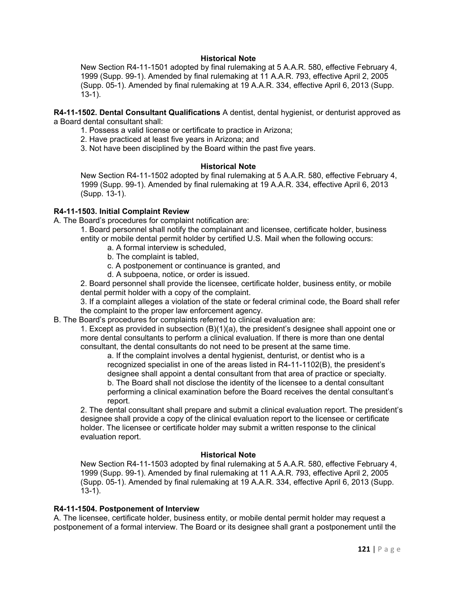#### **Historical Note**

New Section R4-11-1501 adopted by final rulemaking at 5 A.A.R. 580, effective February 4, 1999 (Supp. 99-1). Amended by final rulemaking at 11 A.A.R. 793, effective April 2, 2005 (Supp. 05-1). Amended by final rulemaking at 19 A.A.R. 334, effective April 6, 2013 (Supp. 13-1).

**R4-11-1502. Dental Consultant Qualifications** A dentist, dental hygienist, or denturist approved as a Board dental consultant shall:

- 1. Possess a valid license or certificate to practice in Arizona;
- 2. Have practiced at least five years in Arizona; and
- 3. Not have been disciplined by the Board within the past five years.

#### **Historical Note**

New Section R4-11-1502 adopted by final rulemaking at 5 A.A.R. 580, effective February 4, 1999 (Supp. 99-1). Amended by final rulemaking at 19 A.A.R. 334, effective April 6, 2013 (Supp. 13-1).

#### **R4-11-1503. Initial Complaint Review**

A. The Board's procedures for complaint notification are:

- 1. Board personnel shall notify the complainant and licensee, certificate holder, business entity or mobile dental permit holder by certified U.S. Mail when the following occurs:
	- a. A formal interview is scheduled,
	- b. The complaint is tabled,
	- c. A postponement or continuance is granted, and
	- d. A subpoena, notice, or order is issued.

2. Board personnel shall provide the licensee, certificate holder, business entity, or mobile dental permit holder with a copy of the complaint.

3. If a complaint alleges a violation of the state or federal criminal code, the Board shall refer the complaint to the proper law enforcement agency.

B. The Board's procedures for complaints referred to clinical evaluation are:

1. Except as provided in subsection (B)(1)(a), the president's designee shall appoint one or more dental consultants to perform a clinical evaluation. If there is more than one dental consultant, the dental consultants do not need to be present at the same time.

a. If the complaint involves a dental hygienist, denturist, or dentist who is a recognized specialist in one of the areas listed in R4-11-1102(B), the president's designee shall appoint a dental consultant from that area of practice or specialty. b. The Board shall not disclose the identity of the licensee to a dental consultant performing a clinical examination before the Board receives the dental consultant's report.

2. The dental consultant shall prepare and submit a clinical evaluation report. The president's designee shall provide a copy of the clinical evaluation report to the licensee or certificate holder. The licensee or certificate holder may submit a written response to the clinical evaluation report.

#### **Historical Note**

New Section R4-11-1503 adopted by final rulemaking at 5 A.A.R. 580, effective February 4, 1999 (Supp. 99-1). Amended by final rulemaking at 11 A.A.R. 793, effective April 2, 2005 (Supp. 05-1). Amended by final rulemaking at 19 A.A.R. 334, effective April 6, 2013 (Supp. 13-1).

#### **R4-11-1504. Postponement of Interview**

A. The licensee, certificate holder, business entity, or mobile dental permit holder may request a postponement of a formal interview. The Board or its designee shall grant a postponement until the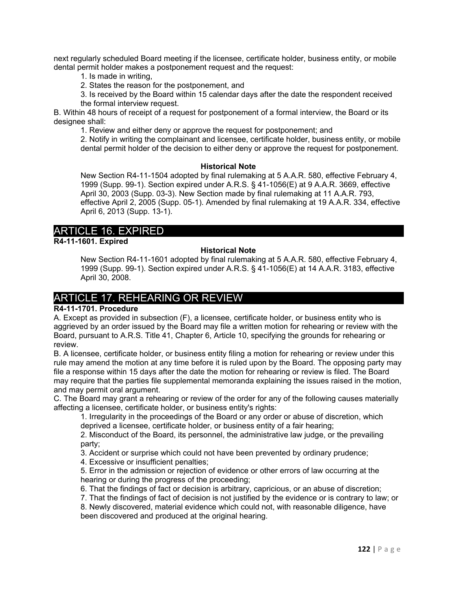next regularly scheduled Board meeting if the licensee, certificate holder, business entity, or mobile dental permit holder makes a postponement request and the request:

- 1. Is made in writing,
- 2. States the reason for the postponement, and

3. Is received by the Board within 15 calendar days after the date the respondent received the formal interview request.

B. Within 48 hours of receipt of a request for postponement of a formal interview, the Board or its designee shall:

1. Review and either deny or approve the request for postponement; and

2. Notify in writing the complainant and licensee, certificate holder, business entity, or mobile dental permit holder of the decision to either deny or approve the request for postponement.

#### **Historical Note**

New Section R4-11-1504 adopted by final rulemaking at 5 A.A.R. 580, effective February 4, 1999 (Supp. 99-1). Section expired under A.R.S. § 41-1056(E) at 9 A.A.R. 3669, effective April 30, 2003 (Supp. 03-3). New Section made by final rulemaking at 11 A.A.R. 793, effective April 2, 2005 (Supp. 05-1). Amended by final rulemaking at 19 A.A.R. 334, effective April 6, 2013 (Supp. 13-1).

# ARTICLE 16. EXPIRED

**R4-11-1601. Expired**

## **Historical Note**

New Section R4-11-1601 adopted by final rulemaking at 5 A.A.R. 580, effective February 4, 1999 (Supp. 99-1). Section expired under A.R.S. § 41-1056(E) at 14 A.A.R. 3183, effective April 30, 2008.

# ARTICLE 17. REHEARING OR REVIEW

# **R4-11-1701. Procedure**

A. Except as provided in subsection (F), a licensee, certificate holder, or business entity who is aggrieved by an order issued by the Board may file a written motion for rehearing or review with the Board, pursuant to A.R.S. Title 41, Chapter 6, Article 10, specifying the grounds for rehearing or review.

B. A licensee, certificate holder, or business entity filing a motion for rehearing or review under this rule may amend the motion at any time before it is ruled upon by the Board. The opposing party may file a response within 15 days after the date the motion for rehearing or review is filed. The Board may require that the parties file supplemental memoranda explaining the issues raised in the motion, and may permit oral argument.

C. The Board may grant a rehearing or review of the order for any of the following causes materially affecting a licensee, certificate holder, or business entity's rights:

1. Irregularity in the proceedings of the Board or any order or abuse of discretion, which deprived a licensee, certificate holder, or business entity of a fair hearing;

2. Misconduct of the Board, its personnel, the administrative law judge, or the prevailing party;

3. Accident or surprise which could not have been prevented by ordinary prudence;

4. Excessive or insufficient penalties;

5. Error in the admission or rejection of evidence or other errors of law occurring at the hearing or during the progress of the proceeding;

6. That the findings of fact or decision is arbitrary, capricious, or an abuse of discretion;

7. That the findings of fact of decision is not justified by the evidence or is contrary to law; or

8. Newly discovered, material evidence which could not, with reasonable diligence, have been discovered and produced at the original hearing.